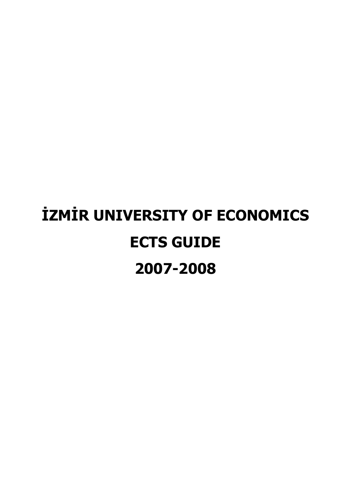# İZMİR UNIVERSITY OF ECONOMICS ECTS GUIDE 2007-2008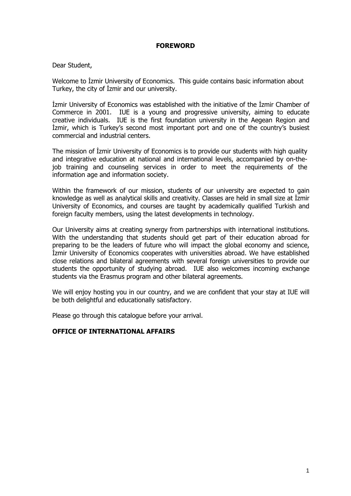# FOREWORD

# Dear Student,

Welcome to Izmir University of Economics. This guide contains basic information about Turkey, the city of İzmir and our university.

Izmir University of Economics was established with the initiative of the Izmir Chamber of Commerce in 2001. IUE is a young and progressive university, aiming to educate creative individuals. IUE is the first foundation university in the Aegean Region and Izmir, which is Turkey's second most important port and one of the country's busiest commercial and industrial centers.

The mission of İzmir University of Economics is to provide our students with high quality and integrative education at national and international levels, accompanied by on-thejob training and counseling services in order to meet the requirements of the information age and information society.

Within the framework of our mission, students of our university are expected to gain knowledge as well as analytical skills and creativity. Classes are held in small size at İzmir University of Economics, and courses are taught by academically qualified Turkish and foreign faculty members, using the latest developments in technology.

Our University aims at creating synergy from partnerships with international institutions. With the understanding that students should get part of their education abroad for preparing to be the leaders of future who will impact the global economy and science, İzmir University of Economics cooperates with universities abroad. We have established close relations and bilateral agreements with several foreign universities to provide our students the opportunity of studying abroad. IUE also welcomes incoming exchange students via the Erasmus program and other bilateral agreements.

We will enjoy hosting you in our country, and we are confident that your stay at IUE will be both delightful and educationally satisfactory.

Please go through this catalogue before your arrival.

# OFFICE OF INTERNATIONAL AFFAIRS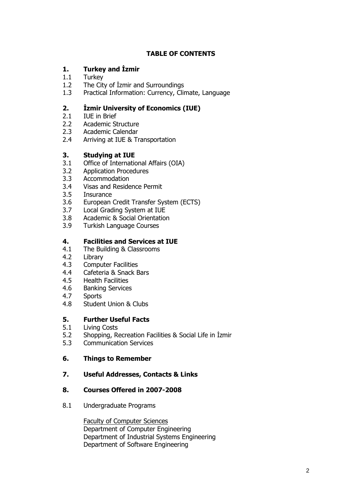# TABLE OF CONTENTS

# 1. Turkey and İzmir

- 1.1 Turkey
- 1.2 The City of İzmir and Surroundings
- 1.3 Practical Information: Currency, Climate, Language

# 2. *Izmir University of Economics (IUE)*

- 2.1 IUE in Brief
- 2.2 Academic Structure
- 2.3 Academic Calendar
- 2.4 Arriving at IUE & Transportation

# 3. Studying at IUE

- 3.1 Office of International Affairs (OIA)
- 3.2 Application Procedures
- 3.3 Accommodation
- 3.4 Visas and Residence Permit
- 3.5 Insurance
- 3.6 European Credit Transfer System (ECTS)
- 3.7 Local Grading System at IUE
- 3.8 Academic & Social Orientation
- 3.9 Turkish Language Courses

# 4. Facilities and Services at IUE

- 4.1 The Building & Classrooms
- 4.2 Library
- 4.3 Computer Facilities
- 4.4 Cafeteria & Snack Bars
- 4.5 Health Facilities
- 4.6 Banking Services
- 4.7 Sports
- 4.8 Student Union & Clubs

# 5. Further Useful Facts

- 5.1 Living Costs
- 5.2 Shopping, Recreation Facilities & Social Life in İzmir
- 5.3 Communication Services

# 6. Things to Remember

7. Useful Addresses, Contacts & Links

# 8. Courses Offered in 2007-2008

8.1 Undergraduate Programs

Faculty of Computer Sciences Department of Computer Engineering Department of Industrial Systems Engineering Department of Software Engineering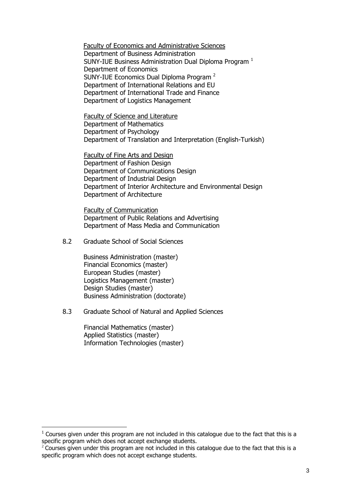Faculty of Economics and Administrative Sciences Department of Business Administration SUNY-IUE Business Administration Dual Diploma Program <sup>1</sup> Department of Economics SUNY-IUE Economics Dual Diploma Program <sup>2</sup> Department of International Relations and EU Department of International Trade and Finance Department of Logistics Management

Faculty of Science and Literature Department of Mathematics Department of Psychology Department of Translation and Interpretation (English-Turkish)

Faculty of Fine Arts and Design Department of Fashion Design Department of Communications Design Department of Industrial Design Department of Interior Architecture and Environmental Design Department of Architecture

Faculty of Communication Department of Public Relations and Advertising Department of Mass Media and Communication

8.2 Graduate School of Social Sciences

**Business Administration (master)** Financial Economics (master) European Studies (master) Logistics Management (master) Design Studies (master) Business Administration (doctorate)

8.3 Graduate School of Natural and Applied Sciences

Financial Mathematics (master) Applied Statistics (master) Information Technologies (master)

 $\overline{a}$ 

 $1$  Courses given under this program are not included in this catalogue due to the fact that this is a specific program which does not accept exchange students.

 $2^2$  Courses given under this program are not included in this catalogue due to the fact that this is a specific program which does not accept exchange students.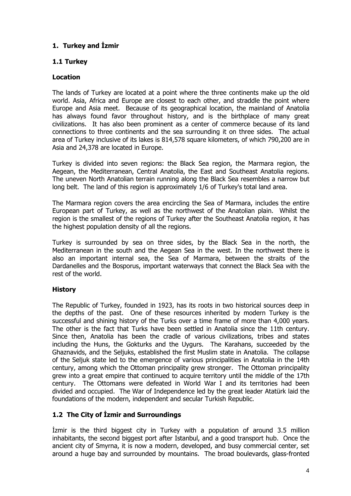# 1. Turkey and İzmir

# 1.1 Turkey

# **Location**

The lands of Turkey are located at a point where the three continents make up the old world. Asia, Africa and Europe are closest to each other, and straddle the point where Europe and Asia meet. Because of its geographical location, the mainland of Anatolia has always found favor throughout history, and is the birthplace of many great civilizations. It has also been prominent as a center of commerce because of its land connections to three continents and the sea surrounding it on three sides. The actual area of Turkey inclusive of its lakes is 814,578 square kilometers, of which 790,200 are in Asia and 24,378 are located in Europe.

Turkey is divided into seven regions: the Black Sea region, the Marmara region, the Aegean, the Mediterranean, Central Anatolia, the East and Southeast Anatolia regions. The uneven North Anatolian terrain running along the Black Sea resembles a narrow but long belt. The land of this region is approximately 1/6 of Turkey's total land area.

The Marmara region covers the area encircling the Sea of Marmara, includes the entire European part of Turkey, as well as the northwest of the Anatolian plain. Whilst the region is the smallest of the regions of Turkey after the Southeast Anatolia region, it has the highest population density of all the regions.

Turkey is surrounded by sea on three sides, by the Black Sea in the north, the Mediterranean in the south and the Aegean Sea in the west. In the northwest there is also an important internal sea, the Sea of Marmara, between the straits of the Dardanelles and the Bosporus, important waterways that connect the Black Sea with the rest of the world.

# **History**

The Republic of Turkey, founded in 1923, has its roots in two historical sources deep in the depths of the past. One of these resources inherited by modern Turkey is the successful and shining history of the Turks over a time frame of more than 4,000 years. The other is the fact that Turks have been settled in Anatolia since the 11th century. Since then, Anatolia has been the cradle of various civilizations, tribes and states including the Huns, the Gokturks and the Uygurs. The Karahans, succeeded by the Ghaznavids, and the Seljuks, established the first Muslim state in Anatolia. The collapse of the Seljuk state led to the emergence of various principalities in Anatolia in the 14th century, among which the Ottoman principality grew stronger. The Ottoman principality grew into a great empire that continued to acquire territory until the middle of the 17th century. The Ottomans were defeated in World War I and its territories had been divided and occupied. The War of Independence led by the great leader Atatürk laid the foundations of the modern, independent and secular Turkish Republic.

# 1.2 The City of İzmir and Surroundings

Izmir is the third biggest city in Turkey with a population of around 3.5 million inhabitants, the second biggest port after Istanbul, and a good transport hub. Once the ancient city of Smyrna, it is now a modern, developed, and busy commercial center, set around a huge bay and surrounded by mountains. The broad boulevards, glass-fronted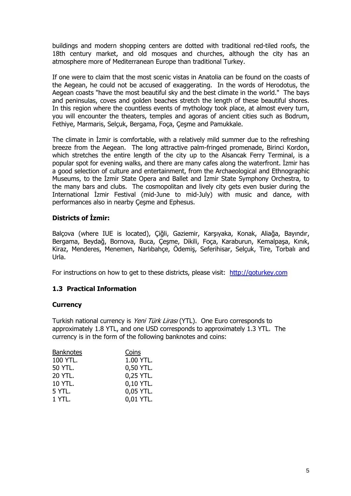buildings and modern shopping centers are dotted with traditional red-tiled roofs, the 18th century market, and old mosques and churches, although the city has an atmosphere more of Mediterranean Europe than traditional Turkey.

If one were to claim that the most scenic vistas in Anatolia can be found on the coasts of the Aegean, he could not be accused of exaggerating. In the words of Herodotus, the Aegean coasts "have the most beautiful sky and the best climate in the world." The bays and peninsulas, coves and golden beaches stretch the length of these beautiful shores. In this region where the countless events of mythology took place, at almost every turn, you will encounter the theaters, temples and agoras of ancient cities such as Bodrum, Fethiye, Marmaris, Selçuk, Bergama, Foça, Çeşme and Pamukkale.

The climate in Izmir is comfortable, with a relatively mild summer due to the refreshing breeze from the Aegean. The long attractive palm-fringed promenade, Birinci Kordon, which stretches the entire length of the city up to the Alsancak Ferry Terminal, is a popular spot for evening walks, and there are many cafes along the waterfront. Izmir has a good selection of culture and entertainment, from the Archaeological and Ethnographic Museums, to the Izmir State Opera and Ballet and Izmir State Symphony Orchestra, to the many bars and clubs. The cosmopolitan and lively city gets even busier during the International Izmir Festival (mid-June to mid-July) with music and dance, with performances also in nearby Çeşme and Ephesus.

# Districts of *Izmir*:

Balçova (where IUE is located), Çiğli, Gaziemir, Karşıyaka, Konak, Aliağa, Bayındır, Bergama, Beydağ, Bornova, Buca, Çeşme, Dikili, Foça, Karaburun, Kemalpaşa, Kınık, Kiraz, Menderes, Menemen, Narlıbahçe, Ödemiş, Seferihisar, Selçuk, Tire, Torbalı and Urla.

For instructions on how to get to these districts, please visit: http://goturkey.com

# 1.3 Practical Information

## **Currency**

Turkish national currency is Yeni Türk Lirasi (YTL). One Euro corresponds to approximately 1.8 YTL, and one USD corresponds to approximately 1.3 YTL. The currency is in the form of the following banknotes and coins:

| Coins     |
|-----------|
| 1.00 YTL. |
| 0,50 YTL. |
| 0,25 YTL. |
| 0,10 YTL. |
| 0,05 YTL. |
| 0,01 YTL. |
|           |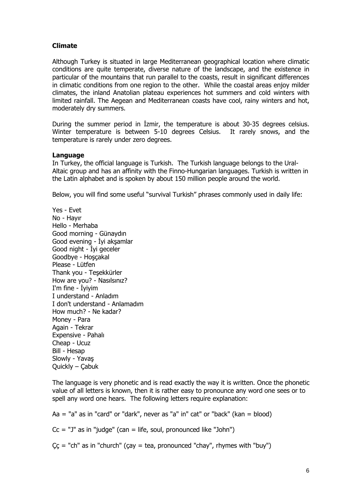# Climate

Although Turkey is situated in large Mediterranean geographical location where climatic conditions are quite temperate, diverse nature of the landscape, and the existence in particular of the mountains that run parallel to the coasts, result in significant differences in climatic conditions from one region to the other. While the coastal areas enjoy milder climates, the inland Anatolian plateau experiences hot summers and cold winters with limited rainfall. The Aegean and Mediterranean coasts have cool, rainy winters and hot, moderately dry summers.

During the summer period in Izmir, the temperature is about 30-35 degrees celsius. Winter temperature is between 5-10 degrees Celsius. It rarely snows, and the temperature is rarely under zero degrees.

## **Language**

In Turkey, the official language is Turkish. The Turkish language belongs to the Ural-Altaic group and has an affinity with the Finno-Hungarian languages. Turkish is written in the Latin alphabet and is spoken by about 150 million people around the world.

Below, you will find some useful "survival Turkish" phrases commonly used in daily life:

Yes - Evet No - Hayır Hello - Merhaba Good morning - Günaydın Good evening - İyi akşamlar Good night - İyi geceler Goodbye - Hoşçakal Please - Lütfen Thank you - Teşekkürler How are you? - Nasılsınız?  $I'm$  fine - İvivim I understand - Anladım I don't understand - Anlamadım How much? - Ne kadar? Money - Para Again - Tekrar Expensive - Pahalı Cheap - Ucuz Bill - Hesap Slowly - Yavaş Quickly – Çabuk

The language is very phonetic and is read exactly the way it is written. Once the phonetic value of all letters is known, then it is rather easy to pronounce any word one sees or to spell any word one hears. The following letters require explanation:

 $Aa = "a"$  as in "card" or "dark", never as "a" in" cat" or "back" (kan = blood)  $Cc = "J"$  as in "judge" (can = life, soul, pronounced like "John")

 $\zeta \zeta =$  "ch" as in "church" ( $\zeta a y = \zeta a$ , pronounced "chay", rhymes with "buy")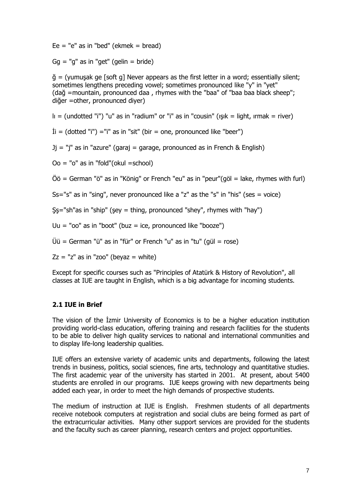$E = "e"$  as in "bed" (ekmek = bread)

 $Gq = "q"$  as in "get" (gelin = bride)

 $\ddot{q}$  = (yumusak ge [soft g] Never appears as the first letter in a word; essentially silent; sometimes lengthens preceding vowel; sometimes pronounced like "y" in "yet" (dağ =mountain, pronounced daa , rhymes with the "baa" of "baa baa black sheep"; diğer =other, pronounced diyer)

 $I_{\parallel}$  = (undotted "i") "u" as in "radium" or "i" as in "cousin" ( $I$ sık = light, ırmak = river)

 $\dot{\text{I}}$  = (dotted "i") = "i" as in "sit" (bir = one, pronounced like "beer")

 $Jj = "j"$  as in "azure" (garaj = garage, pronounced as in French & English)

 $Oo = "o"$  as in "fold"(okul =school)

 $\ddot{\text{O}}\ddot{\text{o}}$  = German "ö" as in "König" or French "eu" as in "peur"(göl = lake, rhymes with furl)

 $Ss="s"$  as in "sing", never pronounced like a "z" as the "s" in "his" (ses = voice)

 $Ss$ ="sh"as in "ship" (sey = thing, pronounced "shey", rhymes with "hay")

Uu = " $oo$ " as in "boot" (buz = ice, pronounced like "booze")

 $Üü = German "ü" as in "für" or French "u" as in "tu" (gül = rose)$ 

 $Zz = "z"$  as in "zoo" (beyaz = white)

Except for specific courses such as "Principles of Atatürk & History of Revolution", all classes at IUE are taught in English, which is a big advantage for incoming students.

## 2.1 IUE in Brief

The vision of the Izmir University of Economics is to be a higher education institution providing world-class education, offering training and research facilities for the students to be able to deliver high quality services to national and international communities and to display life-long leadership qualities.

IUE offers an extensive variety of academic units and departments, following the latest trends in business, politics, social sciences, fine arts, technology and quantitative studies. The first academic year of the university has started in 2001. At present, about 5400 students are enrolled in our programs. IUE keeps growing with new departments being added each year, in order to meet the high demands of prospective students.

The medium of instruction at IUE is English. Freshmen students of all departments receive notebook computers at registration and social clubs are being formed as part of the extracurricular activities. Many other support services are provided for the students and the faculty such as career planning, research centers and project opportunities.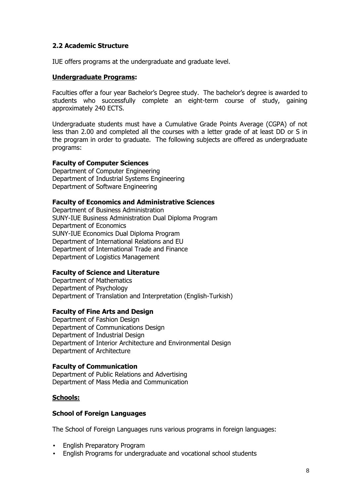# 2.2 Academic Structure

IUE offers programs at the undergraduate and graduate level.

# Undergraduate Programs:

Faculties offer a four year Bachelor's Degree study. The bachelor's degree is awarded to students who successfully complete an eight-term course of study, gaining approximately 240 ECTS.

Undergraduate students must have a Cumulative Grade Points Average (CGPA) of not less than 2.00 and completed all the courses with a letter grade of at least DD or S in the program in order to graduate. The following subjects are offered as undergraduate programs:

## Faculty of Computer Sciences

Department of Computer Engineering Department of Industrial Systems Engineering Department of Software Engineering

#### Faculty of Economics and Administrative Sciences

Department of Business Administration SUNY-IUE Business Administration Dual Diploma Program Department of Economics SUNY-IUE Economics Dual Diploma Program Department of International Relations and EU Department of International Trade and Finance Department of Logistics Management

## Faculty of Science and Literature

Department of Mathematics Department of Psychology Department of Translation and Interpretation (English-Turkish)

## Faculty of Fine Arts and Design

Department of Fashion Design Department of Communications Design Department of Industrial Design Department of Interior Architecture and Environmental Design Department of Architecture

## Faculty of Communication

Department of Public Relations and Advertising Department of Mass Media and Communication

## Schools:

#### **School of Foreign Languages**

The School of Foreign Languages runs various programs in foreign languages:

- English Preparatory Program
- English Programs for undergraduate and vocational school students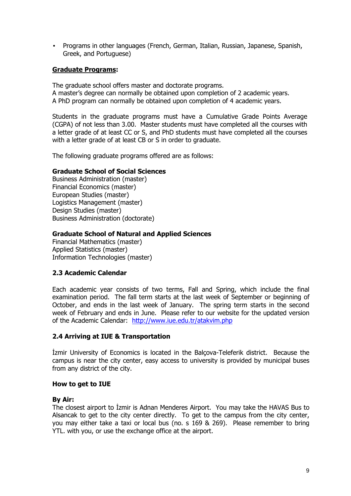• Programs in other languages (French, German, Italian, Russian, Japanese, Spanish, Greek, and Portuguese)

# Graduate Programs:

The graduate school offers master and doctorate programs. A master's degree can normally be obtained upon completion of 2 academic years. A PhD program can normally be obtained upon completion of 4 academic years.

Students in the graduate programs must have a Cumulative Grade Points Average (CGPA) of not less than 3.00. Master students must have completed all the courses with a letter grade of at least CC or S, and PhD students must have completed all the courses with a letter grade of at least CB or S in order to graduate.

The following graduate programs offered are as follows:

## Graduate School of Social Sciences

Business Administration (master) Financial Economics (master) European Studies (master) Logistics Management (master) Design Studies (master) Business Administration (doctorate)

## Graduate School of Natural and Applied Sciences

Financial Mathematics (master) Applied Statistics (master) Information Technologies (master)

## 2.3 Academic Calendar

 Each academic year consists of two terms, Fall and Spring, which include the final examination period. The fall term starts at the last week of September or beginning of October, and ends in the last week of January. The spring term starts in the second week of February and ends in June. Please refer to our website for the updated version of the Academic Calendar: http://www.iue.edu.tr/atakvim.php

## 2.4 Arriving at IUE & Transportation

Izmir University of Economics is located in the Balcova-Teleferik district. Because the campus is near the city center, easy access to university is provided by municipal buses from any district of the city.

## How to get to IUE

## By Air:

The closest airport to Izmir is Adnan Menderes Airport. You may take the HAVAS Bus to Alsancak to get to the city center directly. To get to the campus from the city center, you may either take a taxi or local bus (no. s 169 & 269). Please remember to bring YTL. with you, or use the exchange office at the airport.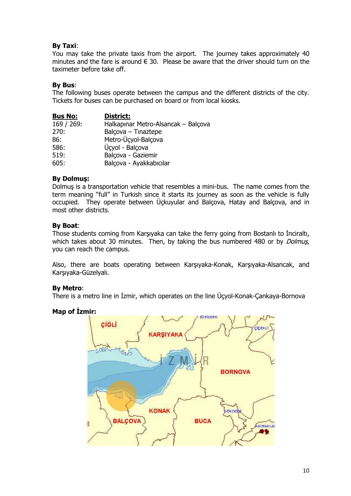# By Taxi:

You may take the private taxis from the airport. The journey takes approximately 40 minutes and the fare is around  $\in$  30. Please be aware that the driver should turn on the taximeter before take off.

# By Bus:

The following buses operate between the campus and the different districts of the city. Tickets for buses can be purchased on board or from local kiosks.

| <b>Bus No:</b> | District:                           |
|----------------|-------------------------------------|
| 169 / 269:     | Halkapınar Metro-Alsancak – Balçova |
| 270:           | Balçova - Tinaztepe                 |
| 86:            | Metro-Ücyol-Balçova                 |
| 586:           | Üçyol - Balçova                     |
| 519:           | Balçova - Gaziemir                  |
| 605:           | Balçova - Ayakkabıcılar             |

# By Dolmuş:

Dolmuş is a transportation vehicle that resembles a mini-bus. The name comes from the term meaning "full" in Turkish since it starts its journey as soon as the vehicle is fully occupied. They operate between Üçkuyular and Balçova, Hatay and Balçova, and in most other districts.

# By Boat:

Those students coming from Karşıyaka can take the ferry going from Bostanlı to İnciraltı, which takes about 30 minutes. Then, by taking the bus numbered 480 or by *Dolmus*, you can reach the campus.

Also, there are boats operating between Karşıyaka-Konak, Karşıyaka-Alsancak, and Karşıyaka-Güzelyalı.

# By Metro:

There is a metro line in İzmir, which operates on the line Üçyol-Konak-Çankaya-Bornova

# Map of Izmir:

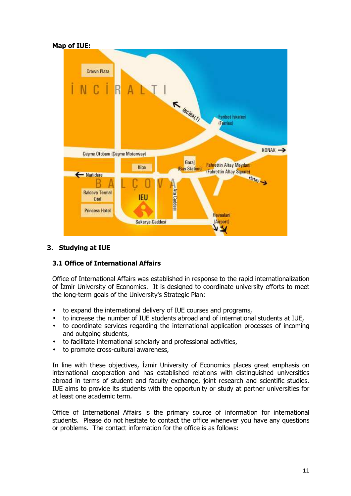

# 3. Studying at IUE

# 3.1 Office of International Affairs

Office of International Affairs was established in response to the rapid internationalization of İzmir University of Economics. It is designed to coordinate university efforts to meet the long-term goals of the University's Strategic Plan:

- to expand the international delivery of IUE courses and programs,
- to increase the number of IUE students abroad and of international students at IUE,
- to coordinate services regarding the international application processes of incoming and outgoing students,
- to facilitate international scholarly and professional activities,
- to promote cross-cultural awareness,

In line with these objectives, İzmir University of Economics places great emphasis on international cooperation and has established relations with distinguished universities abroad in terms of student and faculty exchange, joint research and scientific studies. IUE aims to provide its students with the opportunity or study at partner universities for at least one academic term.

Office of International Affairs is the primary source of information for international students. Please do not hesitate to contact the office whenever you have any questions or problems. The contact information for the office is as follows: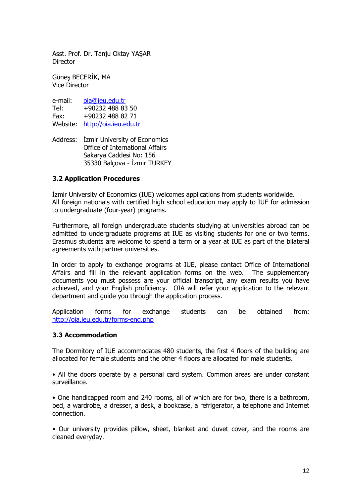Asst. Prof. Dr. Tanju Oktay YAŞAR **Director** 

Günes BECERIK, MA Vice Director

| e-mail:  | oia@ieu.edu.tr        |
|----------|-----------------------|
| Tel:     | +90232 488 83 50      |
| Fax:     | +90232 488 82 71      |
| Website: | http://oia.ieu.edu.tr |

Address: İzmir University of Economics Office of International Affairs Sakarya Caddesi No: 156 35330 Balçova - İzmir TURKEY

# 3.2 Application Procedures

**Izmir University of Economics (IUE) welcomes applications from students worldwide.** All foreign nationals with certified high school education may apply to IUE for admission to undergraduate (four-year) programs.

Furthermore, all foreign undergraduate students studying at universities abroad can be admitted to undergraduate programs at IUE as visiting students for one or two terms. Erasmus students are welcome to spend a term or a year at IUE as part of the bilateral agreements with partner universities.

In order to apply to exchange programs at IUE, please contact Office of International Affairs and fill in the relevant application forms on the web. The supplementary documents you must possess are your official transcript, any exam results you have achieved, and your English proficiency. OIA will refer your application to the relevant department and guide you through the application process.

Application forms for exchange students can be obtained from: http://oia.ieu.edu.tr/forms-eng.php

## 3.3 Accommodation

The Dormitory of IUE accommodates 480 students, the first 4 floors of the building are allocated for female students and the other 4 floors are allocated for male students.

• All the doors operate by a personal card system. Common areas are under constant surveillance.

• One handicapped room and 240 rooms, all of which are for two, there is a bathroom, bed, a wardrobe, a dresser, a desk, a bookcase, a refrigerator, a telephone and Internet connection.

• Our university provides pillow, sheet, blanket and duvet cover, and the rooms are cleaned everyday.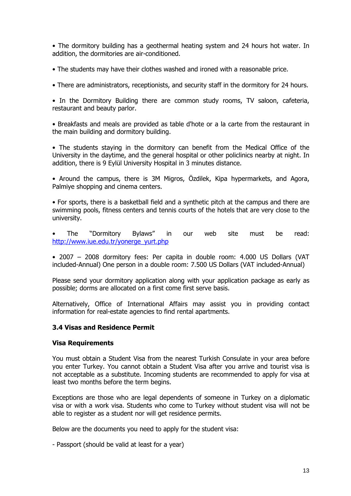• The dormitory building has a geothermal heating system and 24 hours hot water. In addition, the dormitories are air-conditioned.

• The students may have their clothes washed and ironed with a reasonable price.

• There are administrators, receptionists, and security staff in the dormitory for 24 hours.

• In the Dormitory Building there are common study rooms, TV saloon, cafeteria, restaurant and beauty parlor.

• Breakfasts and meals are provided as table d'hote or a la carte from the restaurant in the main building and dormitory building.

• The students staying in the dormitory can benefit from the Medical Office of the University in the daytime, and the general hospital or other policlinics nearby at night. In addition, there is 9 Eylül University Hospital in 3 minutes distance.

• Around the campus, there is 3M Migros, Özdilek, Kipa hypermarkets, and Agora, Palmiye shopping and cinema centers.

• For sports, there is a basketball field and a synthetic pitch at the campus and there are swimming pools, fitness centers and tennis courts of the hotels that are very close to the university.

• The "Dormitory Bylaws" in our web site must be read: http://www.iue.edu.tr/yonerge\_yurt.php

• 2007 – 2008 dormitory fees: Per capita in double room: 4.000 US Dollars (VAT included-Annual) One person in a double room: 7.500 US Dollars (VAT included-Annual)

Please send your dormitory application along with your application package as early as possible; dorms are allocated on a first come first serve basis.

Alternatively, Office of International Affairs may assist you in providing contact information for real-estate agencies to find rental apartments.

# 3.4 Visas and Residence Permit

## Visa Requirements

You must obtain a Student Visa from the nearest Turkish Consulate in your area before you enter Turkey. You cannot obtain a Student Visa after you arrive and tourist visa is not acceptable as a substitute. Incoming students are recommended to apply for visa at least two months before the term begins.

Exceptions are those who are legal dependents of someone in Turkey on a diplomatic visa or with a work visa. Students who come to Turkey without student visa will not be able to register as a student nor will get residence permits.

Below are the documents you need to apply for the student visa:

- Passport (should be valid at least for a year)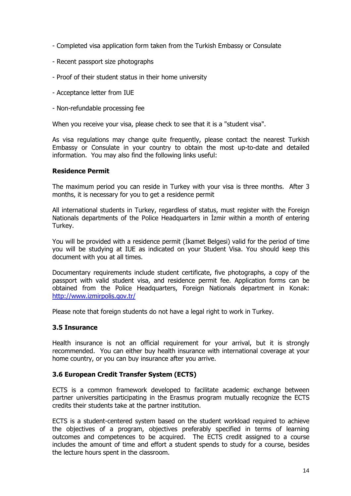- Completed visa application form taken from the Turkish Embassy or Consulate
- Recent passport size photographs
- Proof of their student status in their home university
- Acceptance letter from IUE
- Non-refundable processing fee

When you receive your visa, please check to see that it is a "student visa".

As visa regulations may change quite frequently, please contact the nearest Turkish Embassy or Consulate in your country to obtain the most up-to-date and detailed information. You may also find the following links useful:

## Residence Permit

The maximum period you can reside in Turkey with your visa is three months. After 3 months, it is necessary for you to get a residence permit

All international students in Turkey, regardless of status, must register with the Foreign Nationals departments of the Police Headquarters in Izmir within a month of entering Turkey.

You will be provided with a residence permit (Ikamet Belgesi) valid for the period of time you will be studying at IUE as indicated on your Student Visa. You should keep this document with you at all times.

Documentary requirements include student certificate, five photographs, a copy of the passport with valid student visa, and residence permit fee. Application forms can be obtained from the Police Headquarters, Foreign Nationals department in Konak: http://www.izmirpolis.gov.tr/

Please note that foreign students do not have a legal right to work in Turkey.

## 3.5 Insurance

Health insurance is not an official requirement for your arrival, but it is strongly recommended. You can either buy health insurance with international coverage at your home country, or you can buy insurance after you arrive.

## 3.6 European Credit Transfer System (ECTS)

ECTS is a common framework developed to facilitate academic exchange between partner universities participating in the Erasmus program mutually recognize the ECTS credits their students take at the partner institution.

ECTS is a student-centered system based on the student workload required to achieve the objectives of a program, objectives preferably specified in terms of learning outcomes and competences to be acquired. The ECTS credit assigned to a course includes the amount of time and effort a student spends to study for a course, besides the lecture hours spent in the classroom.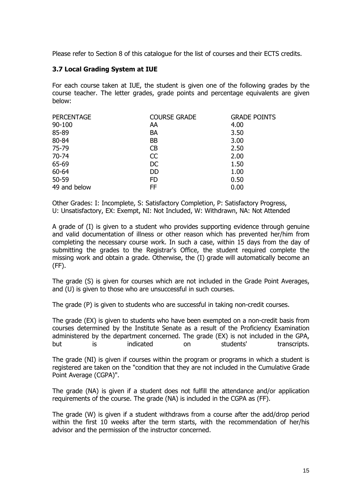Please refer to Section 8 of this catalogue for the list of courses and their ECTS credits.

# 3.7 Local Grading System at IUE

For each course taken at IUE, the student is given one of the following grades by the course teacher. The letter grades, grade points and percentage equivalents are given below:

| <b>PERCENTAGE</b> | <b>COURSE GRADE</b> | <b>GRADE POINTS</b> |
|-------------------|---------------------|---------------------|
| 90-100            | AA                  | 4.00                |
| 85-89             | <b>BA</b>           | 3.50                |
| 80-84             | <b>BB</b>           | 3.00                |
| 75-79             | <b>CB</b>           | 2.50                |
| $70 - 74$         | CC                  | 2.00                |
| 65-69             | DC                  | 1.50                |
| 60-64             | <b>DD</b>           | 1.00                |
| 50-59             | <b>FD</b>           | 0.50                |
| 49 and below      | FF.                 | 0.00                |

Other Grades: I: Incomplete, S: Satisfactory Completion, P: Satisfactory Progress, U: Unsatisfactory, EX: Exempt, NI: Not Included, W: Withdrawn, NA: Not Attended

A grade of (I) is given to a student who provides supporting evidence through genuine and valid documentation of illness or other reason which has prevented her/him from completing the necessary course work. In such a case, within 15 days from the day of submitting the grades to the Registrar's Office, the student required complete the missing work and obtain a grade. Otherwise, the (I) grade will automatically become an (FF).

The grade (S) is given for courses which are not included in the Grade Point Averages, and (U) is given to those who are unsuccessful in such courses.

The grade (P) is given to students who are successful in taking non-credit courses.

The grade (EX) is given to students who have been exempted on a non-credit basis from courses determined by the Institute Senate as a result of the Proficiency Examination administered by the department concerned. The grade (EX) is not included in the GPA, but is indicated on students' transcripts.

The grade (NI) is given if courses within the program or programs in which a student is registered are taken on the "condition that they are not included in the Cumulative Grade Point Average (CGPA)".

The grade (NA) is given if a student does not fulfill the attendance and/or application requirements of the course. The grade (NA) is included in the CGPA as (FF).

The grade (W) is given if a student withdraws from a course after the add/drop period within the first 10 weeks after the term starts, with the recommendation of her/his advisor and the permission of the instructor concerned.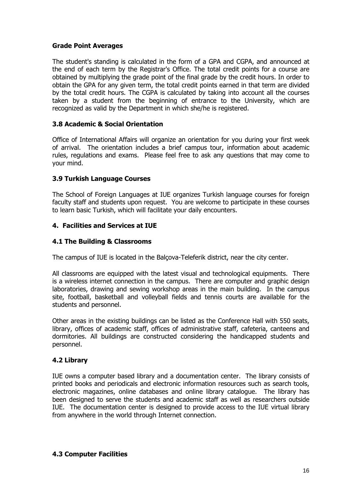# Grade Point Averages

The student's standing is calculated in the form of a GPA and CGPA, and announced at the end of each term by the Registrar's Office. The total credit points for a course are obtained by multiplying the grade point of the final grade by the credit hours. In order to obtain the GPA for any given term, the total credit points earned in that term are divided by the total credit hours. The CGPA is calculated by taking into account all the courses taken by a student from the beginning of entrance to the University, which are recognized as valid by the Department in which she/he is registered.

# 3.8 Academic & Social Orientation

Office of International Affairs will organize an orientation for you during your first week of arrival. The orientation includes a brief campus tour, information about academic rules, regulations and exams. Please feel free to ask any questions that may come to your mind.

# 3.9 Turkish Language Courses

The School of Foreign Languages at IUE organizes Turkish language courses for foreign faculty staff and students upon request. You are welcome to participate in these courses to learn basic Turkish, which will facilitate your daily encounters.

# 4. Facilities and Services at IUE

# 4.1 The Building & Classrooms

The campus of IUE is located in the Balçova-Teleferik district, near the city center.

All classrooms are equipped with the latest visual and technological equipments. There is a wireless internet connection in the campus. There are computer and graphic design laboratories, drawing and sewing workshop areas in the main building. In the campus site, football, basketball and volleyball fields and tennis courts are available for the students and personnel.

Other areas in the existing buildings can be listed as the Conference Hall with 550 seats, library, offices of academic staff, offices of administrative staff, cafeteria, canteens and dormitories. All buildings are constructed considering the handicapped students and personnel.

# 4.2 Library

IUE owns a computer based library and a documentation center. The library consists of printed books and periodicals and electronic information resources such as search tools, electronic magazines, online databases and online library catalogue. The library has been designed to serve the students and academic staff as well as researchers outside IUE. The documentation center is designed to provide access to the IUE virtual library from anywhere in the world through Internet connection.

## 4.3 Computer Facilities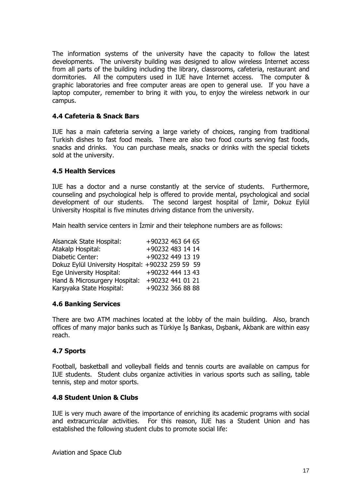The information systems of the university have the capacity to follow the latest developments. The university building was designed to allow wireless Internet access from all parts of the building including the library, classrooms, cafeteria, restaurant and dormitories. All the computers used in IUE have Internet access. The computer & graphic laboratories and free computer areas are open to general use. If you have a laptop computer, remember to bring it with you, to enjoy the wireless network in our campus.

# 4.4 Cafeteria & Snack Bars

IUE has a main cafeteria serving a large variety of choices, ranging from traditional Turkish dishes to fast food meals. There are also two food courts serving fast foods, snacks and drinks. You can purchase meals, snacks or drinks with the special tickets sold at the university.

# 4.5 Health Services

IUE has a doctor and a nurse constantly at the service of students. Furthermore, counseling and psychological help is offered to provide mental, psychological and social development of our students. The second largest hospital of İzmir, Dokuz Eylül University Hospital is five minutes driving distance from the university.

Main health service centers in Izmir and their telephone numbers are as follows:

| Alsancak State Hospital:                          | +90232 463 64 65 |
|---------------------------------------------------|------------------|
| Atakalp Hospital:                                 | +90232 483 14 14 |
| Diabetic Center:                                  | +90232 449 13 19 |
| Dokuz Eylül University Hospital: +90232 259 59 59 |                  |
| Ege University Hospital:                          | +90232 444 13 43 |
| Hand & Microsurgery Hospital:                     | +90232 441 01 21 |
| Karşıyaka State Hospital:                         | +90232 366 88 88 |

## 4.6 Banking Services

There are two ATM machines located at the lobby of the main building. Also, branch offices of many major banks such as Türkiye İş Bankası, Dışbank, Akbank are within easy reach.

## 4.7 Sports

Football, basketball and volleyball fields and tennis courts are available on campus for IUE students. Student clubs organize activities in various sports such as sailing, table tennis, step and motor sports.

# 4.8 Student Union & Clubs

IUE is very much aware of the importance of enriching its academic programs with social and extracurricular activities. For this reason, IUE has a Student Union and has established the following student clubs to promote social life:

Aviation and Space Club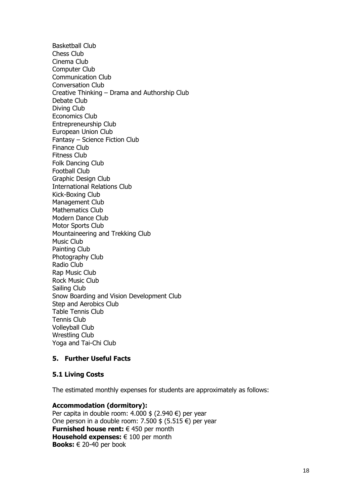Basketball Club Chess Club Cinema Club Computer Club Communication Club Conversation Club Creative Thinking – Drama and Authorship Club Debate Club Diving Club Economics Club Entrepreneurship Club European Union Club Fantasy – Science Fiction Club Finance Club Fitness Club Folk Dancing Club Football Club Graphic Design Club International Relations Club Kick-Boxing Club Management Club Mathematics Club Modern Dance Club Motor Sports Club Mountaineering and Trekking Club Music Club Painting Club Photography Club Radio Club Rap Music Club Rock Music Club Sailing Club Snow Boarding and Vision Development Club Step and Aerobics Club Table Tennis Club Tennis Club Volleyball Club Wrestling Club Yoga and Tai-Chi Club

# 5. Further Useful Facts

## 5.1 Living Costs

The estimated monthly expenses for students are approximately as follows:

# Accommodation (dormitory):

Per capita in double room: 4.000 \$ (2.940 €) per year One person in a double room: 7.500  $$$  (5.515  $$$ ) per year Furnished house rent:  $\in$  450 per month Household expenses:  $\in$  100 per month **Books:**  $\in$  20-40 per book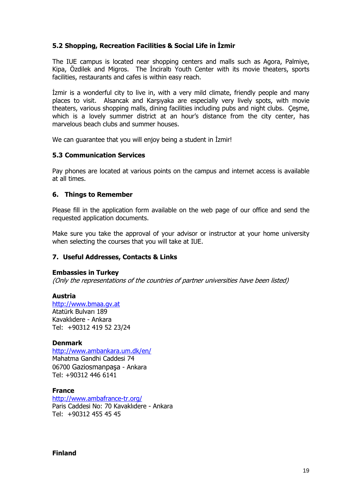# 5.2 Shopping, Recreation Facilities & Social Life in İzmir

The IUE campus is located near shopping centers and malls such as Agora, Palmiye, Kipa, Özdilek and Migros. The Inciralti Youth Center with its movie theaters, sports facilities, restaurants and cafes is within easy reach.

Izmir is a wonderful city to live in, with a very mild climate, friendly people and many places to visit. Alsancak and Karşıyaka are especially very lively spots, with movie theaters, various shopping malls, dining facilities including pubs and night clubs. Çeşme, which is a lovely summer district at an hour's distance from the city center, has marvelous beach clubs and summer houses.

We can guarantee that you will enjoy being a student in Izmir!

## 5.3 Communication Services

Pay phones are located at various points on the campus and internet access is available at all times.

## 6. Things to Remember

Please fill in the application form available on the web page of our office and send the requested application documents.

Make sure you take the approval of your advisor or instructor at your home university when selecting the courses that you will take at IUE.

# 7. Useful Addresses, Contacts & Links

## Embassies in Turkey

(Only the representations of the countries of partner universities have been listed)

## Austria

http://www.bmaa.gv.at Atatürk Bulvarı 189 Kavaklıdere - Ankara Tel: +90312 419 52 23/24

## Denmark

http://www.ambankara.um.dk/en/ Mahatma Gandhi Caddesi 74 06700 Gaziosmanpaşa - Ankara Tel: +90312 446 6141

## France

http://www.ambafrance-tr.org/ Paris Caddesi No: 70 Kavaklıdere - Ankara Tel: +90312 455 45 45

## Finland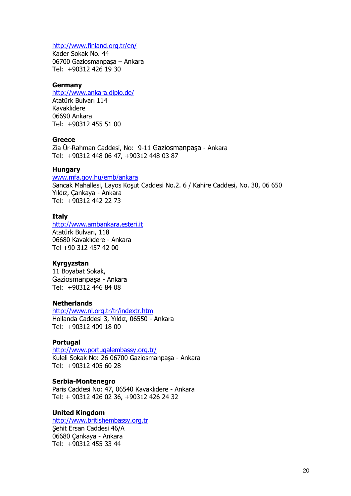# http://www.finland.org.tr/en/

Kader Sokak No. 44 06700 Gaziosmanpaşa – Ankara Tel: +90312 426 19 30

#### Germany

http://www.ankara.diplo.de/

Atatürk Bulvarı 114 Kavaklıdere 06690 Ankara Tel: +90312 455 51 00

# **Greece**

Zia Ür-Rahman Caddesi, No: 9-11 Gaziosmanpaşa - Ankara Tel: +90312 448 06 47, +90312 448 03 87

#### Hungary

www.mfa.gov.hu/emb/ankara Sancak Mahallesi, Layos Koşut Caddesi No.2. 6 / Kahire Caddesi, No. 30, 06 650 Yıldız, Çankaya - Ankara Tel: +90312 442 22 73

## **Italy**

http://www.ambankara.esteri.it Atatürk Bulvarı, 118 06680 Kavaklıdere - Ankara Tel +90 312 457 42 00

#### Kyrgyzstan

11 Boyabat Sokak, Gaziosmanpaşa - Ankara Tel: +90312 446 84 08

#### **Netherlands**

http://www.nl.org.tr/tr/indextr.htm Hollanda Caddesi 3, Yıldız, 06550 - Ankara Tel: +90312 409 18 00

#### **Portugal**

http://www.portugalembassy.org.tr/

Kuleli Sokak No: 26 06700 Gaziosmanpaşa - Ankara Tel: +90312 405 60 28

#### Serbia-Montenegro

Paris Caddesi No: 47, 06540 Kavaklıdere - Ankara Tel: + 90312 426 02 36, +90312 426 24 32

#### United Kingdom

http://www.britishembassy.org.tr Şehit Ersan Caddesi 46/A 06680 Çankaya - Ankara Tel: +90312 455 33 44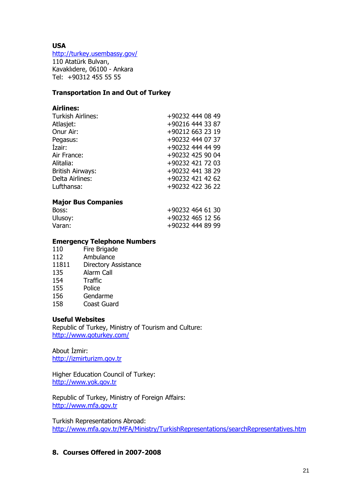# USA

http://turkey.usembassy.gov/

110 Atatürk Bulvarı, Kavaklıdere, 06100 - Ankara Tel: +90312 455 55 55

# Transportation In and Out of Turkey

# Airlines:

| <b>Turkish Airlines:</b> | +90232 444 08 49 |
|--------------------------|------------------|
| Atlasjet:                | +90216 444 33 87 |
| Onur Air:                | +90212 663 23 19 |
| Pegasus:                 | +90232 444 07 37 |
| Izair:                   | +90232 444 44 99 |
| Air France:              | +90232 425 90 04 |
| Alitalia:                | +90232 421 72 03 |
| <b>British Airways:</b>  | +90232 441 38 29 |
| Delta Airlines:          | +90232 421 42 62 |
| Lufthansa:               | +90232 422 36 22 |
|                          |                  |

# Major Bus Companies

| Boss:   | +90232 464 61 30 |
|---------|------------------|
| Ulusoy: | +90232 465 12 56 |
| Varan:  | +90232 444 89 99 |

# Emergency Telephone Numbers

- 110 Fire Brigade
- 112 Ambulance
- 11811 Directory Assistance
- 135 Alarm Call
- 154 Traffic
- 155 Police
- 156 Gendarme
- 158 Coast Guard

## Useful Websites

Republic of Turkey, Ministry of Tourism and Culture: http://www.goturkey.com/

About İzmir: http://izmirturizm.gov.tr

Higher Education Council of Turkey: http://www.yok.gov.tr

Republic of Turkey, Ministry of Foreign Affairs: http://www.mfa.gov.tr

Turkish Representations Abroad: http://www.mfa.gov.tr/MFA/Ministry/TurkishRepresentations/searchRepresentatives.htm

# 8. Courses Offered in 2007-2008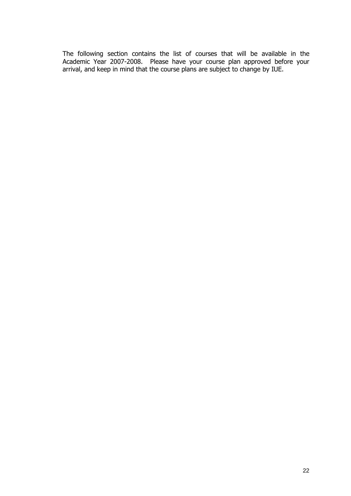The following section contains the list of courses that will be available in the Academic Year 2007-2008. Please have your course plan approved before your arrival, and keep in mind that the course plans are subject to change by IUE.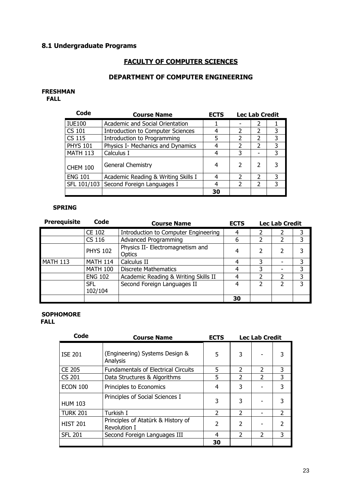# 8.1 Undergraduate Programs

# FACULTY OF COMPUTER SCIENCES

# DEPARTMENT OF COMPUTER ENGINEERING

#### FRESHMAN

FALL

| Code            | <b>Course Name</b>                       | <b>ECTS</b> |               | <b>Lec Lab Credit</b> |   |
|-----------------|------------------------------------------|-------------|---------------|-----------------------|---|
| <b>IUE100</b>   | Academic and Social Orientation          |             |               | $\mathcal{P}$         |   |
| CS 101          | <b>Introduction to Computer Sciences</b> |             | 2             | 2                     | 3 |
| <b>CS 115</b>   | Introduction to Programming              |             | 2             | $\overline{2}$        | 3 |
| <b>PHYS 101</b> | Physics I- Mechanics and Dynamics        |             | 2             | $\mathcal{P}$         | 3 |
| <b>MATH 113</b> | Calculus I                               |             | 3             |                       | 3 |
| <b>CHEM 100</b> | General Chemistry                        | 4           |               | 2                     |   |
| <b>ENG 101</b>  | Academic Reading & Writing Skills I      |             | $\mathcal{P}$ | $\mathfrak z$         | 3 |
| SFL 101/103     | Second Foreign Languages I               |             | 2             | 2                     | 3 |
|                 |                                          | 30          |               |                       |   |

# SPRING

| <b>Prerequisite</b> | Code                  | <b>Course Name</b><br><b>ECTS</b>          |    |   | <b>Lec Lab Credit</b> |   |
|---------------------|-----------------------|--------------------------------------------|----|---|-----------------------|---|
|                     | <b>CE 102</b>         | Introduction to Computer Engineering       | 4  |   |                       |   |
|                     | CS 116                | <b>Advanced Programming</b>                | 6  |   |                       | 3 |
|                     | <b>PHYS 102</b>       | Physics II- Electromagnetism and<br>Optics | 4  |   |                       | 3 |
| <b>MATH 113</b>     | <b>MATH 114</b>       | Calculus II                                | 4  | 3 |                       | 3 |
|                     | <b>MATH 100</b>       | <b>Discrete Mathematics</b>                |    |   |                       | 3 |
|                     | <b>ENG 102</b>        | Academic Reading & Writing Skills II       | 4  |   |                       | 3 |
|                     | <b>SFL</b><br>102/104 | Second Foreign Languages II                | 4  |   |                       | 3 |
|                     |                       |                                            | 30 |   |                       |   |

# SOPHOMORE **FAL**

| Code            | <b>Course Name</b>                                 | <b>ECTS</b>    |                          | <b>Lec Lab Credit</b> |               |
|-----------------|----------------------------------------------------|----------------|--------------------------|-----------------------|---------------|
| <b>ISE 201</b>  | (Engineering) Systems Design &<br>Analysis         | 5              | 3                        |                       | 3             |
| <b>CE 205</b>   | <b>Fundamentals of Electrical Circuits</b>         | 5              | $\overline{2}$           | $\mathcal{P}$         | 3             |
| <b>CS 201</b>   | Data Structures & Algorithms                       | 5              | $\overline{\phantom{a}}$ | $\overline{2}$        | 3             |
| ECON 100        | Principles to Economics                            | 4              | 3                        |                       | 3             |
| <b>HUM 103</b>  | Principles of Social Sciences I                    | 3              | 3                        |                       | 3             |
| <b>TURK 201</b> | Turkish I                                          | $\overline{2}$ | $\overline{2}$           |                       | 2             |
| <b>HIST 201</b> | Principles of Atatürk & History of<br>Revolution I | $\overline{2}$ | $\overline{\phantom{a}}$ |                       | $\mathcal{P}$ |
| <b>SFL 201</b>  | Second Foreign Languages III                       | 4              | $\overline{2}$           | $\overline{2}$        | 3             |
|                 |                                                    | 30             |                          |                       |               |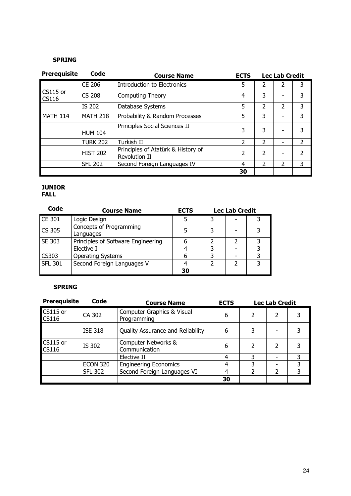# SPRING

| <b>Prerequisite</b>             | Code            | <b>Course Name</b>                                         | <b>ECTS</b>              |                          | <b>Lec Lab Credit</b>    |                |
|---------------------------------|-----------------|------------------------------------------------------------|--------------------------|--------------------------|--------------------------|----------------|
|                                 | <b>CE 206</b>   | <b>Introduction to Electronics</b>                         | 5                        | 2                        |                          | 3              |
| <b>CS115</b> or<br><b>CS116</b> | <b>CS 208</b>   | <b>Computing Theory</b>                                    | 4                        | 3                        |                          | 3              |
|                                 | IS 202          | Database Systems                                           | 5                        | $\overline{\phantom{a}}$ | $\overline{\phantom{a}}$ | 3              |
| <b>MATH 114</b>                 | <b>MATH 218</b> | Probability & Random Processes                             | 5                        | 3                        |                          | 3              |
|                                 | <b>HUM 104</b>  | Principles Social Sciences II                              | 3                        | 3                        |                          | 3              |
|                                 | <b>TURK 202</b> | Turkish II                                                 | $\overline{2}$           | $\overline{2}$           |                          | $\overline{2}$ |
|                                 | <b>HIST 202</b> | Principles of Atatürk & History of<br><b>Revolution II</b> | $\overline{\phantom{a}}$ | $\overline{\phantom{a}}$ |                          | $\overline{2}$ |
|                                 | <b>SFL 202</b>  | Second Foreign Languages IV                                | 4                        | $\overline{\phantom{a}}$ | 2                        | 3              |
|                                 |                 |                                                            | 30                       |                          |                          |                |

#### JUNIOR FALL

| Code           | <b>Course Name</b>                   | <b>ECTS</b> | <b>Lec Lab Credit</b> |  |
|----------------|--------------------------------------|-------------|-----------------------|--|
| <b>CE 301</b>  | Logic Design                         |             |                       |  |
| CS 305         | Concepts of Programming<br>Languages |             |                       |  |
| SE 303         | Principles of Software Engineering   |             |                       |  |
|                | Elective I                           |             |                       |  |
| CS303          | <b>Operating Systems</b>             |             |                       |  |
| <b>SFL 301</b> | Second Foreign Languages V           |             |                       |  |
|                |                                      | 30          |                       |  |

#### SPRING

| <b>Prerequisite</b>      | Code            | <b>Course Name</b>                        | <b>ECTS</b> |   | <b>Lec Lab Credit</b> |   |
|--------------------------|-----------------|-------------------------------------------|-------------|---|-----------------------|---|
| CS115 or<br><b>CS116</b> | CA 302          | Computer Graphics & Visual<br>Programming | 6           |   | 2                     |   |
|                          | <b>ISE 318</b>  | Quality Assurance and Reliability         | 6           |   |                       |   |
| CS115 or<br><b>CS116</b> | IS 302          | Computer Networks &<br>Communication      | 6           | っ | 2                     |   |
|                          |                 | Elective II                               |             |   |                       |   |
|                          | <b>ECON 320</b> | <b>Engineering Economics</b>              | 4           | 3 |                       | 3 |
|                          | <b>SFL 302</b>  | Second Foreign Languages VI               | 4           |   | 2                     | 3 |
|                          |                 |                                           | 30          |   |                       |   |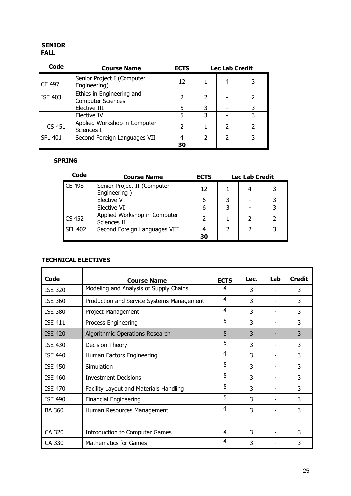#### SENIOR FALL

| Code           | <b>Course Name</b>                                    | <b>ECTS</b>   |                | <b>Lec Lab Credit</b> |   |
|----------------|-------------------------------------------------------|---------------|----------------|-----------------------|---|
| CE 497         | Senior Project I (Computer<br>Engineering)            | 12            |                | 4                     |   |
| <b>ISE 403</b> | Ethics in Engineering and<br><b>Computer Sciences</b> | $\mathcal{P}$ | 2              |                       |   |
|                | Elective III                                          | 5             | 3              |                       |   |
|                | Elective IV                                           | 5             | 3              |                       |   |
| CS 451         | Applied Workshop in Computer<br>Sciences I            | C             |                | $\mathcal{P}$         |   |
| <b>SFL 401</b> | Second Foreign Languages VII                          |               | $\mathfrak{p}$ | $\mathcal{P}$         | 3 |
|                |                                                       | 30            |                |                       |   |

#### SPRING

| Code           | <b>Course Name</b>                          | <b>ECTS</b> | <b>Lec Lab Credit</b> |  |  |
|----------------|---------------------------------------------|-------------|-----------------------|--|--|
| <b>CE 498</b>  | Senior Project II (Computer<br>Engineering  | 12          |                       |  |  |
|                | Elective V                                  |             |                       |  |  |
|                | Elective VI                                 |             |                       |  |  |
| <b>CS 452</b>  | Applied Workshop in Computer<br>Sciences II |             |                       |  |  |
| <b>SFL 402</b> | Second Foreign Languages VIII               |             |                       |  |  |
|                |                                             | 30          |                       |  |  |

## TECHNICAL ELECTIVES

| Code           | <b>Course Name</b>                        | <b>ECTS</b> | Lec. | Lab | <b>Credit</b> |
|----------------|-------------------------------------------|-------------|------|-----|---------------|
| <b>ISE 320</b> | Modeling and Analysis of Supply Chains    | 4           | 3    |     | 3             |
| <b>ISE 360</b> | Production and Service Systems Management | 4           | 3    |     | 3             |
| <b>ISE 380</b> | Project Management                        | 4           | 3    |     | 3             |
| <b>ISE 411</b> | Process Engineering                       | 5           | 3    |     | 3             |
| <b>ISE 420</b> | Algorithmic Operations Research           | 5           | 3    |     | 3             |
| <b>ISE 430</b> | Decision Theory                           | 5           | 3    |     | 3             |
| <b>ISE 440</b> | Human Factors Engineering                 | 4           | 3    |     | 3             |
| <b>ISE 450</b> | Simulation                                | 5           | 3    |     | 3             |
| <b>ISE 460</b> | <b>Investment Decisions</b>               | 5           | 3    |     | 3             |
| <b>ISE 470</b> | Facility Layout and Materials Handling    | 5           | 3    |     | 3             |
| <b>ISE 490</b> | <b>Financial Engineering</b>              | 5           | 3    |     | 3             |
| <b>BA 360</b>  | Human Resources Management                | 4           | 3    |     | 3             |
|                |                                           |             |      |     |               |
| CA 320         | Introduction to Computer Games            | 4           | 3    |     | 3             |
| CA 330         | <b>Mathematics for Games</b>              | 4           | 3    |     | 3             |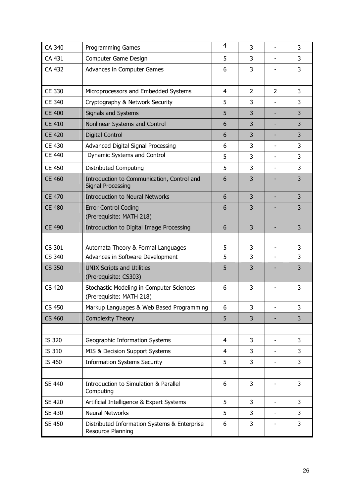| CA 340              | <b>Programming Games</b>                                               | $\overline{4}$ | 3              |                          | 3              |
|---------------------|------------------------------------------------------------------------|----------------|----------------|--------------------------|----------------|
| CA 431              | Computer Game Design                                                   | 5              | 3              |                          | 3              |
| CA 432              | Advances in Computer Games                                             | 6              | 3              |                          | 3              |
|                     |                                                                        |                |                |                          |                |
| CE 330              | Microprocessors and Embedded Systems                                   | 4              | $\overline{2}$ | 2                        | 3              |
| CE 340              | Cryptography & Network Security                                        | 5              | 3              |                          | 3              |
| <b>CE 400</b>       | <b>Signals and Systems</b>                                             | 5              | 3              |                          | 3              |
| <b>CE 410</b>       | Nonlinear Systems and Control                                          | 6              | 3              |                          | 3              |
| <b>CE 420</b>       | <b>Digital Control</b>                                                 | 6              | 3              |                          | 3              |
| <b>CE 430</b>       | Advanced Digital Signal Processing                                     | 6              | 3              |                          | 3              |
| <b>CE 440</b>       | Dynamic Systems and Control                                            | 5              | 3              |                          | 3              |
| <b>CE 450</b>       | <b>Distributed Computing</b>                                           | 5              | 3              |                          | 3              |
| <b>CE 460</b>       | Introduction to Communication, Control and<br><b>Signal Processing</b> | 6              | 3              |                          | 3              |
| <b>CE 470</b>       | <b>Introduction to Neural Networks</b>                                 | 6              | 3              |                          | 3              |
| <b>CE 480</b>       | <b>Error Control Coding</b><br>(Prerequisite: MATH 218)                | 6              | 3              |                          | 3              |
| <b>CE 490</b>       | Introduction to Digital Image Processing                               | 6              | 3              |                          | $\overline{3}$ |
|                     |                                                                        |                |                |                          |                |
| $\overline{CS}$ 301 | Automata Theory & Formal Languages                                     | 5              | 3              | $\overline{\phantom{a}}$ | 3              |
| CS 340              | Advances in Software Development                                       | 5              | 3              |                          | 3              |
| <b>CS 350</b>       | <b>UNIX Scripts and Utilities</b><br>(Prerequisite: CS303)             | 5              | 3              |                          | 3              |
| <b>CS 420</b>       | Stochastic Modeling in Computer Sciences<br>(Prerequisite: MATH 218)   | 6              | 3              |                          | 3              |
| CS 450              | Markup Languages & Web Based Programming                               | 6              | 3              | -                        | 3              |
| <b>CS 460</b>       | <b>Complexity Theory</b>                                               | 5              | 3              |                          | 3              |
|                     |                                                                        |                |                |                          |                |
| IS 320              | Geographic Information Systems                                         | $\overline{4}$ | 3              |                          | 3              |
| IS 310              | MIS & Decision Support Systems                                         | $\overline{4}$ | 3              |                          | 3              |
| IS 460              | <b>Information Systems Security</b>                                    | 5              | 3              |                          | 3              |
|                     |                                                                        |                |                |                          |                |
| <b>SE 440</b>       | Introduction to Simulation & Parallel<br>Computing                     | 6              | 3              |                          | 3              |
| <b>SE 420</b>       | Artificial Intelligence & Expert Systems                               | 5              | 3              |                          | 3              |
| SE 430              | <b>Neural Networks</b>                                                 | 5              | 3              |                          | 3              |
| <b>SE 450</b>       | Distributed Information Systems & Enterprise<br>Resource Planning      | 6              | 3              |                          | 3              |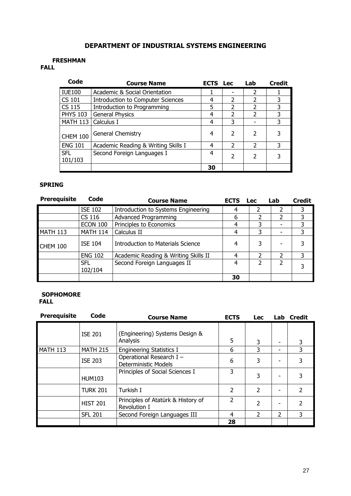# DEPARTMENT OF INDUSTRIAL SYSTEMS ENGINEERING

#### FRESHMAN

# FALL

| Code                  | <b>Course Name</b>                       | <b>ECTS</b> | Lec                      | Lab                      | <b>Credit</b> |
|-----------------------|------------------------------------------|-------------|--------------------------|--------------------------|---------------|
| <b>IUE100</b>         | Academic & Social Orientation            |             |                          | 2                        |               |
| <b>CS 101</b>         | <b>Introduction to Computer Sciences</b> | 4           | $\overline{\mathcal{L}}$ | $\mathcal{P}$            | 3             |
| <b>CS 115</b>         | Introduction to Programming              | 5           | C                        | $\mathcal{P}$            | 3             |
| <b>PHYS 103</b>       | <b>General Physics</b>                   | 4           | $\mathcal{P}$            | $\mathcal{P}$            | 3             |
| <b>MATH 113</b>       | Calculus I                               | 4           | 3                        |                          | 3             |
| <b>CHEM 100</b>       | General Chemistry                        | 4           | $\overline{\phantom{a}}$ | $\overline{\phantom{a}}$ | 3             |
| <b>ENG 101</b>        | Academic Reading & Writing Skills I      | 4           | $\mathcal{P}$            | $\mathcal{P}$            | 3             |
| <b>SFL</b><br>101/103 | Second Foreign Languages I               | 4           | $\overline{\phantom{a}}$ | $\mathfrak z$            | 3             |
|                       |                                          | 30          |                          |                          |               |

# SPRING

| <b>Prerequisite</b> | Code                  | <b>Course Name</b>                   | <b>ECTS</b> | <b>Lec</b> | Lab | <b>Credit</b> |
|---------------------|-----------------------|--------------------------------------|-------------|------------|-----|---------------|
|                     | <b>ISE 102</b>        | Introduction to Systems Engineering  | 4           | 2          | 2   | 3             |
|                     | CS 116                | Advanced Programming                 | 6           |            |     | 3             |
|                     | <b>ECON 100</b>       | Principles to Economics              | 4           | 3          |     | 3             |
| <b>MATH 113</b>     | <b>MATH 114</b>       | Calculus II                          | 4           | 3          |     | 3             |
| <b>CHEM 100</b>     | <b>ISE 104</b>        | Introduction to Materials Science    | 4           | 3          |     | 3             |
|                     | <b>ENG 102</b>        | Academic Reading & Writing Skills II | 4           |            | 2   | 3             |
|                     | <b>SFL</b><br>102/104 | Second Foreign Languages II          | 4           | 2          | 2   |               |
|                     |                       |                                      | 30          |            |     |               |

# **SOPHOMORE**

FALL

| <b>Prerequisite</b> | Code            | <b>Course Name</b>                                 | <b>ECTS</b>    | <b>Lec</b>               |   | Lab Credit    |
|---------------------|-----------------|----------------------------------------------------|----------------|--------------------------|---|---------------|
|                     | <b>ISE 201</b>  | Engineering) Systems Design &<br>Analysis          | 5              | 3                        |   | 3             |
| <b>MATH 113</b>     | <b>MATH 215</b> | <b>Engineering Statistics I</b>                    | 6              | 3                        |   | 3             |
|                     | <b>ISE 203</b>  | Operational Research I -<br>Deterministic Models   | 6              | 3                        |   |               |
|                     | <b>HUM103</b>   | Principles of Social Sciences I                    | 3              | 3                        |   |               |
|                     | <b>TURK 201</b> | Turkish I                                          | 2              | $\overline{\phantom{a}}$ |   | $\mathcal{P}$ |
|                     | <b>HIST 201</b> | Principles of Atatürk & History of<br>Revolution I | $\overline{2}$ | $\overline{\phantom{a}}$ |   | 2             |
|                     | <b>SFL 201</b>  | Second Foreign Languages III                       | 4              | $\mathfrak{p}$           | 2 | 3             |
|                     |                 |                                                    | 28             |                          |   |               |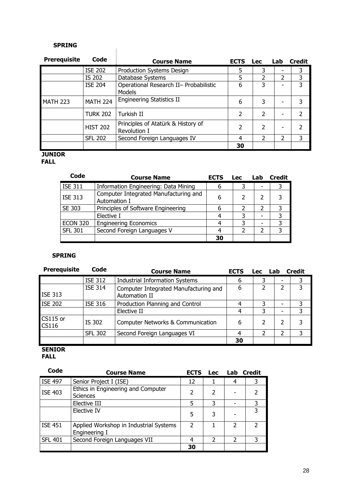#### SPRING

 $\mathbf{r}$ 

| <b>Prerequisite</b> | Code            | <b>Course Name</b>                                      | <b>ECTS</b>              | <b>Lec</b>    | Lab | <b>Credit</b> |
|---------------------|-----------------|---------------------------------------------------------|--------------------------|---------------|-----|---------------|
|                     | <b>ISE 202</b>  | <b>Production Systems Design</b>                        | 5                        | 3             |     | 3             |
|                     | IS 202          | Database Systems                                        | 5                        | 2             |     | 3             |
|                     | <b>ISE 204</b>  | Operational Research II- Probabilistic<br><b>Models</b> | 6                        | 3             |     | 3             |
| <b>MATH 223</b>     | <b>MATH 224</b> | <b>Engineering Statistics II</b>                        | 6                        | 3             |     | 3             |
|                     | <b>TURK 202</b> | Turkish II                                              | $\mathcal{P}$            | $\mathcal{P}$ |     |               |
|                     | <b>HIST 202</b> | Principles of Atatürk & History of<br>Revolution I      | $\overline{\phantom{a}}$ | $\mathcal{P}$ |     |               |
|                     | <b>SFL 202</b>  | Second Foreign Languages IV                             | 4                        | 2             |     | 3             |
|                     |                 |                                                         | 30                       |               |     |               |

# **JUNIOR**

**FALL** 

| Code            | <b>Course Name</b>                                    | <b>ECTS</b> | <b>Lec</b> | Lab | <b>Credit</b> |
|-----------------|-------------------------------------------------------|-------------|------------|-----|---------------|
| <b>ISE 311</b>  | Information Engineering: Data Mining                  | 6           |            |     |               |
| <b>ISE 313</b>  | Computer Integrated Manufacturing and<br>Automation I | 6           |            |     |               |
| SE 303          | Principles of Software Engineering                    | 6           |            |     | 3             |
|                 | Elective I                                            |             |            |     | 3             |
| <b>ECON 320</b> | <b>Engineering Economics</b>                          |             |            |     | 3             |
| <b>SFL 301</b>  | Second Foreign Languages V                            |             |            |     |               |
|                 |                                                       | 30          |            |     |               |

# SPRING

| <b>Prerequisite</b>      | Code           | <b>Course Name</b>                                     | <b>ECTS</b> | <b>Lec</b> | Lab | <b>Credit</b> |
|--------------------------|----------------|--------------------------------------------------------|-------------|------------|-----|---------------|
|                          | <b>ISE 312</b> | <b>Industrial Information Systems</b>                  | 6           | 3          |     | 3             |
| <b>ISE 313</b>           | <b>ISE 314</b> | Computer Integrated Manufacturing and<br>Automation II | 6           |            |     | 3             |
| <b>ISE 202</b>           | <b>ISE 316</b> | Production Planning and Control                        |             |            |     |               |
|                          |                | Elective II                                            | 4           | 3          |     | 3             |
| CS115 or<br><b>CS116</b> | IS 302         | <b>Computer Networks &amp; Communication</b>           | 6           | 2          |     | 3             |
|                          | <b>SFL 302</b> | Second Foreign Languages VI                            | 4           |            |     |               |
|                          |                |                                                        | 30          |            |     |               |

# SENIOR

FALL

| Code           | <b>Course Name</b>                                      | <b>ECTS</b>              | Lec | Lab | <b>Credit</b> |
|----------------|---------------------------------------------------------|--------------------------|-----|-----|---------------|
| <b>ISE 497</b> | Senior Project I (ISE)                                  | 12                       |     | 4   |               |
| <b>ISE 403</b> | Ethics in Engineering and Computer<br><b>Sciences</b>   | $\overline{\phantom{a}}$ | 2   |     |               |
|                | Elective III                                            | 5                        | 3   |     |               |
|                | Elective IV                                             | 5                        | 3   |     |               |
| <b>ISE 451</b> | Applied Workshop in Industrial Systems<br>Engineering I | $\mathcal{P}$            |     | 2   |               |
| <b>SFL 401</b> | Second Foreign Languages VII                            |                          |     | 2   |               |
|                |                                                         | 30                       |     |     |               |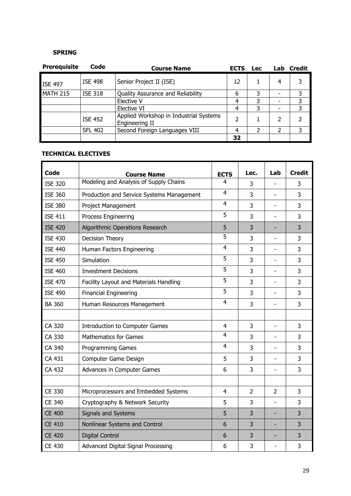# SPRING

| <b>Prerequisite</b> | Code           | <b>Course Name</b>                                       | <b>ECTS</b> | <b>Lec</b> | Lab | <b>Credit</b> |
|---------------------|----------------|----------------------------------------------------------|-------------|------------|-----|---------------|
| <b>ISE 497</b>      | <b>ISE 498</b> | Senior Project II (ISE)                                  | 12          |            | 4   |               |
| <b>MATH 215</b>     | <b>ISE 318</b> | Quality Assurance and Reliability                        | 6           | ς          |     |               |
|                     |                | Elective V                                               | 4           |            |     | 3             |
|                     |                | Elective VI                                              | 4           | ٦          |     | 3             |
|                     | <b>ISE 452</b> | Applied Workshop in Industrial Systems<br>Engineering II | 7           |            |     |               |
|                     | <b>SFL 402</b> | Second Foreign Languages VIII                            | 4           |            |     |               |
|                     |                |                                                          | 32          |            |     |               |

# TECHNICAL ELECTIVES

| Code           |                                           |                | Lec.           | Lab               | <b>Credit</b> |
|----------------|-------------------------------------------|----------------|----------------|-------------------|---------------|
|                | <b>Course Name</b>                        | <b>ECTS</b>    |                |                   |               |
| <b>ISE 320</b> | Modeling and Analysis of Supply Chains    | 4              | 3              |                   | 3             |
| <b>ISE 360</b> | Production and Service Systems Management | $\overline{4}$ | 3              | ÷,                | 3             |
| <b>ISE 380</b> | Project Management                        | $\overline{4}$ | 3              | ۰                 | 3             |
| <b>ISE 411</b> | Process Engineering                       | 5              | 3              | L,                | 3             |
| <b>ISE 420</b> | Algorithmic Operations Research           | 5              | 3              |                   | 3             |
| <b>ISE 430</b> | Decision Theory                           | 5              | 3              |                   | 3             |
| <b>ISE 440</b> | Human Factors Engineering                 | $\overline{4}$ | 3              | $\overline{a}$    | 3             |
| <b>ISE 450</b> | Simulation                                | 5              | 3              | ۰                 | 3             |
| <b>ISE 460</b> | <b>Investment Decisions</b>               | 5              | 3              | ۰                 | 3             |
| <b>ISE 470</b> | Facility Layout and Materials Handling    | 5              | 3              |                   | 3             |
| <b>ISE 490</b> | <b>Financial Engineering</b>              | 5              | 3              |                   | 3             |
| <b>BA 360</b>  | Human Resources Management                | 4              | 3              |                   | 3             |
|                |                                           |                |                |                   |               |
| CA 320         | <b>Introduction to Computer Games</b>     | $\overline{4}$ | 3              | $\qquad \qquad -$ | 3             |
| CA 330         | <b>Mathematics for Games</b>              | 4              | 3              |                   | 3             |
| CA 340         | <b>Programming Games</b>                  | 4              | 3              | $\blacksquare$    | 3             |
| CA 431         | Computer Game Design                      | 5              | 3              |                   | 3             |
| CA 432         | Advances in Computer Games                | 6              | 3              |                   | 3             |
|                |                                           |                |                |                   |               |
| CE 330         | Microprocessors and Embedded Systems      | $\overline{4}$ | $\overline{2}$ | $\overline{2}$    | 3             |
| <b>CE 340</b>  | Cryptography & Network Security           | 5              | 3              | L,                | 3             |
| <b>CE 400</b>  | <b>Signals and Systems</b>                | 5              | 3              |                   | 3             |
| <b>CE 410</b>  | Nonlinear Systems and Control             | 6              | 3              | -                 | 3             |
| <b>CE 420</b>  | <b>Digital Control</b>                    | 6              | 3              |                   | 3             |
| <b>CE 430</b>  | Advanced Digital Signal Processing        | 6              | 3              | L,                | 3             |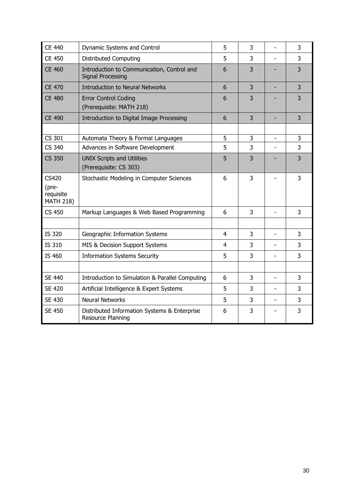| <b>CE 440</b>                                          | Dynamic Systems and Control                                              | 5              | 3 |                | 3              |
|--------------------------------------------------------|--------------------------------------------------------------------------|----------------|---|----------------|----------------|
| <b>CE 450</b>                                          | <b>Distributed Computing</b>                                             | 5              | 3 |                | 3              |
| <b>CE 460</b>                                          | Introduction to Communication, Control and<br>Signal Processing          | 6              | 3 |                | 3              |
| <b>CE 470</b>                                          | <b>Introduction to Neural Networks</b>                                   | 6              | 3 |                | 3              |
| <b>CE 480</b>                                          | <b>Error Control Coding</b><br>(Prerequisite: MATH 218)                  | 6              | 3 |                | 3              |
| <b>CE 490</b>                                          | Introduction to Digital Image Processing                                 | 6              | 3 | ٠              | 3              |
|                                                        |                                                                          |                |   |                |                |
| CS 301                                                 | Automata Theory & Formal Languages                                       | 5              | 3 |                | $\overline{3}$ |
| <b>CS 340</b>                                          | Advances in Software Development                                         | 5              | 3 |                | 3              |
| <b>CS 350</b>                                          | <b>UNIX Scripts and Utilities</b><br>(Prerequisite: CS 303)              | 5              | 3 |                | 3              |
| <b>CS420</b><br>(pre-<br>requisite<br><b>MATH 218)</b> | Stochastic Modeling in Computer Sciences                                 | 6              | 3 |                | 3              |
| <b>CS 450</b>                                          | Markup Languages & Web Based Programming                                 | 6              | 3 | $\blacksquare$ | 3              |
|                                                        |                                                                          |                |   |                |                |
| <b>IS 320</b>                                          | Geographic Information Systems                                           | $\overline{4}$ | 3 | L,             | 3              |
| IS 310                                                 | MIS & Decision Support Systems                                           | $\overline{4}$ | 3 |                | 3              |
| IS 460                                                 | <b>Information Systems Security</b>                                      | 5              | 3 |                | 3              |
|                                                        |                                                                          |                |   |                |                |
| <b>SE 440</b>                                          | Introduction to Simulation & Parallel Computing                          | 6              | 3 |                | 3              |
| <b>SE 420</b>                                          | Artificial Intelligence & Expert Systems                                 | 5              | 3 |                | 3              |
| <b>SE 430</b>                                          | <b>Neural Networks</b>                                                   | 5              | 3 | $\overline{a}$ | 3              |
| <b>SE 450</b>                                          | Distributed Information Systems & Enterprise<br><b>Resource Planning</b> | 6              | 3 |                | 3              |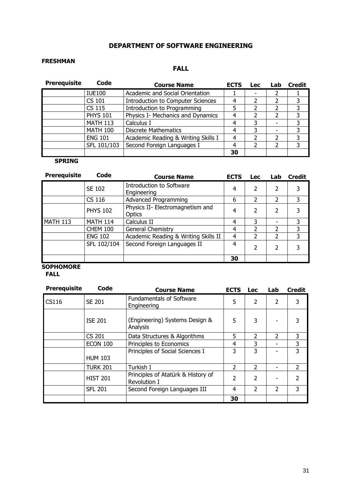# DEPARTMENT OF SOFTWARE ENGINEERING

# FRESHMAN

# FALL

| <b>Prerequisite</b> | Code            | <b>Course Name</b>                       | <b>ECTS</b> | <b>Lec</b> | Lab | <b>Credit</b> |
|---------------------|-----------------|------------------------------------------|-------------|------------|-----|---------------|
|                     | <b>IUE100</b>   | Academic and Social Orientation          |             |            |     |               |
|                     | CS 101          | <b>Introduction to Computer Sciences</b> | 4           |            |     |               |
|                     | <b>CS 115</b>   | Introduction to Programming              |             |            |     | 3             |
|                     | <b>PHYS 101</b> | Physics I- Mechanics and Dynamics        | 4           |            | C   | 3             |
|                     | <b>MATH 113</b> | Calculus I                               | 4           |            |     | 3             |
|                     | <b>MATH 100</b> | <b>Discrete Mathematics</b>              | 4           | 3          |     | 3             |
|                     | <b>ENG 101</b>  | Academic Reading & Writing Skills I      | 4           |            |     | 3             |
|                     | SFL 101/103     | Second Foreign Languages I               | 4           |            |     |               |
|                     |                 |                                          | 30          |            |     |               |

## **SPRING**

| <b>Prerequisite</b> | Code            | <b>Course Name</b>                         | <b>ECTS</b> | <b>Lec</b>    | Lab.                     | <b>Credit</b> |
|---------------------|-----------------|--------------------------------------------|-------------|---------------|--------------------------|---------------|
|                     | SE 102          | Introduction to Software<br>Engineering    | 4           | $\mathcal{P}$ | $\overline{\mathcal{L}}$ |               |
|                     | CS 116          | <b>Advanced Programming</b>                | 6           | 2             | 2                        | 3             |
|                     | <b>PHYS 102</b> | Physics II- Electromagnetism and<br>Optics | 4           | $\mathcal{P}$ | $\overline{\mathcal{L}}$ |               |
| <b>MATH 113</b>     | <b>MATH 114</b> | Calculus II                                | 4           | 3             |                          | 3             |
|                     | <b>CHEM 100</b> | General Chemistry                          | 4           | 2             | 2                        | 3             |
|                     | <b>ENG 102</b>  | Academic Reading & Writing Skills II       | 4           | 2             | 2                        | 3             |
|                     | SFL 102/104     | Second Foreign Languages II                | 4           | $\mathcal{P}$ | $\overline{\mathcal{L}}$ |               |
|                     |                 |                                            | 30          |               |                          |               |

# **SOPHOMORE**

FALL

| <b>Prerequisite</b> | Code            | <b>Course Name</b>                                 | <b>ECTS</b>    | <b>Lec</b>               | Lab                      | <b>Credit</b> |
|---------------------|-----------------|----------------------------------------------------|----------------|--------------------------|--------------------------|---------------|
| <b>CS116</b>        | SE 201          | <b>Fundamentals of Software</b><br>Engineering     | 5              | $\overline{2}$           | $\overline{\mathcal{L}}$ | 3             |
|                     | <b>ISE 201</b>  | (Engineering) Systems Design &<br>Analysis         | 5              | 3                        |                          |               |
|                     | <b>CS 201</b>   | Data Structures & Algorithms                       | 5              | $\mathcal{P}$            | $\mathcal{L}$            | 3             |
|                     | <b>ECON 100</b> | Principles to Economics                            | 4              | 3                        |                          | 3             |
|                     |                 | Principles of Social Sciences I                    | 3              | 3                        |                          | 3             |
|                     | <b>HUM 103</b>  |                                                    |                |                          |                          |               |
|                     | <b>TURK 201</b> | Turkish I                                          | $\overline{2}$ | $\overline{2}$           |                          | 2             |
|                     | <b>HIST 201</b> | Principles of Atatürk & History of<br>Revolution I | 2              | $\overline{\mathcal{L}}$ |                          | $\mathcal{P}$ |
|                     | <b>SFL 201</b>  | Second Foreign Languages III                       | 4              | $\mathcal{P}$            | $\mathcal{P}$            | 3             |
|                     |                 |                                                    | 30             |                          |                          |               |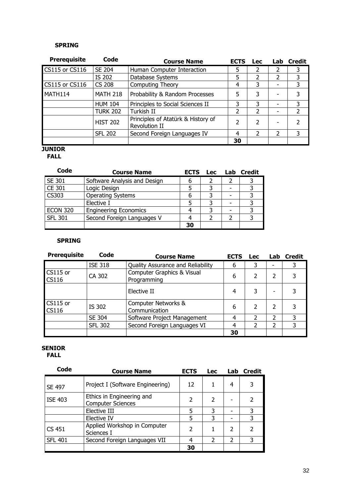#### SPRING

| <b>Prerequisite</b>   | Code            | <b>Course Name</b>                                  | <b>ECTS</b> | <b>Lec</b>    |                | Lab Credit    |
|-----------------------|-----------------|-----------------------------------------------------|-------------|---------------|----------------|---------------|
| <b>CS115 or CS116</b> | SE 204          | Human Computer Interaction                          | 5           | 2             | 2              | 3             |
|                       | IS 202          | Database Systems                                    | 5           | 2             | 2              | 3             |
| <b>CS115 or CS116</b> | <b>CS 208</b>   | Computing Theory                                    | 4           | 3             |                | 3             |
| MATH114               | <b>MATH 218</b> | Probability & Random Processes                      | 5           | 3             |                | 3             |
|                       | <b>HUM 104</b>  | Principles to Social Sciences II                    | 3           | 3             |                | 3             |
|                       | <b>TURK 202</b> | Turkish II                                          | 2           | $\mathcal{P}$ |                | $\mathcal{P}$ |
|                       | <b>HIST 202</b> | Principles of Atatürk & History of<br>Revolution II | 2           | 2             |                | 2             |
|                       | <b>SFL 202</b>  | Second Foreign Languages IV                         | 4           | C             | $\overline{2}$ | 3             |
|                       |                 |                                                     | 30          |               |                |               |

# **JUNIOR**

FALL

| Code            | <b>Course Name</b>           | <b>ECTS</b> |  | Lec Lab Credit |
|-----------------|------------------------------|-------------|--|----------------|
| SE 301          | Software Analysis and Design | 6           |  |                |
| CE 301          | Logic Design                 |             |  |                |
| CS303           | <b>Operating Systems</b>     |             |  |                |
|                 | Elective I                   |             |  |                |
| <b>ECON 320</b> | <b>Engineering Economics</b> |             |  |                |
| <b>SFL 301</b>  | Second Foreign Languages V   |             |  |                |
|                 |                              | 30          |  |                |

#### SPRING

| <b>Prerequisite</b>      | Code           | <b>Course Name</b>                        | <b>ECTS</b> | <b>Lec</b>               |   | Lab Credit |
|--------------------------|----------------|-------------------------------------------|-------------|--------------------------|---|------------|
|                          | <b>ISE 318</b> | Quality Assurance and Reliability         | 6           | 3                        |   |            |
| CS115 or<br><b>CS116</b> | CA 302         | Computer Graphics & Visual<br>Programming | 6           | $\overline{\mathcal{L}}$ | 2 |            |
|                          |                | Elective II                               | 4           | 3                        |   |            |
| CS115 or<br><b>CS116</b> | IS 302         | Computer Networks &<br>Communication      | 6           | 2                        | 2 |            |
|                          | SE 304         | Software Project Management               | 4           | $\overline{\mathcal{L}}$ | 2 | 3          |
|                          | <b>SFL 302</b> | Second Foreign Languages VI               | 4           | $\mathcal{P}$            | 2 | 3          |
|                          |                |                                           | 30          |                          |   |            |

#### SENIOR FALL

| Code           | <b>Course Name</b>                                    | <b>ECTS</b>   | <b>Lec</b> | Lab                      | <b>Credit</b> |
|----------------|-------------------------------------------------------|---------------|------------|--------------------------|---------------|
| <b>SE 497</b>  | Project I (Software Engineering)                      | 12            |            | 4                        | 3             |
| <b>ISE 403</b> | Ethics in Engineering and<br><b>Computer Sciences</b> | 2             |            |                          | 2             |
|                | Elective III                                          | 5             | 3          |                          | 3             |
|                | Elective IV                                           | 5             | 3          |                          | 3             |
| CS 451         | Applied Workshop in Computer<br>Sciences I            | $\mathcal{P}$ |            | 2                        | $\mathcal{P}$ |
| <b>SFL 401</b> | Second Foreign Languages VII                          |               | 2          | $\overline{\phantom{a}}$ | 3             |
|                |                                                       | 30            |            |                          |               |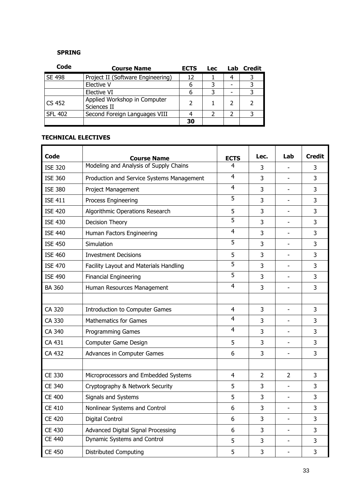# SPRING

| Code           | <b>Course Name</b>                          | <b>ECTS</b> | <b>Lec</b> | Lab | Credit |
|----------------|---------------------------------------------|-------------|------------|-----|--------|
| <b>SE 498</b>  | Project II (Software Engineering)           | 12          |            | 4   |        |
|                | Elective V                                  |             |            |     |        |
|                | Elective VI                                 |             |            |     |        |
| l CS 452       | Applied Workshop in Computer<br>Sciences II |             |            |     |        |
| <b>SFL 402</b> | Second Foreign Languages VIII               |             |            |     |        |
|                |                                             | 30          |            |     |        |

# TECHNICAL ELECTIVES

| Code           |                                                              |                  | Lec.           | Lab                      | <b>Credit</b> |
|----------------|--------------------------------------------------------------|------------------|----------------|--------------------------|---------------|
|                | <b>Course Name</b><br>Modeling and Analysis of Supply Chains | <b>ECTS</b><br>4 |                |                          |               |
| <b>ISE 320</b> |                                                              |                  | 3              |                          | 3             |
| <b>ISE 360</b> | Production and Service Systems Management                    | 4                | 3              | ۰                        | 3             |
| <b>ISE 380</b> | Project Management                                           | $\overline{4}$   | 3              |                          | 3             |
| <b>ISE 411</b> | Process Engineering                                          | 5                | 3              |                          | 3             |
| <b>ISE 420</b> | Algorithmic Operations Research                              | 5                | $\overline{3}$ |                          | 3             |
| <b>ISE 430</b> | Decision Theory                                              | 5                | 3              |                          | 3             |
| <b>ISE 440</b> | Human Factors Engineering                                    | $\overline{4}$   | 3              |                          | 3             |
| <b>ISE 450</b> | Simulation                                                   | 5                | 3              |                          | 3             |
| <b>ISE 460</b> | <b>Investment Decisions</b>                                  | 5                | 3              |                          | 3             |
| <b>ISE 470</b> | Facility Layout and Materials Handling                       | 5                | 3              |                          | 3             |
| <b>ISE 490</b> | <b>Financial Engineering</b>                                 | 5                | 3              |                          | 3             |
| <b>BA 360</b>  | Human Resources Management                                   | $\overline{4}$   | 3              | ۰                        | 3             |
|                |                                                              |                  |                |                          |               |
| CA 320         | Introduction to Computer Games                               | $\overline{4}$   | 3              |                          | 3             |
| CA 330         | <b>Mathematics for Games</b>                                 | $\overline{4}$   | $\overline{3}$ |                          | 3             |
| CA 340         | <b>Programming Games</b>                                     | $\overline{4}$   | 3              |                          | 3             |
| CA 431         | Computer Game Design                                         | 5                | 3              |                          | 3             |
| CA 432         | Advances in Computer Games                                   | 6                | 3              | $\overline{a}$           | 3             |
|                |                                                              |                  |                |                          |               |
| CE 330         | Microprocessors and Embedded Systems                         | 4                | $\overline{2}$ | $\overline{2}$           | 3             |
| <b>CE 340</b>  | Cryptography & Network Security                              | 5                | 3              |                          | 3             |
| <b>CE 400</b>  | Signals and Systems                                          | 5                | 3              |                          | 3             |
| <b>CE 410</b>  | Nonlinear Systems and Control                                | 6                | 3              |                          | 3             |
| <b>CE 420</b>  | Digital Control                                              | 6                | 3              | $\overline{\phantom{0}}$ | 3             |
| <b>CE 430</b>  | Advanced Digital Signal Processing                           | 6                | 3              |                          | 3             |
| <b>CE 440</b>  | Dynamic Systems and Control                                  | 5                | 3              | -                        | 3             |
| <b>CE 450</b>  | <b>Distributed Computing</b>                                 | 5                | 3              | ۳                        | 3             |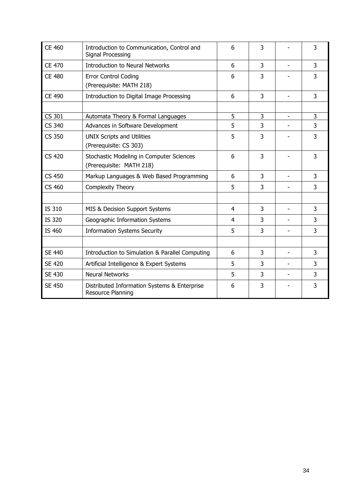| <b>CE 460</b> | Introduction to Communication, Control and<br>Signal Processing      | 6              | 3              |                          | 3              |
|---------------|----------------------------------------------------------------------|----------------|----------------|--------------------------|----------------|
| <b>CE 470</b> | <b>Introduction to Neural Networks</b>                               | 6              | 3              |                          | $\overline{3}$ |
| <b>CE 480</b> | <b>Error Control Coding</b><br>(Prerequisite: MATH 218)              | 6              | 3              |                          | 3              |
| <b>CE 490</b> | Introduction to Digital Image Processing                             | 6              | 3              | $\overline{\phantom{0}}$ | 3              |
|               |                                                                      |                |                |                          |                |
| CS 301        | Automata Theory & Formal Languages                                   | 5              | 3              |                          | 3              |
| <b>CS 340</b> | Advances in Software Development                                     | 5              | $\overline{3}$ |                          | 3              |
| <b>CS 350</b> | <b>UNIX Scripts and Utilities</b><br>(Prerequisite: CS 303)          | 5              | 3              |                          | 3              |
| <b>CS 420</b> | Stochastic Modeling in Computer Sciences<br>(Prerequisite: MATH 218) | 6              | 3              |                          | 3              |
| <b>CS 450</b> | Markup Languages & Web Based Programming                             | 6              | 3              | $\overline{\phantom{a}}$ | 3              |
| <b>CS 460</b> | Complexity Theory                                                    | 5              | 3              | $\overline{\phantom{a}}$ | 3              |
|               |                                                                      |                |                |                          |                |
| IS 310        | MIS & Decision Support Systems                                       | $\overline{4}$ | 3              |                          | 3              |
| <b>IS 320</b> | Geographic Information Systems                                       | 4              | 3              |                          | 3              |
| IS 460        | <b>Information Systems Security</b>                                  | 5              | 3              |                          | 3              |
|               |                                                                      |                |                |                          |                |
| <b>SE 440</b> | Introduction to Simulation & Parallel Computing                      | 6              | 3              | $\overline{\phantom{a}}$ | 3              |
| <b>SE 420</b> | Artificial Intelligence & Expert Systems                             | 5              | 3              |                          | 3              |
| <b>SE 430</b> | <b>Neural Networks</b>                                               | 5              | 3              |                          | 3              |
| <b>SE 450</b> | Distributed Information Systems & Enterprise<br>Resource Planning    | 6              | 3              |                          | 3              |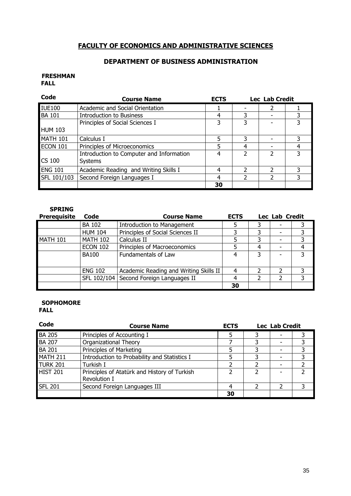# FACULTY OF ECONOMICS AND ADMINISTRATIVE SCIENCES

# DEPARTMENT OF BUSINESS ADMINISTRATION

#### FRESHMAN FALL

| Code           | <b>Course Name</b>                                         | <b>ECTS</b> |               | Lec Lab Credit |  |  |
|----------------|------------------------------------------------------------|-------------|---------------|----------------|--|--|
| <b>IUE100</b>  | Academic and Social Orientation                            |             |               | 2              |  |  |
| <b>BA 101</b>  | <b>Introduction to Business</b>                            |             | 3             |                |  |  |
|                | Principles of Social Sciences I                            | 3           | 3             |                |  |  |
| <b>HUM 103</b> |                                                            |             |               |                |  |  |
| MATH 101       | Calculus I                                                 |             | 3             |                |  |  |
| ECON 101       | Principles of Microeconomics                               |             | 4             |                |  |  |
| CS 100         | Introduction to Computer and Information<br><b>Systems</b> | 4           | $\mathcal{P}$ | $\mathcal{P}$  |  |  |
| <b>ENG 101</b> | Academic Reading and Writing Skills I                      | 4           | 2             |                |  |  |
| SFL 101/103    | Second Foreign Languages I                                 | 4           | $\mathcal{P}$ | $\mathcal{P}$  |  |  |
|                |                                                            | 30          |               |                |  |  |

| <b>SPRING</b>       |                 |                                         |             |                |  |   |
|---------------------|-----------------|-----------------------------------------|-------------|----------------|--|---|
| <b>Prerequisite</b> | Code            | <b>Course Name</b>                      | <b>ECTS</b> | Lec Lab Credit |  |   |
|                     | <b>BA 102</b>   | <b>Introduction to Management</b>       | 5           | 3              |  |   |
|                     | <b>HUM 104</b>  | Principles of Social Sciences II        | 3           | 3              |  | 3 |
| MATH 101            | <b>MATH 102</b> | Calculus II                             | 5           | 3              |  | 3 |
|                     | <b>ECON 102</b> | Principles of Macroeconomics            | 5           | 4              |  | 4 |
|                     | <b>BA100</b>    | <b>Fundamentals of Law</b>              | 4           | 3              |  | 3 |
|                     |                 |                                         |             |                |  |   |
|                     | <b>ENG 102</b>  | Academic Reading and Writing Skills II  | 4           |                |  | 3 |
|                     |                 | SFL 102/104 Second Foreign Languages II | 4           | $\mathcal{P}$  |  | 3 |
|                     |                 |                                         | 30          |                |  |   |

#### **SOPHOMORE** FALL

| Code            | <b>Course Name</b>                                           | <b>Lec Lab Credit</b><br><b>ECTS</b> |  |  |  |
|-----------------|--------------------------------------------------------------|--------------------------------------|--|--|--|
| <b>BA 205</b>   | Principles of Accounting I                                   |                                      |  |  |  |
| <b>BA 207</b>   | <b>Organizational Theory</b>                                 |                                      |  |  |  |
| <b>BA 201</b>   | Principles of Marketing                                      |                                      |  |  |  |
| <b>MATH 211</b> | Introduction to Probability and Statistics I                 |                                      |  |  |  |
| <b>TURK 201</b> | Turkish I                                                    |                                      |  |  |  |
| <b>HIST 201</b> | Principles of Atatürk and History of Turkish<br>Revolution I |                                      |  |  |  |
| <b>SFL 201</b>  | Second Foreign Languages III                                 |                                      |  |  |  |
|                 |                                                              | 30                                   |  |  |  |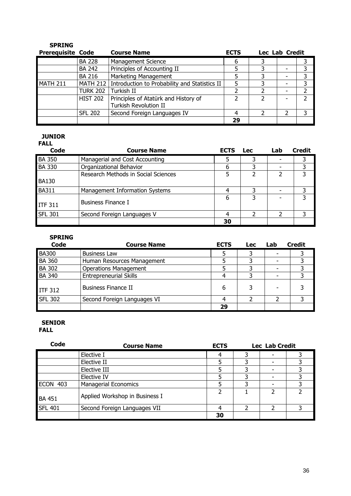| <b>SPRING</b>            |                 |                                                          |             |   |                |   |
|--------------------------|-----------------|----------------------------------------------------------|-------------|---|----------------|---|
| <b>Prerequisite Code</b> |                 | <b>Course Name</b>                                       | <b>ECTS</b> |   | Lec Lab Credit |   |
|                          | <b>BA 228</b>   | <b>Management Science</b>                                | 6           | 3 |                |   |
|                          | <b>BA 242</b>   | Principles of Accounting II                              | 5           |   |                |   |
|                          | <b>BA 216</b>   | <b>Marketing Management</b>                              | 5           | 3 |                | 3 |
| <b>MATH 211</b>          |                 | MATH 212   Introduction to Probability and Statistics II | 5           |   |                | 3 |
|                          | <b>TURK 202</b> | Turkish II                                               |             |   |                |   |
|                          | <b>HIST 202</b> | Principles of Atatürk and History of                     |             |   |                |   |
|                          |                 | <b>Turkish Revolution II</b>                             |             |   |                |   |
|                          | <b>SFL 202</b>  | Second Foreign Languages IV                              | 4           |   |                | 3 |
|                          |                 |                                                          | 29          |   |                |   |

### JUNIOR

## FALL

| Code           | <b>Course Name</b>                  | <b>ECTS</b> | <b>Lec</b> | Lab | <b>Credit</b> |
|----------------|-------------------------------------|-------------|------------|-----|---------------|
| <b>BA 350</b>  | Managerial and Cost Accounting      |             |            |     |               |
| <b>BA 330</b>  | Organizational Behavior             |             |            |     |               |
| <b>BA130</b>   | Research Methods in Social Sciences |             |            |     | 3             |
| <b>BA311</b>   | Management Information Systems      |             |            |     |               |
| <b>ITF 311</b> | Business Finance I                  | 6           | 3          |     | 3             |
| <b>SFL 301</b> | Second Foreign Languages V          |             |            |     |               |
|                |                                     | 30          |            |     |               |

## SPRING

| Code           | <b>Course Name</b>            | <b>ECTS</b> | <b>Lec</b> | Lab | <b>Credit</b> |
|----------------|-------------------------------|-------------|------------|-----|---------------|
| <b>BA300</b>   | <b>Business Law</b>           |             |            |     |               |
| <b>BA 360</b>  | Human Resources Management    |             |            |     |               |
| <b>BA 302</b>  | <b>Operations Management</b>  |             |            |     |               |
| <b>BA 340</b>  | <b>Entrepreneurial Skills</b> |             |            |     |               |
| <b>ITF 312</b> | <b>Business Finance II</b>    | 6           |            |     |               |
| <b>SFL 302</b> | Second Foreign Languages VI   |             |            |     |               |
|                |                               | 29          |            |     |               |

#### SENIOR FALL

| Code           | <b>Course Name</b>             | <b>ECTS</b> |   | <b>Lec Lab Credit</b> |  |  |
|----------------|--------------------------------|-------------|---|-----------------------|--|--|
|                | Elective I                     | 4           | 3 |                       |  |  |
|                | Elective II                    |             | 3 |                       |  |  |
|                | Elective III                   |             | 3 |                       |  |  |
|                | Elective IV                    |             |   |                       |  |  |
| ECON 403       | <b>Managerial Economics</b>    |             | 3 |                       |  |  |
| <b>BA 451</b>  | Applied Workshop in Business I |             |   | 2                     |  |  |
| <b>SFL 401</b> | Second Foreign Languages VII   |             |   | າ                     |  |  |
|                |                                | 30          |   |                       |  |  |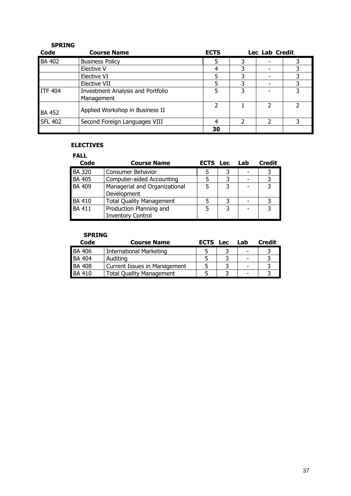| RIN<br>ш<br>. . |
|-----------------|
|-----------------|

| Code           | <b>Course Name</b>                                     | <b>ECTS</b> |   | Lec Lab Credit |  |  |
|----------------|--------------------------------------------------------|-------------|---|----------------|--|--|
| <b>BA 402</b>  | <b>Business Policy</b>                                 | 5           | 3 |                |  |  |
|                | Elective V                                             |             |   |                |  |  |
|                | Elective VI                                            |             |   |                |  |  |
|                | Elective VII                                           |             |   |                |  |  |
| <b>ITF 404</b> | <b>Investment Analysis and Portfolio</b><br>Management |             |   |                |  |  |
| <b>BA 452</b>  | Applied Workshop in Business II                        |             |   |                |  |  |
| <b>SFL 402</b> | Second Foreign Languages VIII                          |             |   |                |  |  |
|                |                                                        | 30          |   |                |  |  |

### ELECTIVES

## FALL

| Code          | <b>Course Name</b>                                  | <b>ECTS</b> Lec |   | Lab | <b>Credit</b> |
|---------------|-----------------------------------------------------|-----------------|---|-----|---------------|
| <b>BA 320</b> | <b>Consumer Behavior</b>                            |                 |   |     |               |
| <b>BA 405</b> | Computer-aided Accounting                           |                 |   |     |               |
| <b>BA 409</b> | Managerial and Organizational<br>Development        |                 |   |     |               |
| <b>BA 410</b> | <b>Total Quality Management</b>                     |                 | っ |     |               |
| <b>BA 411</b> | Production Planning and<br><b>Inventory Control</b> | 5               | 3 |     |               |

| Code          | <b>Course Name</b>              | <b>ECTS</b> | <b>Lec</b> | Lab | <b>Credit</b> |
|---------------|---------------------------------|-------------|------------|-----|---------------|
| <b>BA 406</b> | International Marketing         |             |            |     |               |
| <b>BA 404</b> | Auditing                        |             |            |     |               |
| <b>BA 408</b> | Current Issues in Management    |             |            |     |               |
| <b>BA 410</b> | <b>Total Quality Management</b> |             |            |     |               |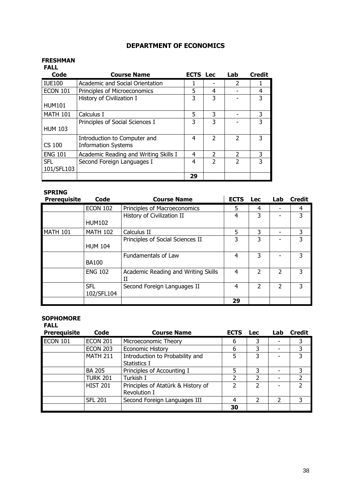### DEPARTMENT OF ECONOMICS

#### FRESHMAN

| <b>FALL</b>     |                                       |                 |               |                          |               |
|-----------------|---------------------------------------|-----------------|---------------|--------------------------|---------------|
| Code            | <b>Course Name</b>                    | <b>ECTS</b> Lec |               | Lab                      | <b>Credit</b> |
| <b>IUE100</b>   | Academic and Social Orientation       |                 |               | $\mathcal{P}$            |               |
| <b>ECON 101</b> | Principles of Microeconomics          | 5               | 4             |                          | 4             |
|                 | History of Civilization I             | 3               | 3             |                          |               |
| <b>HUM101</b>   |                                       |                 |               |                          |               |
| <b>MATH 101</b> | Calculus I                            | 5               | 3             |                          | 3             |
|                 | Principles of Social Sciences I       | 3               | 3             |                          | 3             |
| <b>HUM 103</b>  |                                       |                 |               |                          |               |
|                 | Introduction to Computer and          | 4               | $\mathcal{P}$ | $\overline{\phantom{a}}$ |               |
| <b>CS 100</b>   | <b>Information Systems</b>            |                 |               |                          |               |
| <b>ENG 101</b>  | Academic Reading and Writing Skills I | 4               | 2             | $\mathcal{P}$            | 3             |
| <b>SFL</b>      | Second Foreign Languages I            | 4               | $\mathcal{P}$ | $\overline{\phantom{a}}$ |               |
| 101/SFL103      |                                       |                 |               |                          |               |
|                 |                                       | 29              |               |                          |               |

## SPRING

| <b>Prerequisite</b> | Code            | <b>Course Name</b>                  | <b>ECTS</b> | <b>Lec</b> | Lab            | <b>Credit</b> |
|---------------------|-----------------|-------------------------------------|-------------|------------|----------------|---------------|
|                     | <b>ECON 102</b> | Principles of Macroeconomics        | 5           | 4          |                | 4             |
|                     |                 | History of Civilization II          | 4           | 3          |                | 3             |
|                     | <b>HUM102</b>   |                                     |             |            |                |               |
| <b>MATH 101</b>     | <b>MATH 102</b> | Calculus II                         | 5           | 3          |                | 3             |
|                     |                 | Principles of Social Sciences II    | 3           | 3          |                | 3             |
|                     | <b>HUM 104</b>  |                                     |             |            |                |               |
|                     |                 | <b>Fundamentals of Law</b>          | 4           | 3          |                | 3             |
|                     | <b>BA100</b>    |                                     |             |            |                |               |
|                     | <b>ENG 102</b>  | Academic Reading and Writing Skills | 4           | 2          | $\mathfrak{p}$ | 3             |
|                     |                 | Н                                   |             |            |                |               |
|                     | <b>SFL</b>      | Second Foreign Languages II         | 4           | C.         | $\mathcal{P}$  | 3             |
|                     | 102/SFL104      |                                     |             |            |                |               |
|                     |                 |                                     | 29          |            |                |               |

#### **SOPHOMORE**

FALL Prerequisite Code Course Name ECTS Lec Lab Credit ECON 101 ECON 201 Microeconomic Theory 6 3 - 3<br>ECON 203 Economic History 6 3 - 3 Economic History 6 3 -MATH 211 | Introduction to Probability and Statistics I 5 3 - 3 BA 205 Principles of Accounting I 5 3 - 3<br>
TURK 201 Turkish I 2 2 - 2 TURK 201 Turkish I 2 2 - 2 HIST 201 Principles of Atatürk & History of Revolution I 2 2 - 2 SFL 201 Second Foreign Languages III 4 2 2 3 <u>2010 | Samuel Barbara | Samuel Barbara | Samuel Barbara | Samuel Barbara | Samuel Barbara | Samuel Barbara | S</u>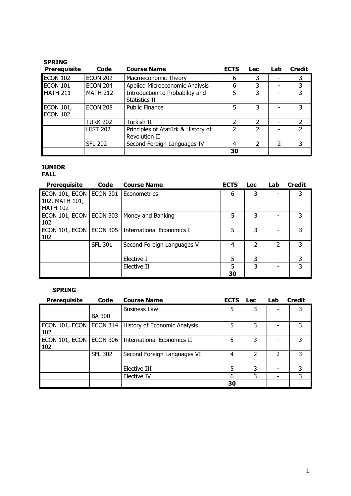| <b>Prerequisite</b>                 | Code            | <b>Course Name</b>                                  | <b>ECTS</b> | <b>Lec</b>     | Lab | <b>Credit</b> |
|-------------------------------------|-----------------|-----------------------------------------------------|-------------|----------------|-----|---------------|
| <b>ECON 102</b>                     | <b>ECON 202</b> | Macroeconomic Theory                                | 6           | 3              |     | 3             |
| <b>ECON 101</b>                     | <b>ECON 204</b> | Applied Microeconomic Analysis                      | 6           | 3              |     | 3             |
| <b>MATH 211</b>                     | <b>MATH 212</b> | Introduction to Probability and<br>Statistics II    | 5           | 3              |     | 3             |
| <b>ECON 101,</b><br><b>ECON 102</b> | <b>ECON 208</b> | <b>Public Finance</b>                               | 5           | 3              |     | 3             |
|                                     | <b>TURK 202</b> | Turkish II                                          | 2           | 2              |     | $\mathcal{P}$ |
|                                     | <b>HIST 202</b> | Principles of Atatürk & History of<br>Revolution II | 2           | 2              |     | $\mathcal{P}$ |
|                                     | <b>SFL 202</b>  | Second Foreign Languages IV                         | 4           | $\overline{2}$ | 2   |               |
|                                     |                 |                                                     | 30          |                |     |               |

## JUNIOR

### FALL

| <b>Prerequisite</b>                                          | Code            | <b>Course Name</b>                            | <b>ECTS</b> | <b>Lec</b> | Lab | <b>Credit</b> |
|--------------------------------------------------------------|-----------------|-----------------------------------------------|-------------|------------|-----|---------------|
| ECON 101, ECON ECON 301<br>102, MATH 101,<br><b>MATH 102</b> |                 | I Econometrics                                | 6           | 3          |     | 3             |
| 102                                                          |                 | ECON 101, ECON   ECON 303   Money and Banking | 5           | 3          |     | 3             |
| ECON 101, ECON<br>102                                        | <b>ECON 305</b> | International Economics I                     | 5           | 3          |     | 3             |
|                                                              | <b>SFL 301</b>  | Second Foreign Languages V                    | 4           | 2          | 2   | 3             |
|                                                              |                 | Elective I                                    | 5           | 3          | -   | 3             |
|                                                              |                 | Elective II                                   | 5           | 3          | ٠   | 3             |
|                                                              |                 |                                               | 30          |            |     |               |

| <b>Prerequisite</b>   | Code           | <b>Course Name</b>           | <b>ECTS</b> | <b>Lec</b> | Lab | <b>Credit</b> |
|-----------------------|----------------|------------------------------|-------------|------------|-----|---------------|
|                       | <b>BA 300</b>  | <b>Business Law</b>          | 5           | 3          |     | 3             |
| ECON 101, ECON<br>102 | ECON 314       | History of Economic Analysis | 5           | 3          |     | 3             |
| ECON 101, ECON<br>102 | ECON 306       | International Economics II   | 5           | 3          |     | 3             |
|                       | <b>SFL 302</b> | Second Foreign Languages VI  | 4           | 2          | 2   | 3             |
|                       |                | Elective III                 | 5           | 3          |     | 3             |
|                       |                | Elective IV                  | 6           | 3          |     | 3             |
|                       |                |                              | 30          |            |     |               |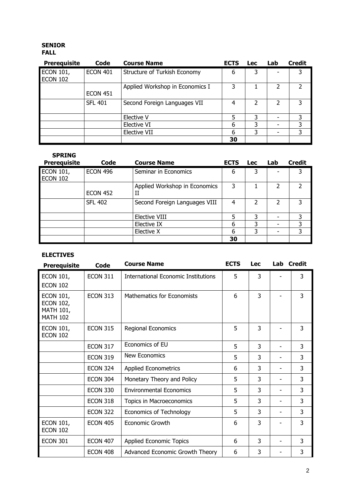#### SENIOR FALL

| <b>Prerequisite</b>                 | Code            | <b>Course Name</b>              | <b>ECTS</b> | <b>Lec</b> | Lab                      | <b>Credit</b> |
|-------------------------------------|-----------------|---------------------------------|-------------|------------|--------------------------|---------------|
| <b>ECON 101,</b><br><b>ECON 102</b> | <b>ECON 401</b> | Structure of Turkish Economy    | 6           | 3          |                          | 3             |
|                                     | <b>ECON 451</b> | Applied Workshop in Economics I |             |            | 2                        |               |
|                                     | <b>SFL 401</b>  | Second Foreign Languages VII    | 4           | 2          | 2                        | 3             |
|                                     |                 | Elective V                      | 5           | 3          |                          | 3             |
|                                     |                 | Elective VI                     | 6           | 3          | $\overline{\phantom{0}}$ | 3             |
|                                     |                 | <b>Elective VII</b>             | 6           | 3          |                          | 3             |
|                                     |                 |                                 | 30          |            |                          |               |

| <b>SPRING</b><br><b>Prerequisite</b> | Code            | <b>Course Name</b>                 | <b>ECTS</b> | <b>Lec</b> | Lab | <b>Credit</b> |
|--------------------------------------|-----------------|------------------------------------|-------------|------------|-----|---------------|
| <b>ECON 101,</b><br><b>ECON 102</b>  | <b>ECON 496</b> | Seminar in Economics               | 6           | 3          |     | 3             |
|                                      | <b>ECON 452</b> | Applied Workshop in Economics<br>П | 3           |            | 2   |               |
|                                      | <b>SFL 402</b>  | Second Foreign Languages VIII      | 4           | 2          |     | 3             |
|                                      |                 | <b>Elective VIII</b>               | 5           | 3          |     | 3             |
|                                      |                 | Elective IX                        | 6           | 3          |     | 3             |
|                                      |                 | Elective X                         | 6           | 3          |     |               |
|                                      |                 |                                    | 30          |            |     |               |

## ELECTIVES

| <b>Prerequisite</b>                                                         | <b>Code</b>     | <b>Course Name</b>                         | <b>ECTS</b> | Lec | Lab Credit |   |
|-----------------------------------------------------------------------------|-----------------|--------------------------------------------|-------------|-----|------------|---|
| <b>ECON 101,</b><br><b>ECON 102</b>                                         | <b>ECON 311</b> | <b>International Economic Institutions</b> | 5           | 3   |            | 3 |
| <b>ECON 101,</b><br><b>ECON 102,</b><br><b>MATH 101,</b><br><b>MATH 102</b> | <b>ECON 313</b> | <b>Mathematics for Economists</b>          | 6           | 3   |            | 3 |
| <b>ECON 101,</b><br><b>ECON 102</b>                                         | <b>ECON 315</b> | Regional Economics                         | 5           | 3   |            | 3 |
|                                                                             | <b>ECON 317</b> | Economics of EU                            | 5           | 3   |            | 3 |
|                                                                             | <b>ECON 319</b> | <b>New Economics</b>                       | 5           | 3   |            | 3 |
|                                                                             | <b>ECON 324</b> | <b>Applied Econometrics</b>                | 6           | 3   |            | 3 |
|                                                                             | <b>ECON 304</b> | Monetary Theory and Policy                 | 5           | 3   |            | 3 |
|                                                                             | <b>ECON 330</b> | <b>Environmental Economics</b>             | 5           | 3   |            | 3 |
|                                                                             | <b>ECON 318</b> | Topics in Macroeconomics                   | 5           | 3   |            | 3 |
|                                                                             | <b>ECON 322</b> | <b>Economics of Technology</b>             | 5           | 3   |            | 3 |
| <b>ECON 101,</b><br><b>ECON 102</b>                                         | <b>ECON 405</b> | Economic Growth                            | 6           | 3   |            | 3 |
| <b>ECON 301</b>                                                             | <b>ECON 407</b> | <b>Applied Economic Topics</b>             | 6           | 3   |            | 3 |
|                                                                             | <b>ECON 408</b> | Advanced Economic Growth Theory            | 6           | 3   |            | 3 |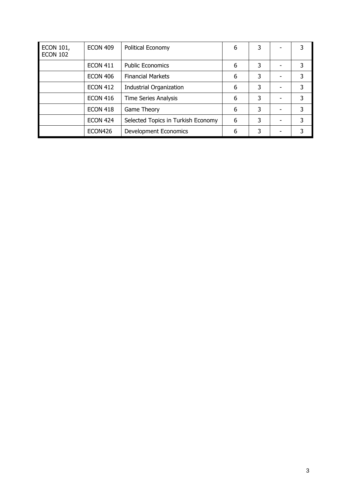| <b>ECON 101,</b><br><b>ECON 102</b> | <b>ECON 409</b> | Political Economy                  | 6 | 3 | 3 |
|-------------------------------------|-----------------|------------------------------------|---|---|---|
|                                     | <b>ECON 411</b> | <b>Public Economics</b>            | 6 | 3 | 3 |
|                                     | <b>ECON 406</b> | <b>Financial Markets</b>           | 6 | 3 | 3 |
|                                     | <b>ECON 412</b> | <b>Industrial Organization</b>     | 6 | 3 | 3 |
|                                     | <b>ECON 416</b> | <b>Time Series Analysis</b>        | 6 | 3 | 3 |
|                                     | <b>ECON 418</b> | Game Theory                        | 6 | 3 | 3 |
|                                     | <b>ECON 424</b> | Selected Topics in Turkish Economy | 6 | 3 | 3 |
|                                     | ECON426         | Development Economics              | 6 | 3 | 3 |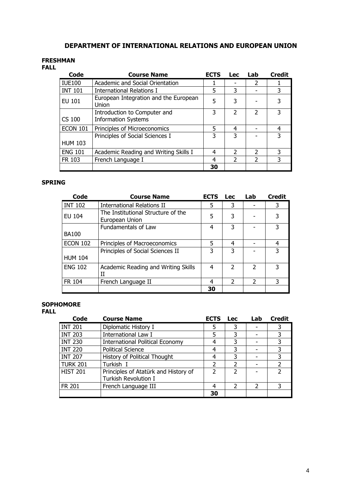## DEPARTMENT OF INTERNATIONAL RELATIONS AND EUROPEAN UNION

#### FRESHMAN

### FALL

| Code            | <b>Course Name</b>                                         | <b>ECTS</b> | <b>Lec</b>    | Lab                      | <b>Credit</b> |
|-----------------|------------------------------------------------------------|-------------|---------------|--------------------------|---------------|
| <b>IUE100</b>   | Academic and Social Orientation                            |             |               | $\overline{2}$           |               |
| <b>INT 101</b>  | International Relations I                                  | 5           | 3             |                          | 3             |
| EU 101          | European Integration and the European<br>Union             | 5           | 3             |                          | 3             |
| CS 100          | Introduction to Computer and<br><b>Information Systems</b> | 3           | $\mathfrak z$ | $\mathcal{P}$            | 3             |
| <b>ECON 101</b> | Principles of Microeconomics                               | 5           | 4             |                          | 4             |
| <b>HUM 103</b>  | Principles of Social Sciences I                            | 3           | 3             |                          | 3             |
| <b>ENG 101</b>  | Academic Reading and Writing Skills I                      | 4           | 2             | $\mathcal{P}$            | 3             |
| FR 103          | French Language I                                          | 4           | $\mathcal{P}$ | $\overline{\phantom{a}}$ | 3             |
|                 |                                                            | 30          |               |                          |               |

#### SPRING

| Code            | <b>Course Name</b>                                   | <b>ECTS</b> | <b>Lec</b>               | Lab           | <b>Credit</b> |
|-----------------|------------------------------------------------------|-------------|--------------------------|---------------|---------------|
| <b>INT 102</b>  | <b>International Relations II</b>                    | 5           | 3                        |               | 3             |
| <b>EU 104</b>   | The Institutional Structure of the<br>European Union | 5           | 3                        |               | 3             |
|                 | Fundamentals of Law                                  | 4           | 3                        |               | 3             |
| <b>BA100</b>    |                                                      |             |                          |               |               |
| <b>ECON 102</b> | Principles of Macroeconomics                         | 5           | 4                        |               | 4             |
|                 | Principles of Social Sciences II                     | 3           | 3                        |               | 3             |
| <b>HUM 104</b>  |                                                      |             |                          |               |               |
| <b>ENG 102</b>  | Academic Reading and Writing Skills<br>IΙ            | 4           | $\overline{\phantom{a}}$ | 2             | 3             |
| <b>FR 104</b>   | French Language II                                   | 4           | $\mathcal{P}$            | $\mathcal{P}$ | 3             |
|                 |                                                      | 30          |                          |               |               |

#### SOPHOMORE FALL

| . . |                |                                        |
|-----|----------------|----------------------------------------|
|     | Code           | <b>Course Name</b>                     |
|     | <b>INT 201</b> | Diplomatic History I                   |
|     | <b>INT 203</b> | International Law I                    |
|     | <b>INT 230</b> | <b>International Political Economy</b> |
|     | <b>INT 220</b> | <b>Political Science</b>               |
|     | <b>INT 207</b> | History of Political Thought           |
|     |                |                                        |

| <b>INT 201</b>  | Diplomatic History I                   |    |  |  |
|-----------------|----------------------------------------|----|--|--|
| <b>INT 203</b>  | <b>International Law I</b>             |    |  |  |
| <b>INT 230</b>  | <b>International Political Economy</b> |    |  |  |
| <b>INT 220</b>  | <b>Political Science</b>               |    |  |  |
| <b>INT 207</b>  | History of Political Thought           |    |  |  |
| <b>TURK 201</b> | Turkish I                              |    |  |  |
| <b>HIST 201</b> | Principles of Atatürk and History of   |    |  |  |
|                 | <b>Turkish Revolution I</b>            |    |  |  |
| FR 201          | French Language III                    |    |  |  |
|                 |                                        | 30 |  |  |

ECTS Lec Lab Credit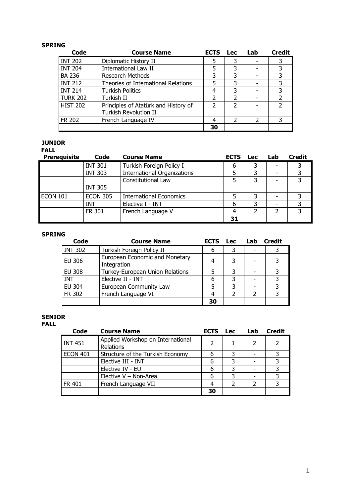| Code            | <b>Course Name</b>                   | <b>ECTS</b> | <b>Lec</b>               | Lab           | <b>Credit</b> |
|-----------------|--------------------------------------|-------------|--------------------------|---------------|---------------|
| <b>INT 202</b>  | Diplomatic History II                | 5           | 3                        |               |               |
| <b>INT 204</b>  | <b>International Law II</b>          | 5           | 3                        |               |               |
| <b>BA 236</b>   | <b>Research Methods</b>              | 3           | 3                        |               |               |
| <b>INT 212</b>  | Theories of International Relations  | 5           | 3                        |               |               |
| <b>INT 214</b>  | <b>Turkish Politics</b>              | 4           | 3                        |               |               |
| <b>TURK 202</b> | Turkish II                           | 2           | 2                        |               |               |
| <b>HIST 202</b> | Principles of Atatürk and History of |             | $\overline{\phantom{a}}$ |               |               |
|                 | <b>Turkish Revolution II</b>         |             |                          |               |               |
| <b>FR 202</b>   | French Language IV                   | 4           | $\mathcal{P}$            | $\mathcal{P}$ |               |
|                 |                                      | 30          |                          |               |               |

## JUNIOR

FALL

| <b>Prerequisite</b> | Code            | <b>Course Name</b>                 | <b>ECTS</b> | <b>Lec</b> | Lab | <b>Credit</b> |
|---------------------|-----------------|------------------------------------|-------------|------------|-----|---------------|
|                     | <b>INT 301</b>  | Turkish Foreign Policy I           | 6           |            |     |               |
|                     | <b>INT 303</b>  | <b>International Organizations</b> |             |            |     |               |
|                     |                 | Constitutional Law                 |             | ₹          |     |               |
|                     | <b>INT 305</b>  |                                    |             |            |     |               |
| <b>ECON 101</b>     | <b>ECON 305</b> | <b>International Economics</b>     |             |            |     |               |
|                     | INT             | Elective I - INT                   | 6           | っ          |     |               |
|                     | <b>FR 301</b>   | French Language V                  |             |            |     |               |
|                     |                 |                                    | 31          |            |     |               |

### SPRING

| Code           | <b>Course Name</b>                            | <b>ECTS</b> | <b>Lec</b> | Lab | <b>Credit</b> |
|----------------|-----------------------------------------------|-------------|------------|-----|---------------|
| <b>INT 302</b> | Turkish Foreign Policy II                     | 6           |            |     |               |
| <b>EU 306</b>  | European Economic and Monetary<br>Integration | 4           |            |     |               |
| <b>EU 308</b>  | Turkey-European Union Relations               |             |            |     |               |
| <b>INT</b>     | Elective II - INT                             | 6           | ิว         |     |               |
| <b>EU 304</b>  | European Community Law                        |             |            |     |               |
| FR 302         | French Language VI                            | 4           |            |     |               |
|                |                                               | 30          |            |     |               |

#### SENIOR FALL

| Code            | <b>Course Name</b>                             | <b>ECTS</b>   | <b>Lec</b> | Lab | <b>Credit</b> |
|-----------------|------------------------------------------------|---------------|------------|-----|---------------|
| <b>INT 451</b>  | Applied Workshop on International<br>Relations | $\mathcal{P}$ |            |     |               |
| <b>ECON 401</b> | Structure of the Turkish Economy               |               |            |     |               |
|                 | Elective III - INT                             | 6             |            |     |               |
|                 | Elective IV - EU                               |               |            |     |               |
|                 | Elective V - Non-Area                          | 6             | 3          |     |               |
| FR 401          | French Language VII                            |               |            |     |               |
|                 |                                                | 30            |            |     |               |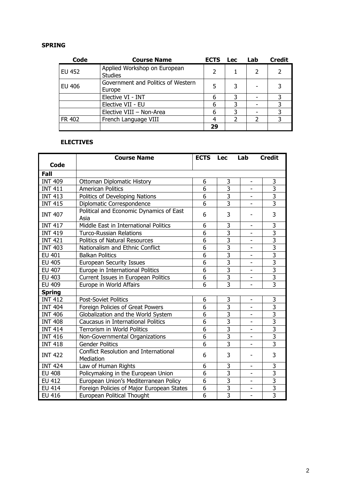| Code          | <b>Course Name</b>                 | <b>ECTS</b> | <b>Lec</b> | Lab | <b>Credit</b> |
|---------------|------------------------------------|-------------|------------|-----|---------------|
| <b>EU 452</b> | Applied Workshop on European       |             |            |     |               |
|               | <b>Studies</b>                     |             |            |     |               |
| <b>EU 406</b> | Government and Politics of Western |             | 5          |     |               |
|               | Europe                             |             |            |     |               |
|               | Elective VI - INT                  | 6           | 3          |     |               |
|               | Elective VII - EU                  | 6           | 3          |     |               |
|               | Elective VIII - Non-Area           | 6           | 3          |     |               |
| FR 402        | French Language VIII               |             |            |     |               |
|               |                                    | 29          |            |     |               |

## ELECTIVES

|                | <b>Course Name</b>                                        | <b>ECTS</b> Lec |                | Lab                          | <b>Credit</b>             |
|----------------|-----------------------------------------------------------|-----------------|----------------|------------------------------|---------------------------|
| <b>Code</b>    |                                                           |                 |                |                              |                           |
| Fall           |                                                           |                 |                |                              |                           |
| <b>INT 409</b> | <b>Ottoman Diplomatic History</b>                         | 6               | 3              | $\overline{\phantom{0}}$     | 3                         |
| <b>INT 411</b> | <b>American Politics</b>                                  | $\overline{6}$  | $\overline{3}$ |                              | $\overline{\overline{3}}$ |
| <b>INT 413</b> | Politics of Developing Nations                            | 6               | 3              | -                            | $\overline{3}$            |
| <b>INT 415</b> | Diplomatic Correspondence                                 | 6               | $\overline{3}$ |                              | $\overline{3}$            |
| <b>INT 407</b> | Political and Economic Dynamics of East<br>Asia           | 6               | 3              |                              | 3                         |
| <b>INT 417</b> | Middle East in International Politics                     | 6               | 3              | $\overline{\phantom{0}}$     | 3                         |
| <b>INT 419</b> | <b>Turco-Russian Relations</b>                            | 6               | 3              | -                            | $\overline{3}$            |
| <b>INT 421</b> | <b>Politics of Natural Resources</b>                      | 6               | 3              |                              | $\overline{3}$            |
| <b>INT 403</b> | Nationalism and Ethnic Conflict                           | 6               | $\overline{3}$ |                              | $\overline{3}$            |
| <b>EU 401</b>  | <b>Balkan Politics</b>                                    | $\overline{6}$  | $\overline{3}$ |                              | $\overline{3}$            |
| <b>EU 405</b>  | <b>European Security Issues</b>                           | $\overline{6}$  | $\overline{3}$ | -                            | $\overline{3}$            |
| <b>EU 407</b>  | Europe in International Politics                          | 6               | 3              |                              | $\overline{3}$            |
| EU 403         | Current Issues in European Politics                       | $\overline{6}$  | $\overline{3}$ | $\overline{\phantom{0}}$     | $\overline{3}$            |
| <b>EU 409</b>  | Europe in World Affairs                                   | 6               | $\overline{3}$ | $\overline{\phantom{0}}$     | $\overline{3}$            |
| <b>Spring</b>  |                                                           |                 |                |                              |                           |
| <b>INT 412</b> | <b>Post-Soviet Politics</b>                               | 6               | 3              | $\overline{\phantom{0}}$     | 3                         |
| <b>INT 404</b> | Foreign Policies of Great Powers                          | 6               | 3              |                              | $\overline{3}$            |
| <b>INT 406</b> | Globalization and the World System                        | $\overline{6}$  | $\overline{3}$ |                              | $\overline{3}$            |
| <b>INT 408</b> | <b>Caucasus in International Politics</b>                 | $\overline{6}$  | $\overline{3}$ | $\overline{\phantom{0}}$     | $\overline{3}$            |
| <b>INT 414</b> | Terrorism in World Politics                               | $\overline{6}$  | $\overline{3}$ |                              | $\overline{\overline{3}}$ |
| <b>INT 416</b> | Non-Governmental Organizations                            | $\overline{6}$  | $\overline{3}$ |                              | $\overline{3}$            |
| <b>INT 418</b> | <b>Gender Politics</b>                                    | $\overline{6}$  | $\overline{3}$ | $\overline{\phantom{0}}$     | $\overline{3}$            |
| <b>INT 422</b> | <b>Conflict Resolution and International</b><br>Mediation | 6               | 3              |                              | 3                         |
| <b>INT 424</b> | Law of Human Rights                                       | 6               | 3              | ÷                            | 3                         |
| <b>EU 408</b>  | Policymaking in the European Union                        | 6               | 3              | $\qquad \qquad \blacksquare$ | $\overline{3}$            |
| <b>EU 412</b>  | European Union's Mediterranean Policy                     | $\overline{6}$  | $\overline{3}$ |                              | $\overline{3}$            |
| <b>EU 414</b>  | Foreign Policies of Major European States                 | $\overline{6}$  | $\overline{3}$ | $\qquad \qquad \blacksquare$ | $\frac{3}{3}$             |
| <b>EU 416</b>  | European Political Thought                                | $\overline{6}$  | $\frac{1}{3}$  | $\overline{a}$               |                           |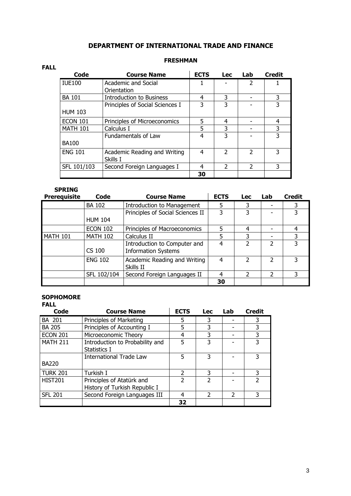## DEPARTMENT OF INTERNATIONAL TRADE AND FINANCE

#### FRESHMAN

| Code            | <b>Course Name</b>              | <b>ECTS</b> | <b>Lec</b>    | Lab           | <b>Credit</b> |
|-----------------|---------------------------------|-------------|---------------|---------------|---------------|
| <b>IUE100</b>   | Academic and Social             |             |               | 2             |               |
|                 | Orientation                     |             |               |               |               |
| <b>BA 101</b>   | <b>Introduction to Business</b> | 4           | 3             |               | 3             |
|                 | Principles of Social Sciences I | 3           | 3             |               |               |
| <b>HUM 103</b>  |                                 |             |               |               |               |
| <b>ECON 101</b> | Principles of Microeconomics    | 5           | 4             |               | 4             |
| <b>MATH 101</b> | Calculus I                      | 5           | 3             |               | 3             |
|                 | <b>Fundamentals of Law</b>      | 4           | 3             |               | 3             |
| <b>BA100</b>    |                                 |             |               |               |               |
| <b>ENG 101</b>  | Academic Reading and Writing    | 4           | $\mathcal{P}$ | C             | 3             |
|                 | Skills I                        |             |               |               |               |
| SFL 101/103     | Second Foreign Languages I      | 4           | 2             | $\mathcal{P}$ | 3             |
|                 |                                 | 30          |               |               |               |

### SPRING

FALL

| <b>Prerequisite</b> | Code            | <b>Course Name</b>                                         | <b>ECTS</b> | <b>Lec</b>    | Lab | <b>Credit</b> |
|---------------------|-----------------|------------------------------------------------------------|-------------|---------------|-----|---------------|
|                     | <b>BA 102</b>   | <b>Introduction to Management</b>                          | 5           | 3             |     |               |
|                     |                 | Principles of Social Sciences II                           | 3           | 3             |     | 3             |
|                     | <b>HUM 104</b>  |                                                            |             |               |     |               |
|                     | <b>ECON 102</b> | Principles of Macroeconomics                               | 5.          | 4             |     |               |
| <b>MATH 101</b>     | <b>MATH 102</b> | Calculus II                                                | 5           | 3             |     |               |
|                     | CS 100          | Introduction to Computer and<br><b>Information Systems</b> | 4           | 2             | 2   |               |
|                     | <b>ENG 102</b>  | Academic Reading and Writing<br>Skills II                  | 4           | $\mathcal{P}$ | 2   | 3             |
|                     | SFL 102/104     | Second Foreign Languages II                                | 4           | 2             | 2   |               |
|                     |                 |                                                            | 30          |               |     |               |

## **SOPHOMORE**

| Code            | <b>Course Name</b>                                         | <b>ECTS</b>    | <b>Lec</b>               | Lab            | <b>Credit</b>            |
|-----------------|------------------------------------------------------------|----------------|--------------------------|----------------|--------------------------|
| BA 201          | Principles of Marketing                                    | 5.             | 3                        |                | 3                        |
| <b>BA 205</b>   | Principles of Accounting I                                 | 5              | 3                        |                | 3                        |
| <b>ECON 201</b> | Microeconomic Theory                                       | 4              | 3                        |                | 3                        |
| <b>MATH 211</b> | Introduction to Probability and<br>Statistics I            | 5              | 3                        |                | 3                        |
| <b>BA220</b>    | <b>International Trade Law</b>                             | 5              | 3                        |                | 3                        |
| TURK 201        | Turkish I                                                  | $\mathcal{P}$  | 3                        |                | 3                        |
| <b>HIST201</b>  | Principles of Atatürk and<br>History of Turkish Republic I | $\overline{2}$ | $\overline{\phantom{a}}$ |                | $\overline{\phantom{a}}$ |
| <b>SFL 201</b>  | Second Foreign Languages III                               | 4              | $\mathfrak{p}$           | $\mathfrak{p}$ | 3                        |
|                 |                                                            | 32             |                          |                |                          |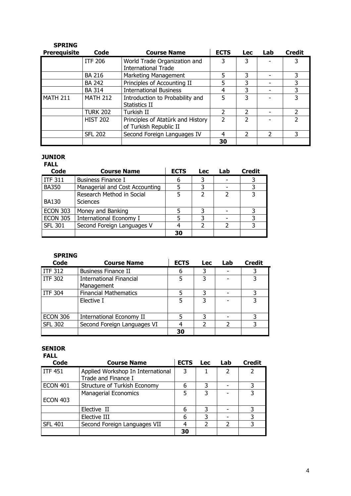| <b>SPRING</b>       |                 |                                                             |               |               |     |               |
|---------------------|-----------------|-------------------------------------------------------------|---------------|---------------|-----|---------------|
| <b>Prerequisite</b> | Code            | <b>Course Name</b>                                          | <b>ECTS</b>   | <b>Lec</b>    | Lab | <b>Credit</b> |
|                     | <b>ITF 206</b>  | World Trade Organization and<br><b>International Trade</b>  | 3             | 3             |     |               |
|                     | <b>BA 216</b>   | Marketing Management                                        | 5             | 3             |     |               |
|                     | <b>BA 242</b>   | Principles of Accounting II                                 | 5             | 3             |     | 3             |
|                     | <b>BA 314</b>   | <b>International Business</b>                               | 4             | 3             |     | 3             |
| <b>MATH 211</b>     | <b>MATH 212</b> | Introduction to Probability and<br>Statistics II            | 5             | 3             |     | 3             |
|                     | <b>TURK 202</b> | Turkish II                                                  | っ             | $\mathcal{P}$ |     |               |
|                     | <b>HIST 202</b> | Principles of Atatürk and History<br>of Turkish Republic II | $\mathcal{P}$ | C             |     | っ             |
|                     | <b>SFL 202</b>  | Second Foreign Languages IV                                 | 4             | $\mathcal{P}$ | 2   | 3             |
|                     |                 |                                                             | 30            |               |     |               |

#### JUNIOR

#### FALL<br>Code Course Name | ECTS Lec Lab Credit ITF 311 Business Finance I 6 3 - 3 BA350 Managerial and Cost Accounting 5 3 - 3<br>Research Method in Social 5 3 2 3 BA130 Research Method in Social Sciences 5 2 2 3 ECON 303 Money and Banking<br>
ECON 305 International Economy I 5 3 - 3 International Economy I 5 3 3 -<br>Second Foreign Languages V 4 2 2 SFL 301 Second Foreign Languages V 4 2 2 3  $\sim$  30

## SPRING

| Code            | <b>Course Name</b>              | <b>ECTS</b> | <b>Lec</b> | Lab | <b>Credit</b> |
|-----------------|---------------------------------|-------------|------------|-----|---------------|
| <b>ITF 312</b>  | <b>Business Finance II</b>      | 6           | 3          |     |               |
| ITF 302         | <b>International Financial</b>  |             | 3          |     |               |
|                 | Management                      |             |            |     |               |
| l ITF 304       | <b>Financial Mathematics</b>    |             | 3          |     |               |
|                 | Elective I                      | 5           | 3          |     |               |
|                 |                                 |             |            |     |               |
| <b>ECON 306</b> | <b>International Economy II</b> |             | 3          |     |               |
| <b>SFL 302</b>  | Second Foreign Languages VI     |             |            |     |               |
|                 |                                 | 30          |            |     |               |

## SENIOR

|--|

| <b>Code</b>     | <b>Course Name</b>                | <b>ECTS</b> | <b>Lec</b> | Lab | <b>Credit</b> |
|-----------------|-----------------------------------|-------------|------------|-----|---------------|
| <b>ITF 451</b>  | Applied Workshop In International | 3           |            | 2   |               |
|                 | Trade and Finance I               |             |            |     |               |
| <b>ECON 401</b> | Structure of Turkish Economy      | 6           |            |     |               |
|                 | <b>Managerial Economics</b>       |             | 3          |     |               |
| <b>ECON 403</b> |                                   |             |            |     |               |
|                 | Elective II                       | 6           | 3          |     |               |
|                 | Elective III                      | 6           | 3          |     |               |
| <b>SFL 401</b>  | Second Foreign Languages VII      |             |            | 2   |               |
|                 |                                   | 30          |            |     |               |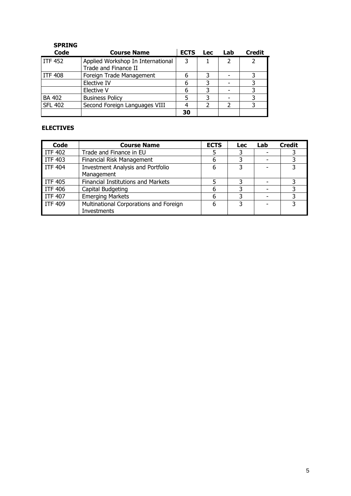| <b>SPRING</b>  |                                                           |             |            |               |               |
|----------------|-----------------------------------------------------------|-------------|------------|---------------|---------------|
| <b>Code</b>    | <b>Course Name</b>                                        | <b>ECTS</b> | <b>Lec</b> | Lab           | <b>Credit</b> |
| l ITF 452      | Applied Workshop In International<br>Trade and Finance II | 3           |            | $\mathcal{P}$ | $\mathcal{P}$ |
| l ITF 408      | Foreign Trade Management                                  | 6           |            |               |               |
|                | Elective IV                                               | 6           | २          |               |               |
|                | Elective V                                                | 6           | 3          |               |               |
| <b>BA 402</b>  | <b>Business Policy</b>                                    |             | 3          |               |               |
| <b>SFL 402</b> | Second Foreign Languages VIII                             |             |            | 2             |               |
|                |                                                           | 30          |            |               |               |

## ELECTIVES

| Code           | <b>Course Name</b>                       | <b>ECTS</b> | <b>Lec</b> | Lab | <b>Credit</b> |
|----------------|------------------------------------------|-------------|------------|-----|---------------|
| <b>ITF 402</b> | Trade and Finance in EU                  |             |            |     |               |
| <b>ITF 403</b> | <b>Financial Risk Management</b>         | 6           |            |     |               |
| <b>ITF 404</b> | <b>Investment Analysis and Portfolio</b> | 6           | 3          |     |               |
|                | Management                               |             |            |     |               |
| <b>ITF 405</b> | Financial Institutions and Markets       |             |            |     |               |
| <b>ITF 406</b> | Capital Budgeting                        | 6           |            |     |               |
| <b>ITF 407</b> | <b>Emerging Markets</b>                  | 6           |            |     |               |
| <b>ITF 409</b> | Multinational Corporations and Foreign   | 6           | 3          |     |               |
|                | Investments                              |             |            |     |               |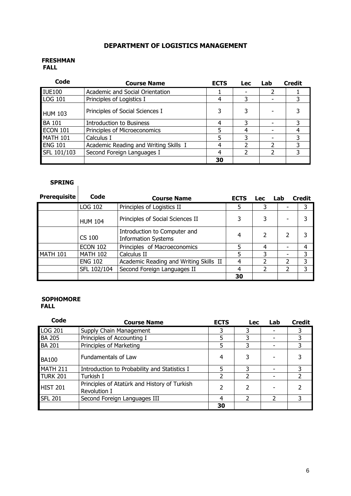## DEPARTMENT OF LOGISTICS MANAGEMENT

#### FRESHMAN FALL

| Code            | <b>Course Name</b>                    | <b>ECTS</b> | <b>Lec</b> | Lab | <b>Credit</b> |
|-----------------|---------------------------------------|-------------|------------|-----|---------------|
| <b>IUE100</b>   | Academic and Social Orientation       |             |            |     |               |
| LOG 101         | Principles of Logistics I             |             |            |     |               |
| <b>HUM 103</b>  | Principles of Social Sciences I       |             |            |     |               |
| <b>BA 101</b>   | <b>Introduction to Business</b>       | 4           |            |     |               |
| <b>ECON 101</b> | Principles of Microeconomics          |             |            |     | 4             |
| <b>MATH 101</b> | Calculus I                            |             |            |     |               |
| <b>ENG 101</b>  | Academic Reading and Writing Skills I |             |            |     |               |
| SFL 101/103     | Second Foreign Languages I            | 4           |            | 2   | 3             |
|                 |                                       | 30          |            |     |               |

# SPRING

| <b>Prerequisite</b> | Code            | <b>Course Name</b>                                         | <b>ECTS</b> | <b>Lec</b> | Lab |                          | <b>Credit</b> |
|---------------------|-----------------|------------------------------------------------------------|-------------|------------|-----|--------------------------|---------------|
|                     | LOG 102         | Principles of Logistics II                                 | 5           | 3          |     |                          | 3             |
|                     | <b>HUM 104</b>  | Principles of Social Sciences II                           | 3           | 3          |     |                          |               |
|                     | CS 100          | Introduction to Computer and<br><b>Information Systems</b> | 4           | 2          |     | 2                        |               |
|                     | <b>ECON 102</b> | Principles of Macroeconomics                               | 5           | 4          |     |                          | 4             |
| <b>MATH 101</b>     | <b>MATH 102</b> | Calculus II                                                | 5           | 3          |     |                          | 3             |
|                     | <b>ENG 102</b>  | Academic Reading and Writing Skills II                     | 4           | 2          |     | $\overline{\phantom{a}}$ | 3             |
|                     | SFL 102/104     | Second Foreign Languages II                                | 4           | 2          |     | 2                        | 3             |
|                     |                 |                                                            | 30          |            |     |                          |               |

#### **SOPHOMORE** FALL

| Code            | <b>Course Name</b>                                           | <b>ECTS</b> | <b>Lec</b> | Lab | Credit        |
|-----------------|--------------------------------------------------------------|-------------|------------|-----|---------------|
| <b>LOG 201</b>  | Supply Chain Management                                      | 3           | 3          |     |               |
| <b>BA 205</b>   | Principles of Accounting I                                   | 5           |            |     |               |
| <b>BA 201</b>   | Principles of Marketing                                      | 5           |            |     |               |
| <b>BA100</b>    | Fundamentals of Law                                          | 4           | 3          |     |               |
| MATH 211        | Introduction to Probability and Statistics I                 | 5           | 3          |     | 3             |
| TURK 201        | Turkish I                                                    | 2           |            |     | $\mathcal{P}$ |
| <b>HIST 201</b> | Principles of Atatürk and History of Turkish<br>Revolution I | 2           | 2          |     |               |
| <b>SFL 201</b>  | Second Foreign Languages III                                 | 4           |            | 2   |               |
|                 |                                                              | 30          |            |     |               |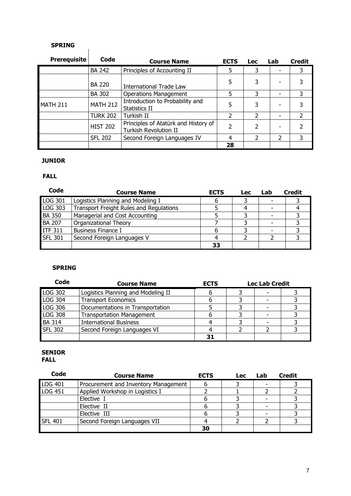| JE IVITIV           |                 |                                                               |               |                          |               |                |
|---------------------|-----------------|---------------------------------------------------------------|---------------|--------------------------|---------------|----------------|
| <b>Prerequisite</b> | Code            | <b>Course Name</b>                                            | <b>ECTS</b>   | <b>Lec</b>               | Lab           | <b>Credit</b>  |
|                     | <b>BA 242</b>   | Principles of Accounting II                                   | 5             | 3                        |               | 3              |
|                     | <b>BA 220</b>   | International Trade Law                                       | 5             | 3                        |               | 3              |
|                     | <b>BA 302</b>   | <b>Operations Management</b>                                  | 5             | 3                        |               | 3              |
| <b>MATH 211</b>     | <b>MATH 212</b> | Introduction to Probability and<br>Statistics II              | 5             | 3                        |               | 3              |
|                     | <b>TURK 202</b> | Turkish II                                                    | $\mathcal{P}$ | $\overline{\phantom{a}}$ |               | $\overline{2}$ |
|                     | <b>HIST 202</b> | Principles of Atatürk and History of<br>Turkish Revolution II | 2             | $\overline{\phantom{a}}$ |               | $\overline{2}$ |
|                     | <b>SFL 202</b>  | Second Foreign Languages IV                                   | 4             | 2                        | $\mathcal{P}$ | 3              |
|                     |                 |                                                               | 28            |                          |               |                |

#### JUNIOR

#### FALL

| Code           | <b>Course Name</b>                      | <b>ECTS</b> | <b>Lec</b> | Lab | <b>Credit</b> |
|----------------|-----------------------------------------|-------------|------------|-----|---------------|
| <b>LOG 301</b> | Logistics Planning and Modeling I       | n           |            |     |               |
| LOG 303        | Transport Freight Rules and Regulations |             |            |     |               |
| <b>BA 350</b>  | Managerial and Cost Accounting          |             |            |     |               |
| <b>BA 207</b>  | Organizational Theory                   |             |            |     |               |
| <b>ITF 311</b> | <b>Business Finance I</b>               |             |            |     |               |
| <b>SFL 301</b> | Second Foreign Languages V              |             |            |     |               |
|                |                                         | 33          |            |     |               |

#### SPRING

| Code           | <b>Course Name</b>                 | <b>ECTS</b> | <b>Lec Lab Credit</b> |  |
|----------------|------------------------------------|-------------|-----------------------|--|
| <b>LOG 302</b> | Logistics Planning and Modeling II |             |                       |  |
| LOG 304        | <b>Transport Economics</b>         |             |                       |  |
| LOG 306        | Documentations in Transportation   |             |                       |  |
| <b>LOG 308</b> | <b>Transportation Management</b>   |             |                       |  |
| <b>BA 314</b>  | <b>International Business</b>      |             |                       |  |
| <b>SFL 302</b> | Second Foreign Languages VI        |             |                       |  |
|                |                                    |             |                       |  |

#### SENIOR FALL

| Code           | <b>Course Name</b>                   | <b>ECTS</b> | <b>Lec</b> | Lab | <b>Credit</b> |
|----------------|--------------------------------------|-------------|------------|-----|---------------|
| <b>LOG 401</b> | Procurement and Inventory Management |             |            |     |               |
| <b>LOG 451</b> | Applied Workshop in Logistics I      |             |            |     |               |
|                | Elective I                           |             |            |     |               |
|                | Elective II                          |             |            |     |               |
|                | Elective III                         |             |            |     |               |
| <b>SFL 401</b> | Second Foreign Languages VII         |             |            |     |               |
|                |                                      | 30          |            |     |               |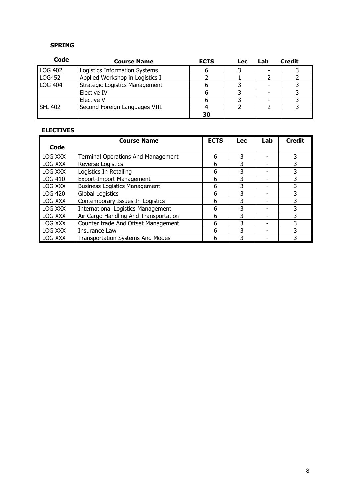| Code            | <b>Course Name</b>                    | <b>ECTS</b> | <b>Lec</b> | Lab | <b>Credit</b> |
|-----------------|---------------------------------------|-------------|------------|-----|---------------|
| <b>LOG 402</b>  | Logistics Information Systems         |             |            |     |               |
| <b>LOG452</b>   | Applied Workshop in Logistics I       |             |            |     |               |
| LOG 404         | <b>Strategic Logistics Management</b> |             |            |     |               |
|                 | Elective IV                           |             |            |     |               |
|                 | Elective V                            |             |            |     |               |
| <b>ISFL 402</b> | Second Foreign Languages VIII         |             |            |     |               |
|                 |                                       | 30          |            |     |               |

#### ELECTIVES

|                | <b>Course Name</b>                        | <b>ECTS</b> | <b>Lec</b> | Lab | <b>Credit</b> |
|----------------|-------------------------------------------|-------------|------------|-----|---------------|
| Code           |                                           |             |            |     |               |
| LOG XXX        | <b>Terminal Operations And Management</b> | 6           | 3          |     | 3             |
| LOG XXX        | Reverse Logistics                         | 6           | 3          | -   |               |
| LOG XXX        | Logistics In Retailing                    | 6           | 3          |     |               |
| <b>LOG 410</b> | <b>Export-Import Management</b>           | 6           | 3          |     | 3             |
| LOG XXX        | <b>Business Logistics Management</b>      | 6           | 3          |     |               |
| <b>LOG 420</b> | <b>Global Logistics</b>                   | 6           | 3          |     |               |
| LOG XXX        | Contemporary Issues In Logistics          | 6           | 3          | -   | 3             |
| LOG XXX        | <b>International Logistics Management</b> | 6           | 3          |     |               |
| LOG XXX        | Air Cargo Handling And Transportation     | 6           | 3          |     |               |
| LOG XXX        | Counter trade And Offset Management       | 6           | 3          |     | 3             |
| LOG XXX        | Insurance Law                             | 6           | 3          |     |               |
| LOG XXX        | <b>Transportation Systems And Modes</b>   | 6           | 3          |     |               |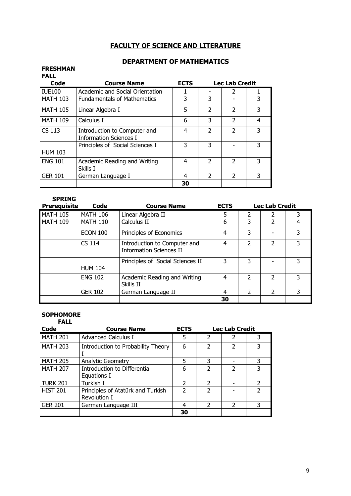## FACULTY OF SCIENCE AND LITERATURE

### DEPARTMENT OF MATHEMATICS

#### FRESHMAN FALL

| Code            | <b>Course Name</b>                                            | <b>ECTS</b> | <b>Lec Lab Credit</b> |               |   |  |
|-----------------|---------------------------------------------------------------|-------------|-----------------------|---------------|---|--|
| <b>IUE100</b>   | Academic and Social Orientation                               |             |                       | 2             |   |  |
| <b>MATH 103</b> | <b>Fundamentals of Mathematics</b>                            | 3           | 3                     |               | 3 |  |
| <b>MATH 105</b> | Linear Algebra I                                              | 5           | $\mathcal{P}$         | $\mathfrak z$ | 3 |  |
| <b>MATH 109</b> | Calculus I                                                    | 6           | 3                     | $\mathcal{P}$ | 4 |  |
| CS 113          | Introduction to Computer and<br><b>Information Sciences I</b> | 4           | $\mathcal{P}$         | $\mathcal{P}$ | 3 |  |
| <b>HUM 103</b>  | Principles of Social Sciences I                               | 3           | 3                     |               | 3 |  |
| <b>ENG 101</b>  | Academic Reading and Writing<br>Skills I                      | 4           | $\mathcal{P}$         | $\mathcal{P}$ | 3 |  |
| <b>GER 101</b>  | German Language I                                             | 4           | $\mathcal{P}$         | $\mathcal{P}$ | 3 |  |
|                 |                                                               | 30          |                       |               |   |  |

#### SPRING

| <b>Prerequisite</b> | Code            | <b>Course Name</b>                                             | <b>ECTS</b> |                          | <b>Lec Lab Credit</b> |   |
|---------------------|-----------------|----------------------------------------------------------------|-------------|--------------------------|-----------------------|---|
| <b>MATH 105</b>     | <b>MATH 106</b> | Linear Algebra II                                              | 5           | 2                        | 2                     |   |
| MATH 109            | <b>MATH 110</b> | Calculus II                                                    | 6           | 3                        | 2                     |   |
|                     | <b>ECON 100</b> | Principles of Economics                                        | 4           | 3                        |                       | 3 |
|                     | CS 114          | Introduction to Computer and<br><b>Information Sciences II</b> | 4           | 2                        | $\mathcal{P}$         | 3 |
|                     | <b>HUM 104</b>  | Principles of Social Sciences II                               | 3           | 3                        |                       | 3 |
|                     | <b>ENG 102</b>  | Academic Reading and Writing<br>Skills II                      | 4           | $\overline{\phantom{a}}$ | 2                     | 3 |
|                     | <b>GER 102</b>  | German Language II                                             | 4           | $\overline{\phantom{a}}$ | $\mathcal{L}$         | 3 |
|                     |                 |                                                                | 30          |                          |                       |   |

### SOPHOMORE

| <b>FALL</b>     |                                                   |               |                          |                       |   |  |
|-----------------|---------------------------------------------------|---------------|--------------------------|-----------------------|---|--|
| Code            | <b>Course Name</b>                                | <b>ECTS</b>   |                          | <b>Lec Lab Credit</b> |   |  |
| <b>MATH 201</b> | <b>Advanced Calculus I</b>                        | 5             | $\overline{2}$           |                       |   |  |
| <b>MATH 203</b> | Introduction to Probability Theory                | 6             | $\mathcal{P}$            | $\mathcal{P}$         | 3 |  |
| <b>MATH 205</b> | <b>Analytic Geometry</b>                          | 5             | 3                        |                       | 3 |  |
| <b>MATH 207</b> | Introduction to Differential<br>Equations I       | 6             | $\overline{\phantom{0}}$ | 2                     | 3 |  |
| <b>TURK 201</b> | Turkish I                                         | 2             | $\mathcal{P}$            |                       |   |  |
| <b>HIST 201</b> | Principles of Atatürk and Turkish<br>Revolution I | $\mathcal{P}$ | $\overline{\phantom{a}}$ |                       | っ |  |
| <b>GER 201</b>  | German Language III                               | 4             | $\mathcal{P}$            | っ                     | 3 |  |
|                 |                                                   | 30            |                          |                       |   |  |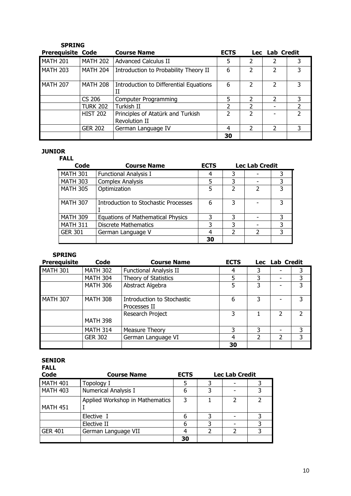| <b>SPRING</b>            |                 |                                                    |               |                |                          |   |
|--------------------------|-----------------|----------------------------------------------------|---------------|----------------|--------------------------|---|
| <b>Prerequisite Code</b> |                 | <b>Course Name</b>                                 | <b>ECTS</b>   |                | Lec Lab Credit           |   |
| <b>MATH 201</b>          | <b>MATH 202</b> | <b>Advanced Calculus II</b>                        | 5             | 2              |                          |   |
| <b>MATH 203</b>          | <b>MATH 204</b> | Introduction to Probability Theory II              | 6             | $\overline{2}$ | $\overline{\mathcal{L}}$ | 3 |
| <b>MATH 207</b>          | <b>MATH 208</b> | Introduction to Differential Equations<br>Н        | 6             | $\mathcal{P}$  | 2                        | 3 |
|                          | CS 206          | Computer Programming                               | 5             | 2              | 2                        | 3 |
|                          | <b>TURK 202</b> | Turkish II                                         | $\mathcal{P}$ | 2              |                          |   |
|                          | <b>HIST 202</b> | Principles of Atatürk and Turkish<br>Revolution II | 2             | 2              |                          |   |
|                          | <b>GER 202</b>  | German Language IV                                 | 4             | $\mathcal{P}$  | 2                        | 3 |
|                          |                 |                                                    | 30            |                |                          |   |

#### JUNIOR

| <b>FALL</b>     |                                          |             |   |                          |   |  |
|-----------------|------------------------------------------|-------------|---|--------------------------|---|--|
| Code            | <b>Course Name</b>                       | <b>ECTS</b> |   | <b>Lec Lab Credit</b>    |   |  |
| <b>MATH 301</b> | <b>Functional Analysis I</b>             | 4           | 3 |                          |   |  |
| <b>MATH 303</b> | <b>Complex Analysis</b>                  | 5           | 3 |                          | 3 |  |
| <b>MATH 305</b> | Optimization                             | 5           |   | $\overline{\phantom{a}}$ | 3 |  |
| <b>MATH 307</b> | Introduction to Stochastic Processes     | 6           | 3 |                          | 3 |  |
| <b>MATH 309</b> | <b>Equations of Mathematical Physics</b> | 3           | 3 |                          | 3 |  |
| <b>MATH 311</b> | <b>Discrete Mathematics</b>              | 3           | 3 |                          | 3 |  |
| <b>GER 301</b>  | German Language V                        | 4           |   | $\mathcal{P}$            | 3 |  |
|                 |                                          | 30          |   |                          |   |  |

## SPRING

| <b>Prerequisite</b> | Code            | <b>Course Name</b>                         | <b>ECTS</b> |               | Lec Lab Credit           |               |
|---------------------|-----------------|--------------------------------------------|-------------|---------------|--------------------------|---------------|
| <b>MATH 301</b>     | <b>MATH 302</b> | <b>Functional Analysis II</b>              | 4           | 3             |                          | 3             |
|                     | <b>MATH 304</b> | Theory of Statistics                       |             | 3             |                          | 3             |
|                     | <b>MATH 306</b> | Abstract Algebra                           | 5           | 3             |                          | 3             |
| <b>MATH 307</b>     | <b>MATH 308</b> | Introduction to Stochastic<br>Processes II | 6           | 3             |                          | 3             |
|                     | <b>MATH 398</b> | Research Project                           | 3           |               | 2                        | $\mathcal{L}$ |
|                     | <b>MATH 314</b> | Measure Theory                             | 3           | 3             | $\overline{\phantom{0}}$ | 3             |
|                     | <b>GER 302</b>  | German Language VI                         | 4           | $\mathcal{P}$ | 2                        | 3             |
|                     |                 |                                            | 30          |               |                          |               |

#### SENIOR

| Code            | <b>Course Name</b>              | <b>ECTS</b> | <b>Lec Lab Credit</b> |  |  |  |
|-----------------|---------------------------------|-------------|-----------------------|--|--|--|
| MATH 401        | Topology I                      | 5           |                       |  |  |  |
| <b>MATH 403</b> | Numerical Analysis I            | 6           |                       |  |  |  |
| <b>MATH 451</b> | Applied Workshop in Mathematics | 3           |                       |  |  |  |
|                 | Elective I                      | 6           |                       |  |  |  |
|                 | Elective II                     | 6           |                       |  |  |  |
| <b>GER 401</b>  | German Language VII             |             |                       |  |  |  |
|                 |                                 | 30          |                       |  |  |  |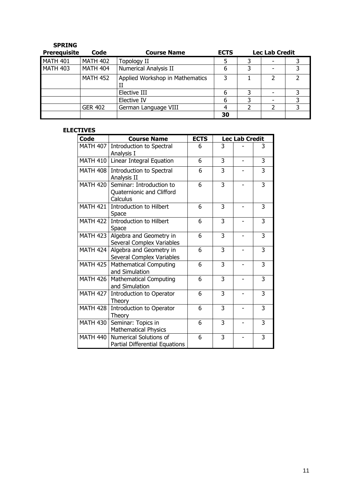| <b>SPRING</b><br><b>Prerequisite</b> | Code            | <b>Course Name</b>              | <b>ECTS</b> |   | <b>Lec Lab Credit</b> |   |
|--------------------------------------|-----------------|---------------------------------|-------------|---|-----------------------|---|
| <b>MATH 401</b>                      | <b>MATH 402</b> | <b>Topology II</b>              | 5           |   |                       |   |
| <b>MATH 403</b>                      | <b>MATH 404</b> | Numerical Analysis II           | 6           | 3 |                       | 3 |
|                                      | <b>MATH 452</b> | Applied Workshop in Mathematics | 3           |   | 2                     |   |
|                                      |                 | Elective III                    | 6           | 3 |                       | 3 |
|                                      |                 | Elective IV                     | 6           |   |                       |   |
|                                      | <b>GER 402</b>  | German Language VIII            |             |   |                       | 3 |
|                                      |                 |                                 | 30          |   |                       |   |

#### ELECTIVES

| Code            | <b>Course Name</b>                                                | <b>ECTS</b> |   | <b>Lec Lab Credit</b>    |                |
|-----------------|-------------------------------------------------------------------|-------------|---|--------------------------|----------------|
| <b>MATH 407</b> | Introduction to Spectral<br>Analysis I                            | 6           | 3 |                          | 3              |
| <b>MATH 410</b> | Linear Integral Equation                                          | 6           | 3 | $\overline{\phantom{0}}$ | 3              |
| <b>MATH 408</b> | Introduction to Spectral<br>Analysis II                           | 6           | 3 |                          | 3              |
| <b>MATH 420</b> | Seminar: Introduction to<br>Quaternionic and Clifford<br>Calculus | 6           | 3 |                          | 3              |
| <b>MATH 421</b> | Introduction to Hilbert<br>Space                                  | 6           | 3 |                          | 3              |
| <b>MATH 422</b> | <b>Introduction to Hilbert</b><br>Space                           | 6           | 3 |                          | 3              |
| <b>MATH 423</b> | Algebra and Geometry in<br>Several Complex Variables              | 6           | 3 |                          | 3              |
| <b>MATH 424</b> | Algebra and Geometry in<br>Several Complex Variables              | 6           | 3 |                          | 3              |
| <b>MATH 425</b> | <b>Mathematical Computing</b><br>and Simulation                   | 6           | 3 |                          | 3              |
| <b>MATH 426</b> | <b>Mathematical Computing</b><br>and Simulation                   | 6           | 3 |                          | $\overline{3}$ |
| <b>MATH 427</b> | Introduction to Operator<br>Theory                                | 6           | 3 |                          | $\overline{3}$ |
| <b>MATH 428</b> | Introduction to Operator<br>Theory                                | 6           | 3 |                          | 3              |
| <b>MATH 430</b> | Seminar: Topics in<br><b>Mathematical Physics</b>                 | 6           | 3 |                          | 3              |
| <b>MATH 440</b> | Numerical Solutions of<br>Partial Differential Equations          | 6           | 3 |                          | 3              |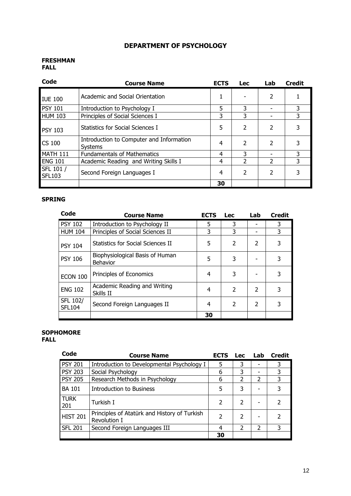## DEPARTMENT OF PSYCHOLOGY

#### FRESHMAN FALL

| Code                       | <b>Course Name</b>                                  | <b>ECTS</b> | <b>Lec</b>               | Lab                      | <b>Credit</b> |
|----------------------------|-----------------------------------------------------|-------------|--------------------------|--------------------------|---------------|
| <b>IUE 100</b>             | Academic and Social Orientation                     |             |                          | $\overline{2}$           |               |
| <b>PSY 101</b>             | Introduction to Psychology I                        | 5           | 3                        |                          | 3             |
| <b>HUM 103</b>             | Principles of Social Sciences I                     | 3           | 3                        |                          | 3.            |
| <b>PSY 103</b>             | <b>Statistics for Social Sciences I</b>             | 5           | $\overline{2}$           | $\overline{2}$           | 3             |
| CS 100                     | Introduction to Computer and Information<br>Systems | 4           | 2                        | 2                        | 3             |
| MATH 111                   | <b>Fundamentals of Mathematics</b>                  | 4           | 3                        |                          | 3             |
| <b>ENG 101</b>             | Academic Reading and Writing Skills I               | 4           | 2                        | $\mathcal{P}$            | 3             |
| SFL 101 /<br><b>SFL103</b> | Second Foreign Languages I                          | 4           | $\overline{\phantom{a}}$ | $\overline{\phantom{a}}$ | 3             |
|                            |                                                     | 30          |                          |                          |               |

### SPRING

| Code                      | <b>Course Name</b>                                 | <b>ECTS</b> | <b>Lec</b>     | Lab                      | <b>Credit</b> |
|---------------------------|----------------------------------------------------|-------------|----------------|--------------------------|---------------|
| <b>PSY 102</b>            | Introduction to Psychology II                      | 5           | 3              |                          | 3             |
| <b>HUM 104</b>            | Principles of Social Sciences II                   | 3           | 3              |                          | 3             |
| <b>PSY 104</b>            | Statistics for Social Sciences II                  | 5           | $\mathcal{P}$  | $\overline{\phantom{a}}$ | 3             |
| <b>PSY 106</b>            | Biophysiological Basis of Human<br><b>Behavior</b> | 5           | 3              |                          | 3             |
| <b>ECON 100</b>           | Principles of Economics                            | 4           | 3              |                          | 3             |
| <b>ENG 102</b>            | Academic Reading and Writing<br>Skills II          | 4           | $\mathcal{P}$  | $\mathcal{P}$            | 3             |
| SFL 102/<br><b>SFL104</b> | Second Foreign Languages II                        | 4           | $\overline{2}$ | $\mathcal{P}$            | 3             |
|                           |                                                    | 30          |                |                          |               |

#### **SOPHOMORE** FALL

| Code               | <b>Course Name</b>                                           | <b>ECTS</b> | <b>Lec</b>               | Lab                      | <b>Credit</b> |
|--------------------|--------------------------------------------------------------|-------------|--------------------------|--------------------------|---------------|
| <b>PSY 201</b>     | Introduction to Developmental Psychology I                   | 5           | 3                        |                          | 3             |
| <b>PSY 203</b>     | Social Psychology                                            | 6           | 3                        | -                        | 3             |
| <b>PSY 205</b>     | Research Methods in Psychology                               | 6           |                          | $\overline{\phantom{a}}$ | 3             |
| <b>BA 101</b>      | Introduction to Business                                     | 5           | 3                        |                          | 3             |
| <b>TURK</b><br>201 | Turkish I                                                    | 2           | $\overline{\phantom{a}}$ |                          |               |
| <b>HIST 201</b>    | Principles of Atatürk and History of Turkish<br>Revolution I | 2           | $\mathfrak{p}$           |                          |               |
| <b>SFL 201</b>     | Second Foreign Languages III                                 | 4           | $\mathcal{P}$            | $\overline{\phantom{a}}$ | 3             |
|                    |                                                              | 30          |                          |                          |               |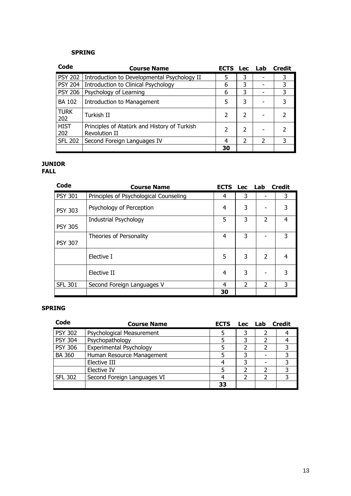| Code               | <b>Course Name</b>                                            | <b>ECTS</b> | <b>Lec</b> | Lab | Credit |
|--------------------|---------------------------------------------------------------|-------------|------------|-----|--------|
| <b>PSY 202</b>     | Introduction to Developmental Psychology II                   | 5           | 3          |     | 3      |
| <b>PSY 204</b>     | Introduction to Clinical Psychology                           | 6           | 3          |     | 3      |
| <b>PSY 206</b>     | Psychology of Learning                                        | 6           | 3          |     | 3      |
| <b>BA 102</b>      | Introduction to Management                                    | 5           | 3          |     | 3      |
| <b>TURK</b><br>202 | Turkish II                                                    | 2           | 2          |     |        |
| <b>HIST</b><br>202 | Principles of Atatürk and History of Turkish<br>Revolution II | 2           | 2          |     |        |
| <b>SFL 202</b>     | Second Foreign Languages IV                                   | 4           | 2          |     | 3      |
|                    |                                                               | 30          |            |     |        |

## JUNIOR

FALL

| Code           | <b>Course Name</b>                     | <b>ECTS Lec Lab</b> |               |                          | <b>Credit</b> |
|----------------|----------------------------------------|---------------------|---------------|--------------------------|---------------|
| <b>PSY 301</b> | Principles of Psychological Counseling | 4                   | 3             | $\overline{\phantom{0}}$ | 3             |
| <b>PSY 303</b> | Psychology of Perception               | 4                   | 3             |                          | 3             |
| <b>PSY 305</b> | Industrial Psychology                  | 5                   | 3             | $\overline{2}$           | 4             |
| <b>PSY 307</b> | Theories of Personality                | 4                   | 3             |                          | 3             |
|                | Elective I                             | 5                   | 3             | $\overline{2}$           | 4             |
|                | Elective II                            | 4                   | 3             |                          | 3             |
| <b>SFL 301</b> | Second Foreign Languages V             | 4                   | $\mathcal{P}$ | $\mathcal{P}$            | 3             |
|                |                                        | 30                  |               |                          |               |

| Code           | <b>Course Name</b>          | <b>ECTS</b> | <b>Lec</b> | Lab | <b>Credit</b> |
|----------------|-----------------------------|-------------|------------|-----|---------------|
| <b>PSY 302</b> | Psychological Measurement   |             | 3          |     |               |
| <b>PSY 304</b> | Psychopathology             |             | 3          |     |               |
| <b>PSY 306</b> | Experimental Psychology     |             |            |     |               |
| <b>BA 360</b>  | Human Resource Management   |             | 3          |     | 3             |
|                | Elective III                |             | 3          |     | っ             |
|                | Elective IV                 |             |            |     |               |
| <b>SFL 302</b> | Second Foreign Languages VI |             |            |     |               |
|                |                             | 33          |            |     |               |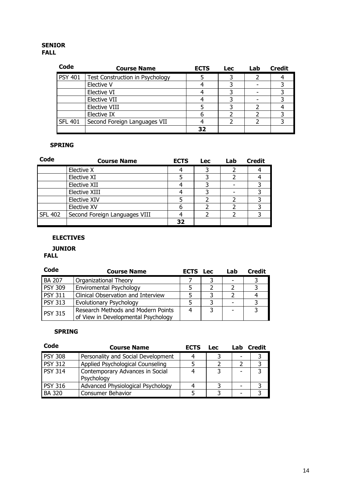#### SENIOR FALL

| Code           | <b>Course Name</b>                     | <b>ECTS</b> | <b>Lec</b> | Lab | <b>Credit</b> |
|----------------|----------------------------------------|-------------|------------|-----|---------------|
| <b>PSY 401</b> | <b>Test Construction in Psychology</b> |             |            |     |               |
|                | Elective V                             |             |            |     |               |
|                | Elective VI                            |             |            |     |               |
|                | <b>Elective VII</b>                    |             |            |     |               |
|                | <b>Elective VIII</b>                   |             |            |     |               |
|                | Elective IX                            |             |            |     |               |
| <b>SFL 401</b> | Second Foreign Languages VII           |             |            |     |               |
|                |                                        |             |            |     |               |

### SPRING

| Code           | <b>Course Name</b>            | <b>ECTS</b> | <b>Lec</b> | Lab | <b>Credit</b> |
|----------------|-------------------------------|-------------|------------|-----|---------------|
|                | Elective X                    |             |            |     |               |
|                | Elective XI                   |             |            |     |               |
|                | Elective XII                  |             |            |     |               |
|                | Elective XIII                 |             |            |     |               |
|                | Elective XIV                  |             |            |     |               |
|                | Elective XV                   |             |            |     |               |
| <b>SFL 402</b> | Second Foreign Languages VIII |             |            |     |               |
|                |                               | 32          |            |     |               |

### ELECTIVES

## JUNIOR

### FALL

| Code           | <b>Course Name</b>                                                        | <b>ECTS</b> Lec |   | Lab | <b>Credit</b> |
|----------------|---------------------------------------------------------------------------|-----------------|---|-----|---------------|
| <b>BA 207</b>  | Organizational Theory                                                     |                 |   |     |               |
| <b>PSY 309</b> | Enviromental Psychology                                                   |                 |   |     |               |
| <b>PSY 311</b> | Clinical Observation and Interview                                        |                 |   |     |               |
| <b>PSY 313</b> | Evolutionary Psychology                                                   |                 |   |     |               |
| <b>PSY 315</b> | Research Methods and Modern Points<br>of View in Developmental Psychology |                 | 3 |     |               |

| <b>Course Name</b>                 | <b>ECTS</b> | <b>Lec</b> | Lab | Credit |
|------------------------------------|-------------|------------|-----|--------|
| Personality and Social Development |             |            |     |        |
| Applied Psychological Counseling   |             |            |     |        |
| Contemporary Advances in Social    |             |            |     | ર      |
| Psychology                         |             |            |     |        |
| Advanced Physiological Psychology  |             |            |     |        |
| Consumer Behavior                  |             |            |     |        |
|                                    |             |            |     |        |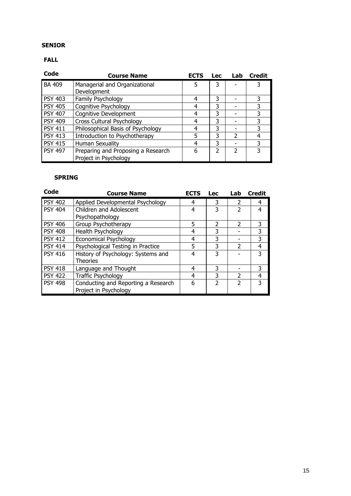#### SENIOR

## FALL

| Code           | <b>Course Name</b>                 | <b>ECTS</b> | <b>Lec</b> | Lab           | <b>Credit</b> |
|----------------|------------------------------------|-------------|------------|---------------|---------------|
| <b>BA 409</b>  | Managerial and Organizational      | 5           | 3          |               |               |
|                | Development                        |             |            |               |               |
| <b>PSY 403</b> | Family Psychology                  | 4           | 3          |               | 3             |
| <b>PSY 405</b> | Cognitive Psychology               | 4           | 3          |               | 3             |
| <b>PSY 407</b> | Cognitive Development              | 4           | 3          |               | 3             |
| <b>PSY 409</b> | Cross Cultural Psychology          | 4           | 3          |               | 3             |
| <b>PSY 411</b> | Philosophical Basis of Psychology  | 4           | 3          |               | 3             |
| <b>PSY 413</b> | Introduction to Psychotherapy      | 5           | 3          | 2             | 4             |
| <b>PSY 415</b> | <b>Human Sexuality</b>             | 4           | 3          |               | 3             |
| <b>PSY 497</b> | Preparing and Proposing a Research | 6           | フ          | $\mathcal{P}$ | 3             |
|                | Project in Psychology              |             |            |               |               |

| Code           | <b>Course Name</b>                  | <b>ECTS</b> | <b>Lec</b>     | Lab           | <b>Credit</b> |
|----------------|-------------------------------------|-------------|----------------|---------------|---------------|
| <b>PSY 402</b> | Applied Developmental Psychology    | 4           | 3              | 2             | 4             |
| <b>PSY 404</b> | Children and Adolescent             | 4           | 3              |               | 4             |
|                | Psychopathology                     |             |                |               |               |
| <b>PSY 406</b> | Group Psychotherapy                 | 5           | 2              | 2             | 3             |
| <b>PSY 408</b> | Health Psychology                   | 4           | 3              |               | 3             |
| <b>PSY 412</b> | <b>Economical Psychology</b>        | 4           | 3              |               | 3             |
| <b>PSY 414</b> | Psychological Testing in Practice   | 5           | 3              | 2             | 4             |
| <b>PSY 416</b> | History of Psychology: Systems and  | 4           | 3              |               | 3             |
|                | <b>Theories</b>                     |             |                |               |               |
| <b>PSY 418</b> | Language and Thought                | 4           | 3              |               | 3             |
| <b>PSY 422</b> | <b>Traffic Psychology</b>           | 4           | 3              | $\mathcal{P}$ | 4             |
| <b>PSY 498</b> | Conducting and Reporting a Research | 6           | $\mathfrak{p}$ | $\mathcal{P}$ | 3             |
|                | Project in Psychology               |             |                |               |               |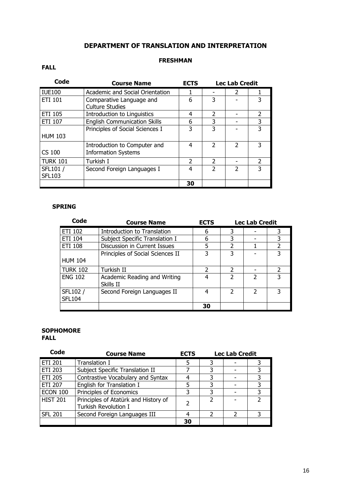## DEPARTMENT OF TRANSLATION AND INTERPRETATION

#### FRESHMAN

### FALL

| Code                      | <b>Course Name</b>                                         | <b>ECTS</b>   |               | <b>Lec Lab Credit</b>    |               |  |
|---------------------------|------------------------------------------------------------|---------------|---------------|--------------------------|---------------|--|
| <b>IUE100</b>             | Academic and Social Orientation                            |               |               | $\overline{\phantom{a}}$ |               |  |
| <b>ETI 101</b>            | Comparative Language and<br><b>Culture Studies</b>         | 6             | 3             |                          | 3             |  |
| <b>ETI 105</b>            | <b>Introduction to Linguistics</b>                         | 4             | $\mathcal{P}$ |                          | 2             |  |
| <b>ETI 107</b>            | <b>English Communication Skills</b>                        | 6             | 3             |                          | 3             |  |
| <b>HUM 103</b>            | Principles of Social Sciences I                            | 3             | 3             |                          | 3             |  |
| CS 100                    | Introduction to Computer and<br><b>Information Systems</b> | 4             | $\mathcal{P}$ | $\mathcal{P}$            | 3             |  |
| <b>TURK 101</b>           | Turkish I                                                  | $\mathcal{P}$ | $\mathcal{P}$ |                          | $\mathcal{P}$ |  |
| SFL101 /<br><b>SFL103</b> | Second Foreign Languages I                                 | 4             | $\mathcal{P}$ | $\mathcal{P}$            | 3             |  |
|                           |                                                            | 30            |               |                          |               |  |

#### SPRING

| Code                      | <b>Course Name</b>                        | <b>ECTS</b> | <b>Lec Lab Credit</b> |   |   |
|---------------------------|-------------------------------------------|-------------|-----------------------|---|---|
| ETI 102                   | Introduction to Translation               | 6           | 3                     |   |   |
| ETI 104                   | Subject Specific Translation I            | 6           | 3                     |   |   |
| <b>ETI 108</b>            | Discussion in Current Issues              | 5           | $\mathfrak z$         |   |   |
|                           | Principles of Social Sciences II          | 3           | 3                     |   |   |
| <b>HUM 104</b>            |                                           |             |                       |   |   |
| <b>TURK 102</b>           | Turkish II                                | 2           | $\mathcal{P}$         |   |   |
| <b>ENG 102</b>            | Academic Reading and Writing<br>Skills II | 4           | $\overline{2}$        | C | 3 |
| SFL102 /<br><b>SFL104</b> | Second Foreign Languages II               | 4           | $\mathcal{P}$         | C |   |
|                           |                                           | 30          |                       |   |   |

#### **SOPHOMORE** FALL

| Code            | <b>Course Name</b>                                                  | <b>ECTS</b> | <b>Lec Lab Credit</b> |  |   |
|-----------------|---------------------------------------------------------------------|-------------|-----------------------|--|---|
| <b>ETI 201</b>  | Translation I                                                       |             |                       |  |   |
| <b>ETI 203</b>  | Subject Specific Translation II                                     |             |                       |  |   |
| <b>ETI 205</b>  | Contrastive Vocabulary and Syntax                                   |             |                       |  |   |
| <b>ETI 207</b>  | English for Translation I                                           |             |                       |  |   |
| <b>ECON 100</b> | Principles of Economics                                             |             |                       |  | 3 |
| <b>HIST 201</b> | Principles of Atatürk and History of<br><b>Turkish Revolution I</b> |             | C                     |  |   |
| <b>SFL 201</b>  | Second Foreign Languages III                                        |             |                       |  |   |
|                 |                                                                     | 30          |                       |  |   |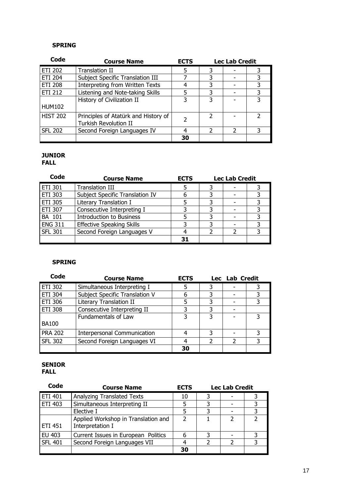| Code            | <b>Course Name</b>                   | <b>ECTS</b>   | <b>Lec Lab Credit</b> |               |   |
|-----------------|--------------------------------------|---------------|-----------------------|---------------|---|
| <b>ETI 202</b>  | <b>Translation II</b>                | 5             |                       |               |   |
| <b>ETI 204</b>  | Subject Specific Translation III     |               |                       |               | 3 |
| <b>ETI 208</b>  | Interpreting from Written Texts      |               |                       |               | 3 |
| <b>ETI 212</b>  | Listening and Note-taking Skills     |               | 3                     |               | 3 |
|                 | History of Civilization II           |               |                       |               |   |
| <b>HUM102</b>   |                                      |               |                       |               |   |
| <b>HIST 202</b> | Principles of Atatürk and History of | $\mathcal{P}$ | $\mathcal{P}$         |               |   |
|                 | <b>Turkish Revolution II</b>         |               |                       |               |   |
| <b>SFL 202</b>  | Second Foreign Languages IV          |               |                       | $\mathcal{P}$ | 3 |
|                 |                                      | 30            |                       |               |   |

## JUNIOR

#### FALL

| Code           | <b>Course Name</b>               | <b>ECTS</b> |  | <b>Lec Lab Credit</b> |  |
|----------------|----------------------------------|-------------|--|-----------------------|--|
| <b>ETI 301</b> | <b>Translation III</b>           |             |  |                       |  |
| ETI 303        | Subject Specific Translation IV  |             |  |                       |  |
| ETI 305        | Literary Translation I           |             |  |                       |  |
| <b>ETI 307</b> | Consecutive Interpreting I       |             |  |                       |  |
| <b>BA 101</b>  | <b>Introduction to Business</b>  |             |  |                       |  |
| <b>ENG 311</b> | <b>Effective Speaking Skills</b> |             |  |                       |  |
| <b>SFL 301</b> | Second Foreign Languages V       |             |  |                       |  |
|                |                                  | 31          |  |                       |  |

## SPRING

| Code           | <b>Course Name</b>             | <b>ECTS</b> |   | Lec Lab Credit |  |
|----------------|--------------------------------|-------------|---|----------------|--|
| ETI 302        | Simultaneous Interpreting I    |             |   |                |  |
| <b>ETI 304</b> | Subject Specific Translation V | 6           |   |                |  |
| <b>ETI 306</b> | Literary Translation II        |             | 3 |                |  |
| <b>ETI 308</b> | Consecutive Interpreting II    |             | 3 |                |  |
|                | Fundamentals of Law            | ς           | 3 |                |  |
| <b>BA100</b>   |                                |             |   |                |  |
| <b>PRA 202</b> | Interpersonal Communication    |             | 3 |                |  |
| <b>SFL 302</b> | Second Foreign Languages VI    |             | 2 |                |  |
|                |                                | 30          |   |                |  |

#### SENIOR FALL

| Code           | <b>Course Name</b>                                      | <b>ECTS</b>   |   | <b>Lec Lab Credit</b> |  |
|----------------|---------------------------------------------------------|---------------|---|-----------------------|--|
| <b>ETI 401</b> | <b>Analyzing Translated Texts</b>                       | 10            |   |                       |  |
| ETI 403        | Simultaneous Interpreting II                            |               |   |                       |  |
|                | Elective I                                              |               |   |                       |  |
| ETI 451        | Applied Workshop in Translation and<br>Interpretation I | $\mathcal{L}$ |   |                       |  |
| EU 403         | Current Issues in European Politics                     | 6             | 3 |                       |  |
| <b>SFL 401</b> | Second Foreign Languages VII                            |               |   |                       |  |
|                |                                                         | 30            |   |                       |  |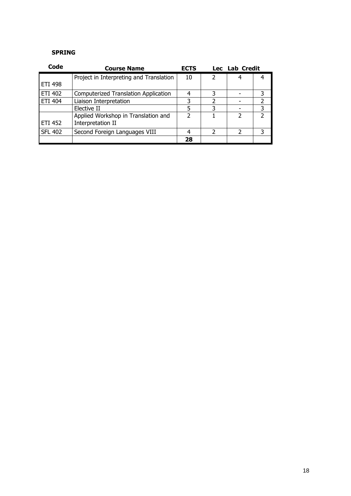| Code           | <b>Course Name</b>                                       | <b>ECTS</b>   |                          | Lec Lab Credit |                |
|----------------|----------------------------------------------------------|---------------|--------------------------|----------------|----------------|
|                | Project in Interpreting and Translation                  | 10            | $\overline{\phantom{a}}$ |                |                |
| <b>ETI 498</b> |                                                          |               |                          |                |                |
| <b>ETI 402</b> | <b>Computerized Translation Application</b>              |               |                          |                | 3              |
| ETI 404        | Liaison Interpretation                                   | 3             |                          |                | $\mathcal{P}$  |
|                | Elective II                                              | 5             | 3                        |                | 3              |
| ETI 452        | Applied Workshop in Translation and<br>Interpretation II | $\mathcal{P}$ |                          | $\mathcal{P}$  | $\mathfrak{p}$ |
| <b>SFL 402</b> | Second Foreign Languages VIII                            |               | 2                        | っ              | 3              |
|                |                                                          | 28            |                          |                |                |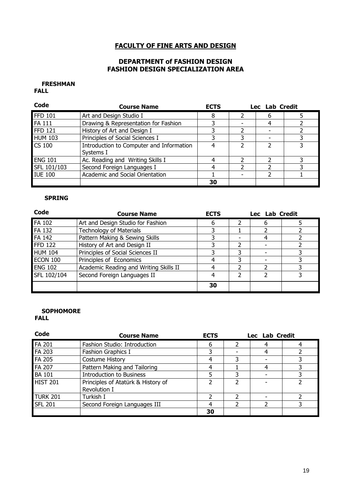### FACULTY OF FINE ARTS AND DESIGN

### DEPARTMENT of FASHION DESIGN FASHION DESIGN SPECIALIZATION AREA

#### FRESHMAN FALL

| Code           | <b>Course Name</b>                                    | <b>ECTS</b> | Lec Lab Credit |  |
|----------------|-------------------------------------------------------|-------------|----------------|--|
| <b>FFD 101</b> | Art and Design Studio I                               | 8           |                |  |
| <b>FA 111</b>  | Drawing & Representation for Fashion                  |             |                |  |
| <b>FFD 121</b> | History of Art and Design I                           |             |                |  |
| <b>HUM 103</b> | Principles of Social Sciences I                       |             |                |  |
| <b>CS 100</b>  | Introduction to Computer and Information<br>Systems I |             |                |  |
| <b>ENG 101</b> | Ac. Reading and Writing Skills I                      |             |                |  |
| SFL 101/103    | Second Foreign Languages I                            |             |                |  |
| <b>IUE 100</b> | Academic and Social Orientation                       |             |                |  |
|                |                                                       | 30          |                |  |

#### SPRING

| Code            | <b>Course Name</b>                     | <b>ECTS</b> | Lec Lab Credit |   |  |  |
|-----------------|----------------------------------------|-------------|----------------|---|--|--|
| <b>FA 102</b>   | Art and Design Studio for Fashion      | h           |                | 6 |  |  |
| FA 132          | <b>Technology of Materials</b>         |             |                |   |  |  |
| FA 142          | Pattern Making & Sewing Skills         |             |                |   |  |  |
| <b>FFD 122</b>  | History of Art and Design II           |             |                |   |  |  |
| <b>HUM 104</b>  | Principles of Social Sciences II       |             |                |   |  |  |
| <b>ECON 100</b> | Principles of Economics                |             |                |   |  |  |
| <b>ENG 102</b>  | Academic Reading and Writing Skills II |             |                |   |  |  |
| SFL 102/104     | Second Foreign Languages II            |             |                |   |  |  |
|                 |                                        | 30          |                |   |  |  |

#### **SOPHOMORE** FALL

| Code            | <b>Course Name</b>                 | <b>ECTS</b> | Lec Lab Credit |  |
|-----------------|------------------------------------|-------------|----------------|--|
| <b>FA 201</b>   | Fashion Studio: Introduction       | 6           |                |  |
| FA 203          | Fashion Graphics I                 |             |                |  |
| FA 205          | Costume History                    | 4           |                |  |
| FA 207          | Pattern Making and Tailoring       |             |                |  |
| <b>BA 101</b>   | <b>Introduction to Business</b>    |             |                |  |
| <b>HIST 201</b> | Principles of Atatürk & History of |             |                |  |
|                 | Revolution I                       |             |                |  |
| <b>TURK 201</b> | Turkish I                          |             |                |  |
| <b>SFL 201</b>  | Second Foreign Languages III       |             |                |  |
|                 |                                    | 30          |                |  |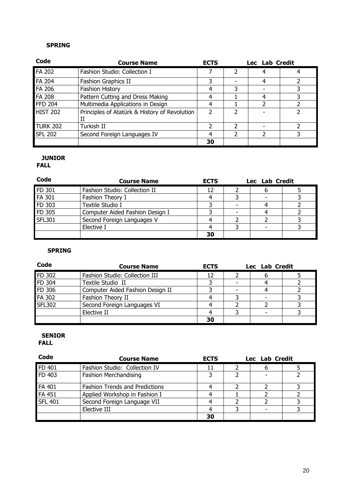| Code            | <b>Course Name</b>                                 | <b>ECTS</b> |   | Lec Lab Credit |  |
|-----------------|----------------------------------------------------|-------------|---|----------------|--|
| FA 202          | Fashion Studio: Collection I                       |             |   |                |  |
| FA 204          | Fashion Graphics II                                |             |   |                |  |
| <b>FA 206</b>   | <b>Fashion History</b>                             | 4           | 3 |                |  |
| FA 208          | Pattern Cutting and Dress Making                   |             |   |                |  |
| <b>FFD 204</b>  | Multimedia Applications in Design                  | 4           |   |                |  |
| <b>HIST 202</b> | Principles of Atatürk & History of Revolution<br>Н |             |   |                |  |
| <b>TURK 202</b> | Turkish II                                         | ว           |   |                |  |
| <b>SFL 202</b>  | Second Foreign Languages IV                        | 4           |   |                |  |
|                 |                                                    | 30          |   |                |  |

## JUNIOR

## FALL

| Code          | <b>Course Name</b>              | <b>ECTS</b> | Lec Lab Credit |  |
|---------------|---------------------------------|-------------|----------------|--|
| FD 301        | Fashion Studio: Collection II   | 12          |                |  |
| FA 301        | Fashion Theory I                |             |                |  |
| FD 303        | Textile Studio I                |             |                |  |
| FD 305        | Computer Aided Fashion Design I |             |                |  |
| <b>SFL301</b> | Second Foreign Languages V      |             |                |  |
|               | Elective I                      |             |                |  |
|               |                                 | 30          |                |  |

## SPRING

| Code          | <b>Course Name</b>               | <b>ECTS</b> | Lec Lab Credit |  |
|---------------|----------------------------------|-------------|----------------|--|
| FD 302        | Fashion Studio: Collection III   | 12          |                |  |
| FD 304        | Textile Studio II                |             |                |  |
| FD 306        | Computer Aided Fashion Design II |             |                |  |
| FA 302        | Fashion Theory II                |             |                |  |
| <b>SFL302</b> | Second Foreign Languages VI      |             |                |  |
|               | Elective II                      |             |                |  |
|               |                                  | 30          |                |  |

## SENIOR

| Code           | <b>Course Name</b>                    | <b>ECTS</b> | Lec Lab Credit |  |
|----------------|---------------------------------------|-------------|----------------|--|
| FD 401         | Fashion Studio: Collection IV         |             |                |  |
| FD 403         | Fashion Merchandising                 |             |                |  |
| FA 401         | <b>Fashion Trends and Predictions</b> |             |                |  |
| FA 451         | Applied Workshop in Fashion I         |             |                |  |
| <b>SFL 401</b> | Second Foreign Language VII           |             |                |  |
|                | Elective III                          |             |                |  |
|                |                                       | 30          |                |  |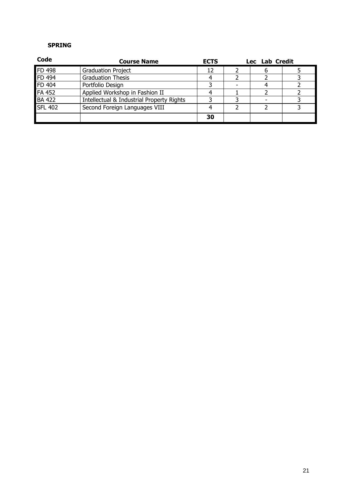| Code           | <b>Course Name</b>                        | <b>ECTS</b> | Lec Lab Credit |  |
|----------------|-------------------------------------------|-------------|----------------|--|
| FD 498         | <b>Graduation Project</b>                 | 12          |                |  |
| FD 494         | <b>Graduation Thesis</b>                  |             |                |  |
| FD 404         | Portfolio Design                          |             |                |  |
| FA 452         | Applied Workshop in Fashion II            |             |                |  |
| <b>BA 422</b>  | Intellectual & Industrial Property Rights |             |                |  |
| <b>SFL 402</b> | Second Foreign Languages VIII             |             |                |  |
|                |                                           | 30          |                |  |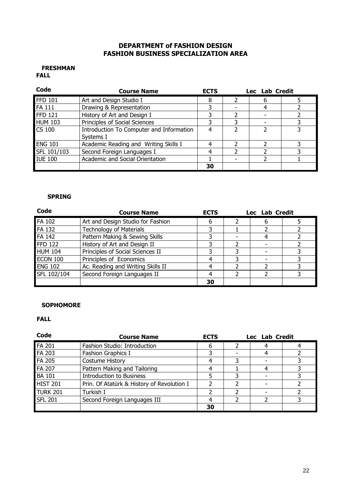### DEPARTMENT of FASHION DESIGN FASHION BUSINESS SPECIALIZATION AREA

#### FRESHMAN FALL

| Code           | <b>Course Name</b>                                    | <b>ECTS</b> | Lec Lab Credit |  |
|----------------|-------------------------------------------------------|-------------|----------------|--|
| <b>FFD 101</b> | Art and Design Studio I                               | 8           |                |  |
| <b>FA 111</b>  | Drawing & Representation                              |             |                |  |
| <b>FFD 121</b> | History of Art and Design I                           | 3           |                |  |
| <b>HUM 103</b> | Principles of Social Sciences                         |             |                |  |
| <b>CS 100</b>  | Introduction To Computer and Information<br>Systems I | 4           |                |  |
| <b>ENG 101</b> | Academic Reading and Writing Skills I                 |             |                |  |
| SFL 101/103    | Second Foreign Languages I                            |             |                |  |
| <b>IUE 100</b> | Academic and Social Orientation                       |             |                |  |
|                |                                                       | 30          |                |  |

### SPRING

| Code            | <b>Course Name</b>                | <b>ECTS</b> | Lec Lab Credit |  |
|-----------------|-----------------------------------|-------------|----------------|--|
| <b>FA 102</b>   | Art and Design Studio for Fashion | 6           |                |  |
| <b>FA 132</b>   | <b>Technology of Materials</b>    |             |                |  |
| <b>FA 142</b>   | Pattern Making & Sewing Skills    | 3           |                |  |
| <b>FFD 122</b>  | History of Art and Design II      | っ           |                |  |
| <b>HUM 104</b>  | Principles of Social Sciences II  |             |                |  |
| <b>ECON 100</b> | Principles of Economics           |             |                |  |
| <b>ENG 102</b>  | Ac. Reading and Writing Skills II |             |                |  |
| SFL 102/104     | Second Foreign Languages II       |             |                |  |
|                 |                                   | 30          |                |  |

#### **SOPHOMORE**

| Code            | <b>Course Name</b>                         | <b>ECTS</b> |   | Lec Lab Credit |  |
|-----------------|--------------------------------------------|-------------|---|----------------|--|
| <b>FA 201</b>   | Fashion Studio: Introduction               | 6           |   |                |  |
| FA 203          | Fashion Graphics I                         |             |   |                |  |
| <b>FA 205</b>   | Costume History                            |             | 3 |                |  |
| FA 207          | Pattern Making and Tailoring               |             |   |                |  |
| <b>BA 101</b>   | <b>Introduction to Business</b>            |             |   |                |  |
| <b>HIST 201</b> | Prin. Of Atatürk & History of Revolution I |             |   |                |  |
| <b>TURK 201</b> | Turkish I                                  |             |   |                |  |
| <b>SFL 201</b>  | Second Foreign Languages III               |             |   |                |  |
|                 |                                            | 30          |   |                |  |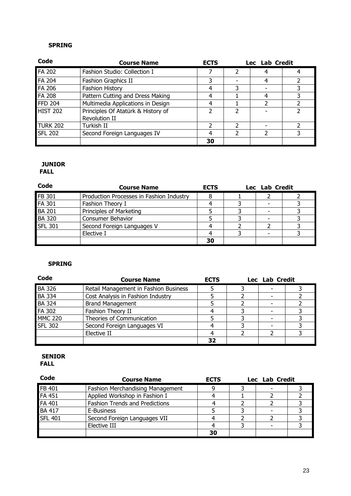| Code            | <b>Course Name</b>                                         | <b>ECTS</b> |   | Lec Lab Credit |  |
|-----------------|------------------------------------------------------------|-------------|---|----------------|--|
| <b>FA 202</b>   | Fashion Studio: Collection I                               |             |   |                |  |
| <b>FA 204</b>   | <b>Fashion Graphics II</b>                                 |             |   |                |  |
| FA 206          | <b>Fashion History</b>                                     |             | 3 |                |  |
| <b>FA 208</b>   | Pattern Cutting and Dress Making                           |             |   |                |  |
| <b>FFD 204</b>  | Multimedia Applications in Design                          |             |   |                |  |
| <b>HIST 202</b> | Principles Of Atatürk & History of<br><b>Revolution II</b> |             |   |                |  |
| <b>TURK 202</b> | Turkish II                                                 |             |   |                |  |
| <b>SFL 202</b>  | Second Foreign Languages IV                                |             |   |                |  |
|                 |                                                            | 30          |   |                |  |

#### JUNIOR FALL

| Code           | <b>Course Name</b>                       | <b>ECTS</b> | Lec Lab Credit |  |
|----------------|------------------------------------------|-------------|----------------|--|
| FB 301         | Production Processes in Fashion Industry |             |                |  |
| FA 301         | Fashion Theory I                         |             |                |  |
| <b>BA 201</b>  | Principles of Marketing                  |             |                |  |
| <b>BA 320</b>  | Consumer Behavior                        |             |                |  |
| <b>SFL 301</b> | Second Foreign Languages V               |             |                |  |
|                | Elective I                               |             |                |  |
|                |                                          | 30          |                |  |

## SPRING

| Code           | <b>Course Name</b>                    | <b>ECTS</b> | Lec Lab Credit |  |
|----------------|---------------------------------------|-------------|----------------|--|
| <b>BA 326</b>  | Retail Management in Fashion Business |             |                |  |
| <b>BA 334</b>  | Cost Analysis in Fashion Industry     |             |                |  |
| <b>BA 324</b>  | <b>Brand Management</b>               |             |                |  |
| FA 302         | Fashion Theory II                     |             |                |  |
| <b>MMC 220</b> | Theories of Communication             |             |                |  |
| <b>SFL 302</b> | Second Foreign Languages VI           |             |                |  |
|                | Elective II                           |             |                |  |
|                |                                       | 37          |                |  |

#### SENIOR FALL

| Code           | <b>Course Name</b>                      | <b>ECTS</b> | Lec Lab Credit |  |
|----------------|-----------------------------------------|-------------|----------------|--|
| FB 401         | <b>Fashion Merchandising Management</b> |             |                |  |
| <b>FA 451</b>  | Applied Workshop in Fashion I           |             |                |  |
| FA 401         | <b>Fashion Trends and Predictions</b>   |             |                |  |
| <b>BA 417</b>  | E-Business                              |             |                |  |
| <b>SFL 401</b> | Second Foreign Languages VII            |             |                |  |
|                | Elective III                            |             |                |  |
|                |                                         | 30          |                |  |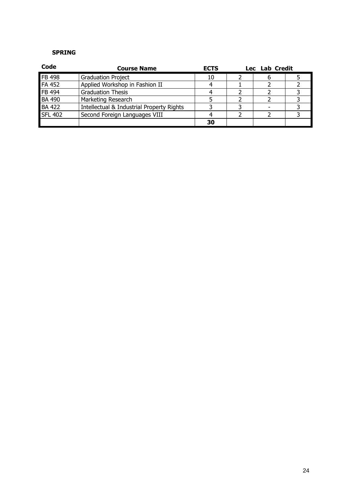| Code           | <b>Course Name</b>                        | <b>ECTS</b> |  | Lec Lab Credit |  |
|----------------|-------------------------------------------|-------------|--|----------------|--|
| FB 498         | <b>Graduation Project</b>                 | 10          |  |                |  |
| <b>FA 452</b>  | Applied Workshop in Fashion II            |             |  |                |  |
| FB 494         | <b>Graduation Thesis</b>                  |             |  |                |  |
| <b>BA 490</b>  | Marketing Research                        |             |  |                |  |
| <b>BA 422</b>  | Intellectual & Industrial Property Rights |             |  |                |  |
| <b>SFL 402</b> | Second Foreign Languages VIII             |             |  |                |  |
|                |                                           | 30          |  |                |  |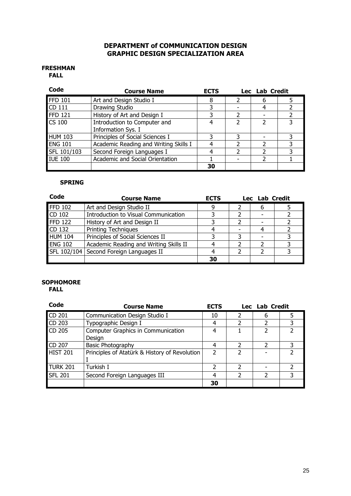### DEPARTMENT of COMMUNICATION DESIGN GRAPHIC DESIGN SPECIALIZATION AREA

#### FRESHMAN FALL

| Code           | <b>Course Name</b>                    | <b>ECTS</b> |   | Lec Lab Credit |  |
|----------------|---------------------------------------|-------------|---|----------------|--|
| FFD 101        | Art and Design Studio I               | 8           | っ | 6              |  |
| CD 111         | Drawing Studio                        |             |   | 4              |  |
| <b>FFD 121</b> | History of Art and Design I           |             |   |                |  |
| <b>CS 100</b>  | Introduction to Computer and          | 4           | 7 | າ              |  |
|                | Information Sys. I                    |             |   |                |  |
| <b>HUM 103</b> | Principles of Social Sciences I       |             |   |                |  |
| <b>ENG 101</b> | Academic Reading and Writing Skills I |             |   |                |  |
| SFL 101/103    | Second Foreign Languages I            |             |   |                |  |
| <b>IUE 100</b> | Academic and Social Orientation       |             |   |                |  |
|                |                                       | 30          |   |                |  |

#### SPRING

| Code           | <b>Course Name</b>                        | <b>ECTS</b> | Lec Lab Credit |  |
|----------------|-------------------------------------------|-------------|----------------|--|
| <b>FFD 102</b> | Art and Design Studio II                  |             | b              |  |
| CD 102         | Introduction to Visual Communication      |             |                |  |
| <b>FFD 122</b> | History of Art and Design II              |             |                |  |
| CD 132         | <b>Printing Techniques</b>                |             |                |  |
| <b>HUM 104</b> | Principles of Social Sciences II          |             |                |  |
| <b>ENG 102</b> | Academic Reading and Writing Skills II    |             |                |  |
|                | SFL 102/104   Second Foreign Languages II |             |                |  |
|                |                                           | 30          |                |  |

## **SOPHOMORE**

| Code            | <b>Course Name</b>                            | <b>ECTS</b>   |   | Lec Lab Credit |  |
|-----------------|-----------------------------------------------|---------------|---|----------------|--|
| CD 201          | Communication Design Studio I                 | 10            |   | 6              |  |
| CD 203          | Typographic Design I                          | 4             |   |                |  |
| CD 205          | Computer Graphics in Communication<br>Design  | 4             |   | 2              |  |
| CD 207          | <b>Basic Photography</b>                      | 4             |   | າ              |  |
| <b>HIST 201</b> | Principles of Atatürk & History of Revolution |               |   |                |  |
| <b>TURK 201</b> | Turkish I                                     | $\mathcal{P}$ | 2 |                |  |
| <b>SFL 201</b>  | Second Foreign Languages III                  | 4             | 2 | $\mathcal{P}$  |  |
|                 |                                               | 30            |   |                |  |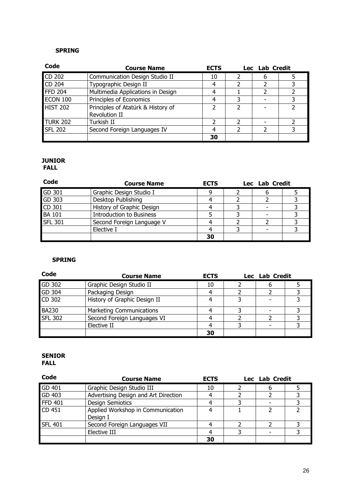| Code            | <b>Course Name</b>                                  | <b>ECTS</b> | Lec Lab Credit |  |
|-----------------|-----------------------------------------------------|-------------|----------------|--|
| CD 202          | Communication Design Studio II                      | 10          | 6              |  |
| CD 204          | Typographic Design II                               |             |                |  |
| <b>FFD 204</b>  | Multimedia Applications in Design                   | 4           |                |  |
| <b>ECON 100</b> | Principles of Economics                             |             |                |  |
| <b>HIST 202</b> | Principles of Atatürk & History of<br>Revolution II |             |                |  |
| <b>TURK 202</b> | Turkish II                                          |             |                |  |
| <b>SFL 202</b>  | Second Foreign Languages IV                         |             |                |  |
|                 |                                                     | 30          |                |  |

## JUNIOR

FALL

| Code           | <b>Course Name</b>              | <b>ECTS</b> | Lec Lab Credit |  |
|----------------|---------------------------------|-------------|----------------|--|
| GD 301         | Graphic Design Studio I         |             |                |  |
| GD 303         | Desktop Publishing              |             |                |  |
| CD 301         | History of Graphic Design       |             |                |  |
| <b>BA 101</b>  | <b>Introduction to Business</b> |             |                |  |
| <b>SFL 301</b> | Second Foreign Language V       |             |                |  |
|                | Elective I                      |             |                |  |
|                |                                 | 30          |                |  |

#### SPRING

| Code           | <b>Course Name</b>              | <b>ECTS</b> | Lec Lab Credit |  |  |
|----------------|---------------------------------|-------------|----------------|--|--|
| GD 302         | Graphic Design Studio II        | 10          |                |  |  |
| GD 304         | Packaging Design                |             |                |  |  |
| CD 302         | History of Graphic Design II    |             |                |  |  |
| <b>BA230</b>   | <b>Marketing Communications</b> |             |                |  |  |
| <b>SFL 302</b> | Second Foreign Languages VI     |             |                |  |  |
|                | Elective II                     |             |                |  |  |
|                |                                 | 30          |                |  |  |

#### SENIOR FALL

| Code           | <b>Course Name</b>                            | <b>ECTS</b> | Lec Lab Credit |  |
|----------------|-----------------------------------------------|-------------|----------------|--|
| GD 401         | Graphic Design Studio III                     | 10          |                |  |
| GD 403         | Advertising Design and Art Direction          |             |                |  |
| <b>FFD 401</b> | <b>Design Semiotics</b>                       |             |                |  |
| CD 451         | Applied Workshop in Communication<br>Design I |             |                |  |
| <b>SFL 401</b> | Second Foreign Languages VII                  |             |                |  |
|                | Elective III                                  |             |                |  |
|                |                                               | 30          |                |  |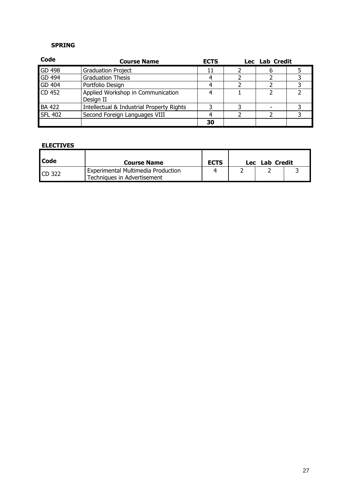| Code           | <b>Course Name</b>                             | <b>ECTS</b> | Lec Lab Credit |  |
|----------------|------------------------------------------------|-------------|----------------|--|
| GD 498         | <b>Graduation Project</b>                      |             |                |  |
| GD 494         | <b>Graduation Thesis</b>                       |             |                |  |
| GD 404         | Portfolio Design                               |             |                |  |
| CD 452         | Applied Workshop in Communication<br>Design II |             |                |  |
| <b>BA 422</b>  | Intellectual & Industrial Property Rights      |             |                |  |
| <b>SFL 402</b> | Second Foreign Languages VIII                  |             |                |  |
|                |                                                | 30          |                |  |

#### ELECTIVES

| <b>I</b> Code | <b>Course Name</b>                                                | <b>ECTS</b> | Lec | Lab Credit |  |
|---------------|-------------------------------------------------------------------|-------------|-----|------------|--|
| <b>CD 322</b> | Experimental Multimedia Production<br>Techniques in Advertisement |             |     |            |  |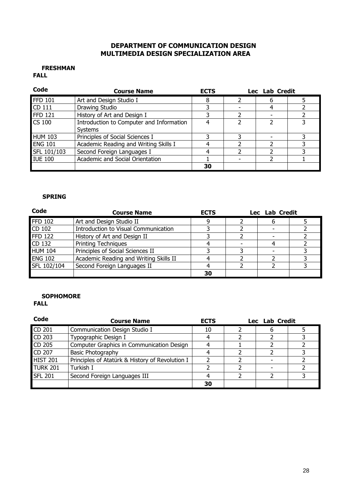## DEPARTMENT OF COMMUNICATION DESIGN MULTIMEDIA DESIGN SPECIALIZATION AREA

#### FRESHMAN FALL

| Code           | <b>Course Name</b>                                         | <b>ECTS</b> | Lec Lab Credit |  |
|----------------|------------------------------------------------------------|-------------|----------------|--|
| <b>FFD 101</b> | Art and Design Studio I                                    |             |                |  |
| CD 111         | Drawing Studio                                             |             |                |  |
| <b>FFD 121</b> | History of Art and Design I                                |             |                |  |
| <b>CS 100</b>  | Introduction to Computer and Information<br><b>Systems</b> |             |                |  |
| <b>HUM 103</b> | Principles of Social Sciences I                            |             |                |  |
| <b>ENG 101</b> | Academic Reading and Writing Skills I                      |             |                |  |
| SFL 101/103    | Second Foreign Languages I                                 |             |                |  |
| <b>IUE 100</b> | Academic and Social Orientation                            |             |                |  |
|                |                                                            | 30          |                |  |

#### SPRING

| Code           | <b>Course Name</b>                     | <b>ECTS</b> | Lec Lab Credit |  |
|----------------|----------------------------------------|-------------|----------------|--|
| <b>FFD 102</b> | Art and Design Studio II               |             |                |  |
| CD 102         | Introduction to Visual Communication   |             |                |  |
| <b>FFD 122</b> | History of Art and Design II           |             |                |  |
| CD 132         | <b>Printing Techniques</b>             |             |                |  |
| <b>HUM 104</b> | Principles of Social Sciences II       |             |                |  |
| <b>ENG 102</b> | Academic Reading and Writing Skills II |             |                |  |
| SFL 102/104    | Second Foreign Languages II            |             |                |  |
|                |                                        | 30          |                |  |

### **SOPHOMORE**

| Code            | <b>Course Name</b>                              | <b>ECTS</b> | Lec Lab Credit |  |
|-----------------|-------------------------------------------------|-------------|----------------|--|
| CD 201          | Communication Design Studio I                   | 10          |                |  |
| CD 203          | Typographic Design I                            |             |                |  |
| CD 205          | Computer Graphics in Communication Design       |             |                |  |
| CD 207          | <b>Basic Photography</b>                        |             |                |  |
| <b>HIST 201</b> | Principles of Atatürk & History of Revolution I |             |                |  |
| <b>TURK 201</b> | Turkish I                                       |             |                |  |
| <b>SFL 201</b>  | Second Foreign Languages III                    |             |                |  |
|                 |                                                 | 30          |                |  |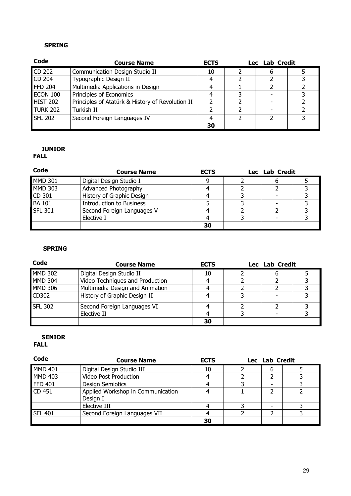| Code            | <b>Course Name</b>                               | <b>ECTS</b> | Lec Lab Credit |  |
|-----------------|--------------------------------------------------|-------------|----------------|--|
| CD 202          | Communication Design Studio II                   | 10          |                |  |
| CD 204          | Typographic Design II                            |             |                |  |
| <b>FFD 204</b>  | Multimedia Applications in Design                |             |                |  |
| <b>ECON 100</b> | Principles of Economics                          |             |                |  |
| <b>HIST 202</b> | Principles of Atatürk & History of Revolution II |             |                |  |
| TURK 202        | Turkish II                                       |             |                |  |
| <b>SFL 202</b>  | Second Foreign Languages IV                      |             |                |  |
|                 |                                                  | 30          |                |  |

## JUNIOR

## FALL

| Code           | <b>Course Name</b>              | <b>ECTS</b> | Lec Lab Credit |  |
|----------------|---------------------------------|-------------|----------------|--|
| <b>MMD 301</b> | Digital Design Studio I         |             |                |  |
| <b>MMD 303</b> | Advanced Photography            |             |                |  |
| CD 301         | History of Graphic Design       |             |                |  |
| <b>BA 101</b>  | <b>Introduction to Business</b> |             |                |  |
| <b>SFL 301</b> | Second Foreign Languages V      |             |                |  |
|                | Elective I                      |             |                |  |
|                |                                 | 30          |                |  |

## SPRING

| Code           | <b>Course Name</b>              | <b>ECTS</b> | Lec Lab Credit |  |
|----------------|---------------------------------|-------------|----------------|--|
| <b>MMD 302</b> | Digital Design Studio II        | 10          |                |  |
| <b>MMD 304</b> | Video Techniques and Production |             |                |  |
| <b>MMD 306</b> | Multimedia Design and Animation |             |                |  |
| CD302          | History of Graphic Design II    |             |                |  |
| <b>SFL 302</b> | Second Foreign Languages VI     |             |                |  |
|                | Elective II                     |             |                |  |
|                |                                 | 30          |                |  |

## SENIOR

| Code           | <b>Course Name</b>                | <b>ECTS</b> | Lec Lab Credit |  |
|----------------|-----------------------------------|-------------|----------------|--|
| <b>MMD 401</b> | Digital Design Studio III         | 10          |                |  |
| <b>MMD 403</b> | Video Post Production             |             |                |  |
| <b>FFD 401</b> | <b>Design Semiotics</b>           |             |                |  |
| CD 451         | Applied Workshop in Communication |             |                |  |
|                | Design I                          |             |                |  |
|                | Elective III                      |             |                |  |
| <b>SFL 401</b> | Second Foreign Languages VII      |             |                |  |
|                |                                   | 30          |                |  |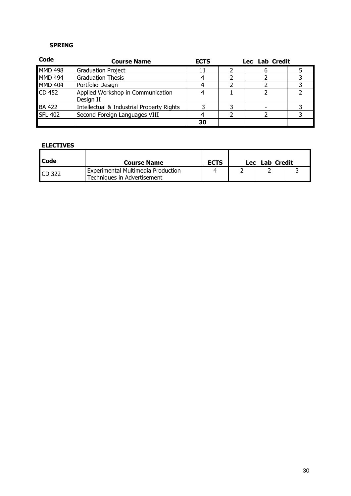| Code           | <b>Course Name</b>                             | <b>ECTS</b> | Lec Lab Credit |  |
|----------------|------------------------------------------------|-------------|----------------|--|
| <b>MMD 498</b> | <b>Graduation Project</b>                      |             |                |  |
| <b>MMD 494</b> | <b>Graduation Thesis</b>                       |             |                |  |
| <b>MMD 404</b> | Portfolio Design                               |             |                |  |
| CD 452         | Applied Workshop in Communication<br>Design II |             |                |  |
| <b>BA 422</b>  | Intellectual & Industrial Property Rights      |             |                |  |
| <b>SFL 402</b> | Second Foreign Languages VIII                  |             |                |  |
|                |                                                | 30          |                |  |

| <b>Code</b>   | <b>Course Name</b>                                                | <b>ECTS</b> | Lec | Lab Credit |  |
|---------------|-------------------------------------------------------------------|-------------|-----|------------|--|
| <b>CD 322</b> | Experimental Multimedia Production<br>Techniques in Advertisement |             |     |            |  |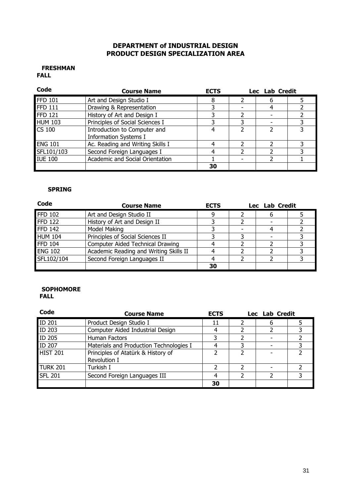## DEPARTMENT of INDUSTRIAL DESIGN PRODUCT DESIGN SPECIALIZATION AREA

#### FRESHMAN FALL

| Code           | <b>Course Name</b>               | <b>ECTS</b> | Lec Lab Credit |  |
|----------------|----------------------------------|-------------|----------------|--|
| <b>FFD 101</b> | Art and Design Studio I          |             |                |  |
| <b>FFD 111</b> | Drawing & Representation         |             |                |  |
| <b>FFD 121</b> | History of Art and Design I      |             |                |  |
| <b>HUM 103</b> | Principles of Social Sciences I  |             |                |  |
| <b>CS 100</b>  | Introduction to Computer and     |             |                |  |
|                | <b>Information Systems I</b>     |             |                |  |
| <b>ENG 101</b> | Ac. Reading and Writing Skills I |             |                |  |
| SFL101/103     | Second Foreign Languages I       |             |                |  |
| <b>IUE 100</b> | Academic and Social Orientation  |             |                |  |
|                |                                  | 30          |                |  |

#### SPRING

| Code           | <b>Course Name</b>                     | <b>ECTS</b> | Lec Lab Credit |  |  |  |
|----------------|----------------------------------------|-------------|----------------|--|--|--|
| <b>FFD 102</b> | Art and Design Studio II               |             |                |  |  |  |
| <b>FFD 122</b> | History of Art and Design II           |             |                |  |  |  |
| <b>FFD 142</b> | Model Making                           |             |                |  |  |  |
| <b>HUM 104</b> | Principles of Social Sciences II       |             |                |  |  |  |
| <b>FFD 104</b> | Computer Aided Technical Drawing       |             |                |  |  |  |
| <b>ENG 102</b> | Academic Reading and Writing Skills II |             |                |  |  |  |
| SFL102/104     | Second Foreign Languages II            |             |                |  |  |  |
|                |                                        | 30          |                |  |  |  |

#### SOPHOMORE FALL

| Code            | <b>Course Name</b>                                 | <b>ECTS</b> | Lec Lab Credit |  |
|-----------------|----------------------------------------------------|-------------|----------------|--|
| <b>ID 201</b>   | Product Design Studio I                            | 11          |                |  |
| <b>ID 203</b>   | Computer Aided Industrial Design                   |             |                |  |
| <b>ID 205</b>   | Human Factors                                      |             |                |  |
| ID 207          | Materials and Production Technologies I            |             |                |  |
| <b>HIST 201</b> | Principles of Atatürk & History of<br>Revolution I |             |                |  |
| TURK 201        | Turkish I                                          |             |                |  |
| <b>SFL 201</b>  | Second Foreign Languages III                       |             |                |  |
|                 |                                                    | 30          |                |  |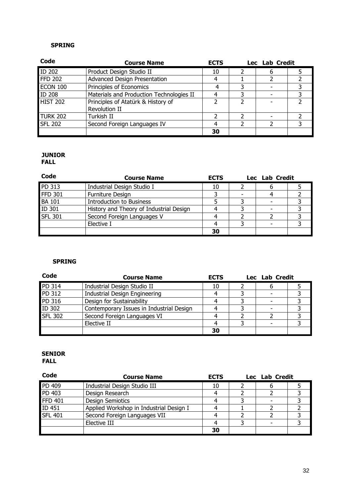| Code            | <b>Course Name</b>                                  | <b>ECTS</b> | Lec Lab Credit |  |
|-----------------|-----------------------------------------------------|-------------|----------------|--|
| <b>ID 202</b>   | Product Design Studio II                            | 10          |                |  |
| <b>FFD 202</b>  | <b>Advanced Design Presentation</b>                 | 4           |                |  |
| <b>ECON 100</b> | Principles of Economics                             |             |                |  |
| <b>ID 208</b>   | Materials and Production Technologies II            |             |                |  |
| <b>HIST 202</b> | Principles of Atatürk & History of<br>Revolution II |             |                |  |
| <b>TURK 202</b> | Turkish II                                          |             |                |  |
| <b>SFL 202</b>  | Second Foreign Languages IV                         |             |                |  |
|                 |                                                     | 30          |                |  |

# JUNIOR

FALL

| Code           | <b>Course Name</b>                      | <b>ECTS</b> | Lec Lab Credit |  |
|----------------|-----------------------------------------|-------------|----------------|--|
| PD 313         | Industrial Design Studio I              | 10          |                |  |
| <b>FFD 301</b> | Furniture Design                        |             |                |  |
| <b>BA 101</b>  | <b>Introduction to Business</b>         |             |                |  |
| ID 301         | History and Theory of Industrial Design |             |                |  |
| <b>SFL 301</b> | Second Foreign Languages V              |             |                |  |
|                | Elective I                              |             |                |  |
|                |                                         | 30          |                |  |

## SPRING

| Code           | <b>Course Name</b>                       | <b>ECTS</b> | Lec Lab Credit |  |
|----------------|------------------------------------------|-------------|----------------|--|
| PD 314         | Industrial Design Studio II              | 10          |                |  |
| PD 312         | <b>Industrial Design Engineering</b>     |             |                |  |
| PD 316         | Design for Sustainability                |             |                |  |
| ID 302         | Contemporary Issues in Industrial Design |             |                |  |
| <b>SFL 302</b> | Second Foreign Languages VI              |             |                |  |
|                | Elective II                              |             |                |  |
|                |                                          | 30          |                |  |

### SENIOR FALL

| Code           | <b>Course Name</b>                      | <b>ECTS</b> | Lec Lab Credit |  |
|----------------|-----------------------------------------|-------------|----------------|--|
| PD 409         | Industrial Design Studio III            | 10          | n              |  |
| PD 403         | Design Research                         |             |                |  |
| <b>FFD 401</b> | <b>Design Semiotics</b>                 |             |                |  |
| ID 451         | Applied Workshop in Industrial Design I |             |                |  |
| <b>SFL 401</b> | Second Foreign Languages VII            |             |                |  |
|                | Elective III                            |             |                |  |
|                |                                         | 30          |                |  |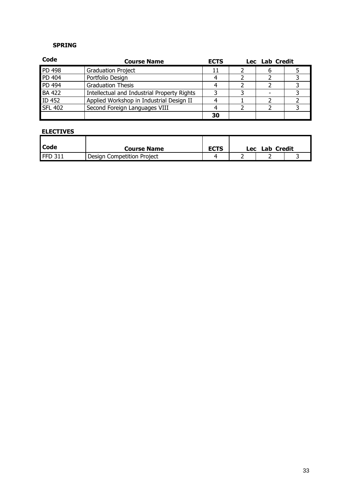| Code           | <b>Course Name</b>                          | <b>ECTS</b> | Lec Lab Credit |  |
|----------------|---------------------------------------------|-------------|----------------|--|
| <b>PD 498</b>  | <b>Graduation Project</b>                   | 11          |                |  |
| PD 404         | Portfolio Design                            |             |                |  |
| <b>PD 494</b>  | <b>Graduation Thesis</b>                    |             |                |  |
| <b>BA 422</b>  | Intellectual and Industrial Property Rights |             |                |  |
| <b>ID 452</b>  | Applied Workshop in Industrial Design II    |             |                |  |
| <b>SFL 402</b> | Second Foreign Languages VIII               |             |                |  |
|                |                                             | 30          |                |  |

| <b>Code</b> | <b>Course Name</b>         | <b>ECTS</b> | Lec | Lab Credit |  |
|-------------|----------------------------|-------------|-----|------------|--|
| FFD 311     | Design Competition Project |             |     |            |  |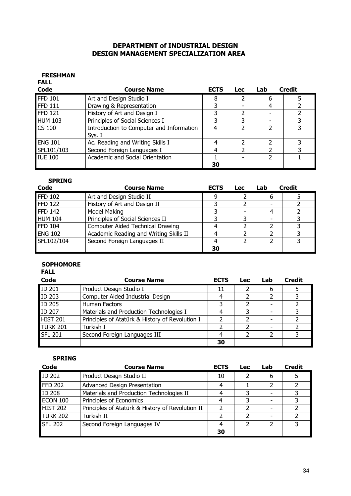## DEPARTMENT of INDUSTRIAL DESIGN DESIGN MANAGEMENT SPECIALIZATION AREA

#### FRESHMAN FALL

| <b>FALL</b><br>Code | <b>Course Name</b>                       | <b>ECTS</b> | <b>Lec</b> | Lab | <b>Credit</b> |
|---------------------|------------------------------------------|-------------|------------|-----|---------------|
| <b>FFD 101</b>      | Art and Design Studio I                  | 8           |            | 6   |               |
| <b>FFD 111</b>      | Drawing & Representation                 |             |            | 4   |               |
| <b>FFD 121</b>      | History of Art and Design I              | ว           |            |     |               |
| <b>HUM 103</b>      | Principles of Social Sciences I          | 3           |            |     |               |
| <b>CS 100</b>       | Introduction to Computer and Information | 4           |            |     |               |
|                     | Sys. I                                   |             |            |     |               |
| <b>ENG 101</b>      | Ac. Reading and Writing Skills I         | 4           |            |     |               |
| SFL101/103          | Second Foreign Languages I               |             |            |     |               |
| <b>IUE 100</b>      | Academic and Social Orientation          |             |            |     |               |
|                     |                                          | 30          |            |     |               |

#### SPRING

| Code           | <b>Course Name</b>                     | <b>ECTS</b> | <b>Lec</b> | Lab | <b>Credit</b> |
|----------------|----------------------------------------|-------------|------------|-----|---------------|
| <b>FFD 102</b> | Art and Design Studio II               | a           |            |     |               |
| <b>FFD 122</b> | History of Art and Design II           |             |            |     |               |
| <b>FFD 142</b> | Model Making                           |             |            |     |               |
| <b>HUM 104</b> | Principles of Social Sciences II       |             |            |     |               |
| <b>FFD 104</b> | Computer Aided Technical Drawing       |             |            |     |               |
| <b>ENG 102</b> | Academic Reading and Writing Skills II |             |            |     |               |
| SFL102/104     | Second Foreign Languages II            |             |            |     |               |
|                |                                        | 30          |            |     |               |

## **SOPHOMORE**

FALL

| Code            | <b>Course Name</b>                              | <b>ECTS</b> | <b>Lec</b> | Lab | <b>Credit</b> |
|-----------------|-------------------------------------------------|-------------|------------|-----|---------------|
| ID 201          | Product Design Studio I                         | 11          |            | 6   |               |
| ID 203          | Computer Aided Industrial Design                |             |            |     |               |
| <b>ID 205</b>   | Human Factors                                   |             |            |     |               |
| ID 207          | Materials and Production Technologies I         |             |            |     |               |
| <b>HIST 201</b> | Principles of Atatürk & History of Revolution I |             |            |     |               |
| <b>TURK 201</b> | Turkish I                                       |             |            |     |               |
| <b>SFL 201</b>  | Second Foreign Languages III                    |             |            |     |               |
|                 |                                                 | 30          |            |     |               |

| Code            | <b>Course Name</b>                               | <b>ECTS</b> | <b>Lec</b> | Lab | <b>Credit</b> |
|-----------------|--------------------------------------------------|-------------|------------|-----|---------------|
| <b>ID 202</b>   | Product Design Studio II                         | 10          |            | 6   |               |
| <b>FFD 202</b>  | Advanced Design Presentation                     | 4           |            |     |               |
| <b>ID 208</b>   | Materials and Production Technologies II         |             |            |     |               |
| <b>ECON 100</b> | Principles of Economics                          |             | 3          |     |               |
| <b>HIST 202</b> | Principles of Atatürk & History of Revolution II |             |            |     |               |
| <b>TURK 202</b> | Turkish II                                       |             |            |     |               |
| <b>SFL 202</b>  | Second Foreign Languages IV                      | 4           |            |     |               |
|                 |                                                  | 30          |            |     |               |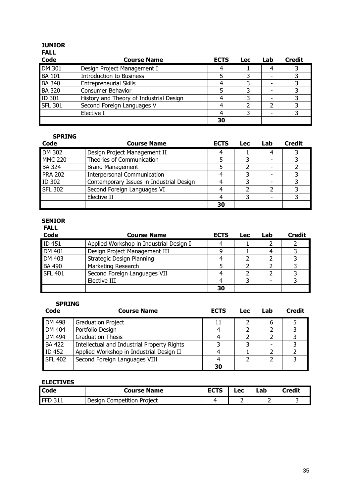| <b>JUNIOR</b><br><b>FALL</b> |                                         |             |            |     |               |
|------------------------------|-----------------------------------------|-------------|------------|-----|---------------|
| <b>Code</b>                  | <b>Course Name</b>                      | <b>ECTS</b> | <b>Lec</b> | Lab | <b>Credit</b> |
| DM 301                       | Design Project Management I             | 4           |            | 4   |               |
| <b>BA 101</b>                | <b>Introduction to Business</b>         |             |            |     |               |
| <b>BA 340</b>                | <b>Entrepreneurial Skills</b>           | 4           |            |     |               |
| <b>BA 320</b>                | <b>Consumer Behavior</b>                |             |            |     |               |
| ID 301                       | History and Theory of Industrial Design |             |            |     |               |
| <b>SFL 301</b>               | Second Foreign Languages V              | 4           |            |     |               |
|                              | Elective I                              | 4           | 3          |     |               |
|                              |                                         | 30          |            |     |               |

| Code           | <b>Course Name</b>                       | <b>ECTS</b> | <b>Lec</b> | Lab | <b>Credit</b> |
|----------------|------------------------------------------|-------------|------------|-----|---------------|
| <b>DM 302</b>  | Design Project Management II             |             |            | 4   |               |
| <b>MMC 220</b> | Theories of Communication                |             |            |     |               |
| <b>BA 324</b>  | <b>Brand Management</b>                  |             |            |     |               |
| <b>PRA 202</b> | <b>Interpersonal Communication</b>       |             |            |     |               |
| ID 302         | Contemporary Issues in Industrial Design |             |            |     |               |
| <b>SFL 302</b> | Second Foreign Languages VI              |             |            |     |               |
|                | Elective II                              |             |            |     |               |
|                |                                          | 30          |            |     |               |

#### SENIOR

| <b>FALL</b>    |                                         |             |            |     |               |
|----------------|-----------------------------------------|-------------|------------|-----|---------------|
| <b>Code</b>    | <b>Course Name</b>                      | <b>ECTS</b> | <b>Lec</b> | Lab | <b>Credit</b> |
| ID 451         | Applied Workshop in Industrial Design I |             |            |     |               |
| <b>DM 401</b>  | Design Project Management III           | q           |            |     |               |
| <b>DM 403</b>  | Strategic Design Planning               |             |            |     |               |
| <b>BA 490</b>  | Marketing Research                      |             |            |     |               |
| <b>SFL 401</b> | Second Foreign Languages VII            |             |            |     |               |
|                | Elective III                            |             |            |     |               |
|                |                                         | 30          |            |     |               |

#### SPRING

| Code           | <b>Course Name</b>                          | <b>ECTS</b> | <b>Lec</b> | Lab | <b>Credit</b> |
|----------------|---------------------------------------------|-------------|------------|-----|---------------|
| <b>DM 498</b>  | <b>Graduation Project</b>                   | 11          |            | n   |               |
| DM 404         | Portfolio Design                            |             |            |     |               |
| DM 494         | <b>Graduation Thesis</b>                    |             |            |     |               |
| <b>BA 422</b>  | Intellectual and Industrial Property Rights |             |            |     |               |
| <b>ID 452</b>  | Applied Workshop in Industrial Design II    |             |            |     |               |
| <b>SFL 402</b> | Second Foreign Languages VIII               |             |            |     |               |
|                |                                             | 30          |            |     |               |

| <b>Code</b> | Course Name                   | ЕГТС<br>-- - | -ec- | ∟ab | <b>Credit</b> |
|-------------|-------------------------------|--------------|------|-----|---------------|
| FFD         | Competition Project<br>Desiar |              |      |     |               |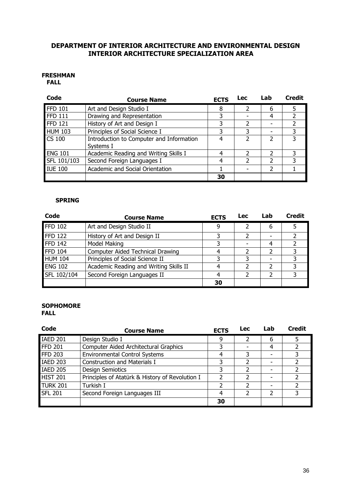## DEPARTMENT OF INTERIOR ARCHITECTURE AND ENVIRONMENTAL DESIGN INTERIOR ARCHITECTURE SPECIALIZATION AREA

#### FRESHMAN FALL

| Code                        | <b>Course Name</b>                                    | <b>ECTS</b> | <b>Lec</b> | Lab | <b>Credit</b> |
|-----------------------------|-------------------------------------------------------|-------------|------------|-----|---------------|
| $\overline{\text{FFD}}$ 101 | Art and Design Studio I                               | 8           |            | 6   |               |
| <b>FFD 111</b>              | Drawing and Representation                            | 3           |            | 4   |               |
| FFD <sub>121</sub>          | History of Art and Design I                           | 3           | っ          |     |               |
| <b>HUM 103</b>              | Principles of Social Science I                        | 3           |            |     |               |
| <b>CS 100</b>               | Introduction to Computer and Information<br>Systems I | 4           |            |     |               |
| <b>ENG 101</b>              | Academic Reading and Writing Skills I                 | 4           | າ          | 2   | ٦             |
| SFL 101/103                 | Second Foreign Languages I                            | 4           |            |     |               |
| <b>IUE 100</b>              | Academic and Social Orientation                       |             |            |     |               |
|                             |                                                       | 30          |            |     |               |

### SPRING

| Code           | <b>Course Name</b>                     | <b>ECTS</b> | <b>Lec</b> | Lab | <b>Credit</b> |
|----------------|----------------------------------------|-------------|------------|-----|---------------|
| <b>FFD 102</b> | Art and Design Studio II               | q           |            | 6   |               |
| <b>FFD 122</b> | History of Art and Design II           |             |            |     |               |
| <b>FFD 142</b> | Model Making                           |             |            | 4   |               |
| <b>FFD 104</b> | Computer Aided Technical Drawing       |             |            | っ   |               |
| <b>HUM 104</b> | Principles of Social Science II        |             |            |     |               |
| <b>ENG 102</b> | Academic Reading and Writing Skills II |             |            | າ   |               |
| SFL 102/104    | Second Foreign Languages II            |             |            | າ   |               |
|                |                                        | 30          |            |     |               |

## **SOPHOMORE**

FALL

| Code            | <b>Course Name</b>                              | <b>ECTS</b> | <b>Lec</b> | Lab | <b>Credit</b> |
|-----------------|-------------------------------------------------|-------------|------------|-----|---------------|
| <b>IAED 201</b> | Design Studio I                                 | q           |            | 6   |               |
| <b>FFD 201</b>  | Computer Aided Architectural Graphics           |             |            | 4   |               |
| <b>FFD 203</b>  | <b>Environmental Control Systems</b>            |             |            |     |               |
| <b>IAED 203</b> | <b>Construction and Materials I</b>             |             |            |     |               |
| <b>IAED 205</b> | <b>Design Semiotics</b>                         |             |            |     |               |
| HIST 201        | Principles of Atatürk & History of Revolution I |             |            |     |               |
| TURK 201        | Turkish I                                       |             |            |     |               |
| <b>SFL 201</b>  | Second Foreign Languages III                    | 4           |            |     |               |
|                 |                                                 | 30          |            |     |               |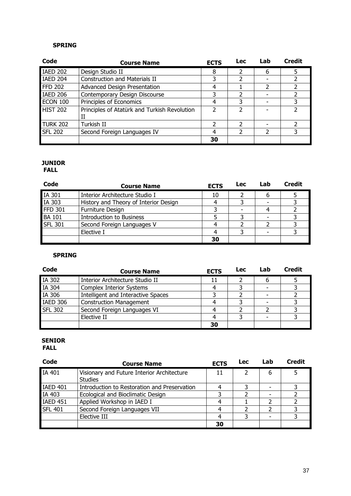| Code            | <b>Course Name</b>                           | <b>ECTS</b> | <b>Lec</b>    | Lab | <b>Credit</b> |
|-----------------|----------------------------------------------|-------------|---------------|-----|---------------|
| <b>IAED 202</b> | Design Studio II                             | 8           | $\mathcal{P}$ | 6   | 5             |
| IAED 204        | <b>Construction and Materials II</b>         | 3           |               |     |               |
| FFD 202         | <b>Advanced Design Presentation</b>          | 4           |               |     |               |
| IAED 206        | Contemporary Design Discourse                | 3           |               |     |               |
| ECON 100        | Principles of Economics                      | 4           | 3             |     |               |
| HIST 202        | Principles of Atatürk and Turkish Revolution |             | 2             |     | っ             |
| TURK 202        | Turkish II                                   |             | 2             |     |               |
| <b>SFL 202</b>  | Second Foreign Languages IV                  | 4           | 2             | っ   | 3             |
|                 |                                              | 30          |               |     |               |

#### JUNIOR FALL

| Code           | <b>Course Name</b>                    | <b>ECTS</b> | Lec | Lab | <b>Credit</b> |
|----------------|---------------------------------------|-------------|-----|-----|---------------|
| <b>IA 301</b>  | Interior Architecture Studio I        | 10          |     |     |               |
| IA 303         | History and Theory of Interior Design |             |     |     |               |
| FFD 301        | Furniture Design                      |             |     |     |               |
| <b>BA 101</b>  | <b>Introduction to Business</b>       |             |     |     |               |
| <b>SFL 301</b> | Second Foreign Languages V            |             |     |     |               |
|                | Elective I                            |             |     |     |               |
|                |                                       | 30          |     |     |               |

## SPRING

| Code            | <b>Course Name</b>                 | <b>ECTS</b> | Lec | Lab | <b>Credit</b> |
|-----------------|------------------------------------|-------------|-----|-----|---------------|
| IA 302          | Interior Architecture Studio II    | 11          |     |     |               |
| IA 304          | <b>Complex Interior Systems</b>    |             |     |     |               |
| IA 306          | Intelligent and Interactive Spaces |             |     |     |               |
| <b>IAED 306</b> | <b>Construction Management</b>     |             |     |     |               |
| <b>SFL 302</b>  | Second Foreign Languages VI        |             |     |     |               |
|                 | Elective II                        |             |     |     |               |
|                 |                                    | 30          |     |     |               |

# SENIOR

FALL

| Code            | <b>Course Name</b>                                           | <b>ECTS</b> | Lec | Lab                      | <b>Credit</b> |
|-----------------|--------------------------------------------------------------|-------------|-----|--------------------------|---------------|
| IA 401          | Visionary and Future Interior Architecture<br><b>Studies</b> | 11          |     | 6                        |               |
| <b>IAED 401</b> | Introduction to Restoration and Preservation                 |             |     | $\overline{\phantom{0}}$ |               |
| IA 403          | Ecological and Bioclimatic Design                            |             |     | -                        |               |
| <b>IAED 451</b> | Applied Workshop in IAED I                                   |             |     |                          |               |
| <b>SFL 401</b>  | Second Foreign Languages VII                                 |             |     | າ                        |               |
|                 | Elective III                                                 |             |     |                          |               |
|                 |                                                              | 30          |     |                          |               |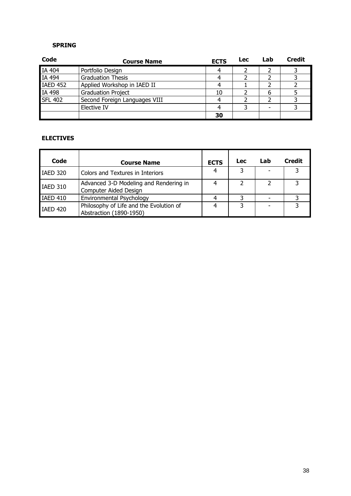| <b>Code</b>     | <b>Course Name</b>            | <b>ECTS</b> | <b>Lec</b> | Lab | <b>Credit</b> |
|-----------------|-------------------------------|-------------|------------|-----|---------------|
| IA 404          | Portfolio Design              |             |            |     |               |
| <b>IA 494</b>   | <b>Graduation Thesis</b>      |             |            |     |               |
| <b>IAED 452</b> | Applied Workshop in IAED II   |             |            |     |               |
| <b>IA 498</b>   | <b>Graduation Project</b>     | 10          |            |     |               |
| <b>SFL 402</b>  | Second Foreign Languages VIII |             |            |     |               |
|                 | Elective IV                   |             |            |     |               |
|                 |                               | 30          |            |     |               |

| Code            | <b>Course Name</b>                                                 | <b>ECTS</b> | <b>Lec</b> | Lab | <b>Credit</b> |
|-----------------|--------------------------------------------------------------------|-------------|------------|-----|---------------|
| <b>IAED 320</b> | Colors and Textures in Interiors                                   | 4           | ς          |     |               |
| <b>IAED 310</b> | Advanced 3-D Modeling and Rendering in<br>Computer Aided Design    |             |            |     |               |
| IAED 410        | Environmental Psychology                                           |             |            |     |               |
| IAED 420        | Philosophy of Life and the Evolution of<br>Abstraction (1890-1950) |             | 3          |     |               |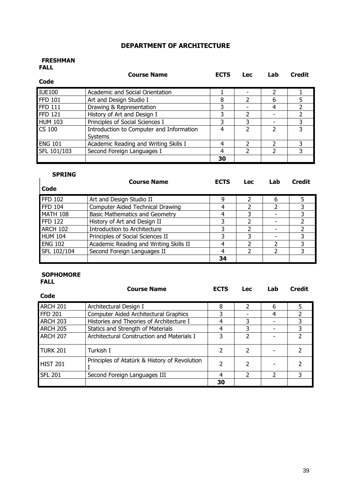## DEPARTMENT OF ARCHITECTURE

#### FRESHMAN FALL

|                | <b>Course Name</b>                       | <b>ECTS</b> | <b>Lec</b> | Lab | <b>Credit</b> |
|----------------|------------------------------------------|-------------|------------|-----|---------------|
| Code           |                                          |             |            |     |               |
| <b>IUE100</b>  | Academic and Social Orientation          |             |            |     |               |
| <b>FFD 101</b> | Art and Design Studio I                  | 8           | 2          | 6   | 5             |
| <b>FFD 111</b> | Drawing & Representation                 | 3           |            | 4   |               |
| <b>FFD 121</b> | History of Art and Design I              | 3           | 2          |     |               |
| <b>HUM 103</b> | Principles of Social Sciences I          | 3           | 3          |     |               |
| CS 100         | Introduction to Computer and Information | 4           |            |     |               |
|                | Systems                                  |             |            |     |               |
| <b>ENG 101</b> | Academic Reading and Writing Skills I    | 4           |            |     | 3             |
| SFL 101/103    | Second Foreign Languages I               | 4           |            |     |               |
|                |                                          | 30          |            |     |               |

| <b>SPRING</b>  | <b>Course Name</b>                     | <b>ECTS</b> | <b>Lec</b> | Lab | <b>Credit</b> |
|----------------|----------------------------------------|-------------|------------|-----|---------------|
| Code           |                                        |             |            |     |               |
| <b>FFD 102</b> | Art and Design Studio II               | 9           |            | 6   |               |
| <b>FFD 104</b> | Computer Aided Technical Drawing       | 4           |            |     |               |
| MATH 108       | <b>Basic Mathematics and Geometry</b>  | 4           | 3          |     |               |
| <b>FFD 122</b> | History of Art and Design II           | 3           |            |     |               |
| ARCH 102       | Introduction to Architecture           | 3           |            |     |               |
| HUM 104        | Principles of Social Sciences II       | 3           | 3          |     |               |
| <b>ENG 102</b> | Academic Reading and Writing Skills II | 4           |            |     |               |
| SFL 102/104    | Second Foreign Languages II            | 4           |            |     |               |
|                |                                        | 34          |            |     |               |

### SOPHOMORE FALL

|                 | <b>Course Name</b>                            | <b>ECTS</b> | <b>Lec</b> | Lab | <b>Credit</b> |
|-----------------|-----------------------------------------------|-------------|------------|-----|---------------|
| Code            |                                               |             |            |     |               |
| <b>ARCH 201</b> | Architectural Design I                        | 8           |            | 6   | 5.            |
| FFD201          | <b>Computer Aided Architectural Graphics</b>  | 3           |            | 4   |               |
| ARCH 203        | Histories and Theories of Architecture I      | 4           | 3          |     |               |
| <b>ARCH 205</b> | Statics and Strength of Materials             | 4           | 3          |     | 3             |
| ARCH 207        | Architectural Construction and Materials I    | 3           |            |     |               |
| TURK 201        | Turkish I                                     | 2           |            |     |               |
| HIST 201        | Principles of Atatürk & History of Revolution | 2           | 2          |     |               |
| <b>SFL 201</b>  | Second Foreign Languages III                  | 4           |            | 2   | 3             |
|                 |                                               | 30          |            |     |               |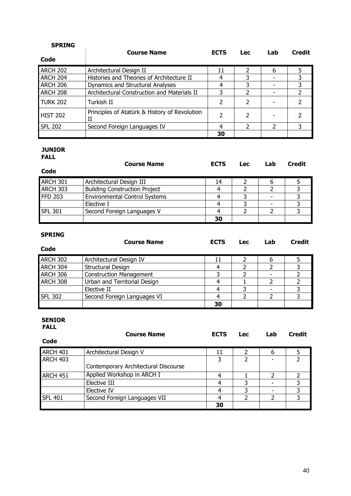| SPRING          |                                                    |                          |            |     |               |
|-----------------|----------------------------------------------------|--------------------------|------------|-----|---------------|
|                 | <b>Course Name</b>                                 | <b>ECTS</b>              | <b>Lec</b> | Lab | <b>Credit</b> |
| Code            |                                                    |                          |            |     |               |
| <b>ARCH 202</b> | Architectural Design II                            | 11                       |            | 6   |               |
| ARCH 204        | Histories and Theories of Architecture II          | 4                        | 3          |     |               |
| ARCH 206        | Dynamics and Structural Analyses                   |                          | 3          |     |               |
| ARCH 208        | Architectural Construction and Materials II        | 3                        |            |     |               |
| <b>TURK 202</b> | Turkish II                                         | 2                        |            |     |               |
| <b>HIST 202</b> | Principles of Atatürk & History of Revolution<br>Н | $\overline{\phantom{a}}$ | 2          |     |               |
| <b>SFL 202</b>  | Second Foreign Languages IV                        | 4                        |            | C   | 3             |
|                 |                                                    | 30                       |            |     |               |

## JUNIOR

| <b>FALL</b>     |                                      |             |            |     |               |
|-----------------|--------------------------------------|-------------|------------|-----|---------------|
| Code            | <b>Course Name</b>                   | <b>ECTS</b> | <b>Lec</b> | Lab | <b>Credit</b> |
| <b>ARCH 301</b> | Architectural Design III             | 14          |            | b   |               |
| <b>ARCH 303</b> | <b>Building Construction Project</b> |             |            |     |               |
| <b>FFD 203</b>  | <b>Environmental Control Systems</b> |             |            |     |               |
|                 | Elective I                           |             |            |     |               |
| <b>SFL 301</b>  | Second Foreign Languages V           |             |            |     |               |
|                 |                                      | 30          |            |     |               |

| <b>SPRING</b>  | <b>Course Name</b>             | <b>ECTS</b> | <b>Lec</b> | Lab | <b>Credit</b> |
|----------------|--------------------------------|-------------|------------|-----|---------------|
| Code           |                                |             |            |     |               |
| ARCH 302       | Architectural Design IV        | 11          |            |     |               |
| ARCH 304       | Structural Design              |             |            |     |               |
| ARCH 306       | <b>Construction Management</b> | 3           |            |     |               |
| ARCH 308       | Urban and Territorial Design   |             |            |     |               |
|                | Elective II                    |             | 3          |     |               |
| <b>SFL 302</b> | Second Foreign Languages VI    |             |            |     |               |
|                |                                | 30          |            |     |               |

#### SENIOR FALL

|                 | <b>Course Name</b>                   | <b>ECTS</b> | <b>Lec</b> | Lab | <b>Credit</b> |
|-----------------|--------------------------------------|-------------|------------|-----|---------------|
| Code            |                                      |             |            |     |               |
| ARCH 401        | Architectural Design V               | 11          |            | 6   |               |
| <b>ARCH 403</b> |                                      | 3           |            |     |               |
|                 | Contemporary Architectural Discourse |             |            |     |               |
| ARCH 451        | Applied Workshop in ARCH I           |             |            |     |               |
|                 | Elective III                         | 4           |            |     |               |
|                 | Elective IV                          | 4           | 3          |     |               |
| <b>SFL 401</b>  | Second Foreign Languages VII         | 4           |            | າ   |               |
|                 |                                      | 30          |            |     |               |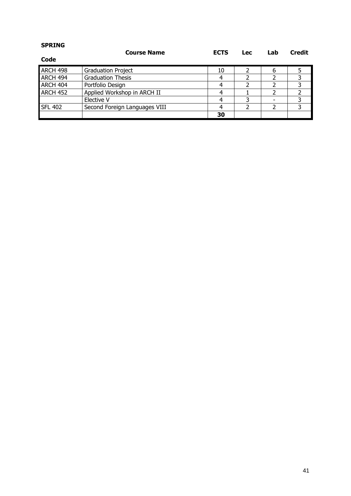| <b>SPRING</b>  | <b>Course Name</b>            | <b>ECTS</b> | <b>Lec</b> | Lab                      | <b>Credit</b> |
|----------------|-------------------------------|-------------|------------|--------------------------|---------------|
| Code           |                               |             |            |                          |               |
| ARCH 498       | <b>Graduation Project</b>     | 10          |            | 6                        |               |
| ARCH 494       | <b>Graduation Thesis</b>      | 4           |            | າ                        | 3             |
| ARCH 404       | Portfolio Design              | 4           |            |                          | 3             |
| ARCH 452       | Applied Workshop in ARCH II   | 4           |            | $\overline{\phantom{a}}$ |               |
|                | Elective V                    | 4           | 3          |                          |               |
| <b>SFL 402</b> | Second Foreign Languages VIII | 4           |            | າ                        |               |
|                |                               | 30          |            |                          |               |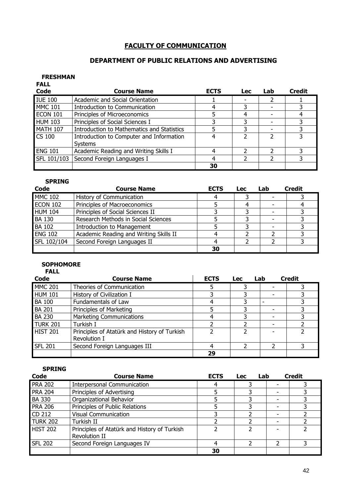## FACULTY OF COMMUNICATION

## DEPARTMENT OF PUBLIC RELATIONS AND ADVERTISING

#### FRESHMAN EALL<sup>1</sup>

| . ALL<br><b>Code</b> | <b>Course Name</b>                                         | <b>ECTS</b> | <b>Lec</b> | Lab | <b>Credit</b> |
|----------------------|------------------------------------------------------------|-------------|------------|-----|---------------|
| <b>IUE 100</b>       | Academic and Social Orientation                            |             |            |     |               |
| <b>MMC 101</b>       | Introduction to Communication                              |             |            |     |               |
| ECON 101             | Principles of Microeconomics                               |             | 4          |     |               |
| <b>HUM 103</b>       | Principles of Social Sciences I                            |             |            |     |               |
| <b>MATH 107</b>      | <b>Introduction to Mathematics and Statistics</b>          |             |            |     |               |
| <b>CS 100</b>        | Introduction to Computer and Information<br><b>Systems</b> |             |            |     |               |
| <b>ENG 101</b>       | Academic Reading and Writing Skills I                      |             |            |     |               |
| SFL 101/103          | Second Foreign Languages I                                 |             |            |     |               |
|                      |                                                            | 30          |            |     |               |

### SPRING

| Code            | <b>Course Name</b>                     | <b>ECTS</b> | <b>Lec</b> | Lab | <b>Credit</b> |
|-----------------|----------------------------------------|-------------|------------|-----|---------------|
| <b>MMC 102</b>  | <b>History of Communication</b>        |             |            |     |               |
| <b>ECON 102</b> | Principles of Macroeconomics           |             |            |     |               |
| <b>HUM 104</b>  | Principles of Social Sciences II       |             |            |     |               |
| <b>BA 130</b>   | Research Methods in Social Sciences    |             |            |     |               |
| <b>BA 102</b>   | <b>Introduction to Management</b>      |             |            |     |               |
| <b>ENG 102</b>  | Academic Reading and Writing Skills II |             |            |     |               |
| SFL 102/104     | Second Foreign Languages II            |             |            |     |               |
|                 |                                        | 30          |            |     |               |

### SOPHOMORE

| <b>FALL</b>     |                                                              |             |            |     |               |
|-----------------|--------------------------------------------------------------|-------------|------------|-----|---------------|
| Code            | <b>Course Name</b>                                           | <b>ECTS</b> | <b>Lec</b> | Lab | <b>Credit</b> |
| <b>MMC 201</b>  | Theories of Communication                                    |             |            |     |               |
| HUM 101         | History of Civilization I                                    |             |            |     |               |
| <b>BA 100</b>   | Fundamentals of Law                                          | 4           |            |     |               |
| <b>BA 201</b>   | Principles of Marketing                                      |             |            |     |               |
| <b>BA 230</b>   | <b>Marketing Communications</b>                              |             | ว          |     |               |
| TURK 201        | Turkish I                                                    |             |            |     |               |
| <b>HIST 201</b> | Principles of Atatürk and History of Turkish<br>Revolution I |             |            |     |               |
| <b>SFL 201</b>  | Second Foreign Languages III                                 | 4           | 2          |     | 3             |
|                 |                                                              | 29          |            |     |               |

| Code            | <b>Course Name</b>                                            | <b>ECTS</b> | Lab<br><b>Lec</b> |   | <b>Credit</b> |
|-----------------|---------------------------------------------------------------|-------------|-------------------|---|---------------|
| <b>PRA 202</b>  | <b>Interpersonal Communication</b>                            |             |                   |   |               |
| <b>PRA 204</b>  | Principles of Advertising                                     |             |                   |   |               |
| <b>BA 330</b>   | Organizational Behavior                                       |             |                   |   |               |
| <b>PRA 206</b>  | Principles of Public Relations                                |             |                   |   |               |
| CD 212          | <b>Visual Communication</b>                                   |             |                   |   |               |
| <b>TURK 202</b> | Turkish II                                                    |             |                   |   |               |
| <b>HIST 202</b> | Principles of Atatürk and History of Turkish<br>Revolution II |             |                   |   |               |
| <b>SFL 202</b>  | Second Foreign Languages IV                                   |             |                   | 2 |               |
|                 |                                                               | 30          |                   |   |               |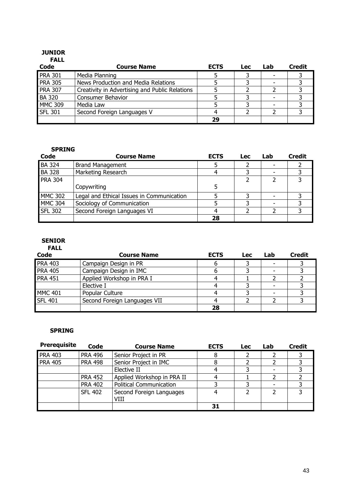#### JUNIOR FALL

| .              |                                                |             |     |     |               |
|----------------|------------------------------------------------|-------------|-----|-----|---------------|
| Code           | <b>Course Name</b>                             | <b>ECTS</b> | Lec | Lab | <b>Credit</b> |
| <b>PRA 301</b> | Media Planning                                 |             |     |     |               |
| <b>PRA 305</b> | News Production and Media Relations            |             |     |     |               |
| <b>PRA 307</b> | Creativity in Advertising and Public Relations |             |     |     |               |
| <b>BA 320</b>  | Consumer Behavior                              |             |     |     |               |
| <b>MMC 309</b> | Media Law                                      |             |     |     |               |
| <b>SFL 301</b> | Second Foreign Languages V                     |             |     |     |               |
|                |                                                | 29          |     |     |               |

#### SPRING

| Code           | <b>Course Name</b>                        | <b>ECTS</b> | Lec | Lab | <b>Credit</b> |
|----------------|-------------------------------------------|-------------|-----|-----|---------------|
| <b>BA 324</b>  | <b>Brand Management</b>                   |             |     |     |               |
| <b>BA 328</b>  | Marketing Research                        |             |     |     |               |
| <b>PRA 304</b> |                                           |             |     |     |               |
|                | Copywriting                               | 5           |     |     |               |
| <b>MMC 302</b> | Legal and Ethical Issues in Communication |             |     |     |               |
| <b>MMC 304</b> | Sociology of Communication                |             |     |     |               |
| <b>SFL 302</b> | Second Foreign Languages VI               |             |     |     |               |
|                |                                           | 28          |     |     |               |

#### SENIOR FALL

| .              |                              |             |            |     |               |
|----------------|------------------------------|-------------|------------|-----|---------------|
| Code           | <b>Course Name</b>           | <b>ECTS</b> | <b>Lec</b> | Lab | <b>Credit</b> |
| <b>PRA 403</b> | Campaign Design in PR        |             |            |     |               |
| <b>PRA 405</b> | Campaign Design in IMC       |             |            |     |               |
| <b>PRA 451</b> | Applied Workshop in PRA I    |             |            |     |               |
|                | Elective I                   |             |            |     |               |
| <b>MMC 401</b> | Popular Culture              |             |            |     |               |
| <b>SFL 401</b> | Second Foreign Languages VII |             |            |     |               |
|                |                              | 28          |            |     |               |

| <b>Prerequisite</b> | Code           | <b>Course Name</b>               | <b>ECTS</b> | Lec | Lab | <b>Credit</b> |
|---------------------|----------------|----------------------------------|-------------|-----|-----|---------------|
| <b>PRA 403</b>      | <b>PRA 496</b> | Senior Project in PR             | 8           |     |     |               |
| <b>PRA 405</b>      | <b>PRA 498</b> | Senior Project in IMC            |             |     |     |               |
|                     |                | Elective II                      |             |     |     |               |
|                     | <b>PRA 452</b> | Applied Workshop in PRA II       |             |     |     |               |
|                     | <b>PRA 402</b> | <b>Political Communication</b>   |             |     |     |               |
|                     | <b>SFL 402</b> | Second Foreign Languages<br>VIII |             |     |     |               |
|                     |                |                                  | 31          |     |     |               |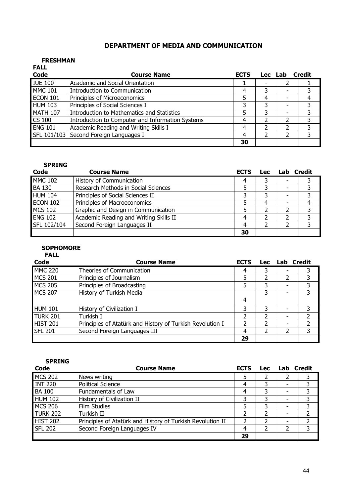## DEPARTMENT OF MEDIA AND COMMUNICATION

#### FRESHMAN

| <b>FALL</b>     |                                                  |             |         |        |
|-----------------|--------------------------------------------------|-------------|---------|--------|
| Code            | <b>Course Name</b>                               | <b>ECTS</b> | Lec Lab | Credit |
| <b>IUE 100</b>  | Academic and Social Orientation                  |             |         |        |
| <b>MMC 101</b>  | Introduction to Communication                    |             |         |        |
| <b>ECON 101</b> | Principles of Microeconomics                     |             | 4       |        |
| <b>HUM 103</b>  | Principles of Social Sciences I                  | 3           | 3       | 3      |
| <b>MATH 107</b> | Introduction to Mathematics and Statistics       |             |         |        |
| <b>CS 100</b>   | Introduction to Computer and Information Systems |             |         |        |
| <b>ENG 101</b>  | Academic Reading and Writing Skills I            |             |         |        |
|                 | SFL 101/103 Second Foreign Languages I           |             |         | 3      |
|                 |                                                  | 30          |         |        |

#### SPRING

| Code            | <b>Course Name</b>                     | <b>ECTS</b> | <b>Lec</b> | Lab | <b>Credit</b> |
|-----------------|----------------------------------------|-------------|------------|-----|---------------|
| <b>MMC 102</b>  | <b>History of Communication</b>        |             |            |     |               |
| <b>BA 130</b>   | Research Methods in Social Sciences    |             |            |     |               |
| <b>HUM 104</b>  | Principles of Social Sciences II       |             |            |     | 3             |
| <b>ECON 102</b> | Principles of Macroeconomics           |             |            |     |               |
| <b>MCS 102</b>  | Graphic and Design in Communication    |             |            |     |               |
| <b>ENG 102</b>  | Academic Reading and Writing Skills II |             |            |     | 3             |
| SFL 102/104     | Second Foreign Languages II            |             |            |     |               |
|                 |                                        | 30          |            |     |               |

## **SOPHOMORE**

FALL

| Code           | <b>Course Name</b>                                        | <b>ECTS</b> | <b>Lec</b> | <b>Lab</b> Credit |   |
|----------------|-----------------------------------------------------------|-------------|------------|-------------------|---|
| <b>MMC 220</b> | Theories of Communication                                 | 4           |            | ۰                 |   |
| <b>MCS 201</b> | Principles of Journalism                                  | 5           |            |                   | 3 |
| <b>MCS 205</b> | Principles of Broadcasting                                | 5           |            |                   | 3 |
| <b>MCS 207</b> | History of Turkish Media                                  |             | 3          |                   | 3 |
|                |                                                           | 4           |            |                   |   |
| <b>HUM 101</b> | History of Civilization I                                 |             | 3          |                   | 3 |
| TURK 201       | Turkish I                                                 | 2           |            |                   |   |
| HIST 201       | Principles of Atatürk and History of Turkish Revolution I | 2           |            |                   |   |
| <b>SFL 201</b> | Second Foreign Languages III                              | 4           |            |                   | 3 |
|                |                                                           | 29          |            |                   |   |

| Code            | <b>Course Name</b>                                         | <b>ECTS</b> | <b>Lec</b> | Lab Credit |  |
|-----------------|------------------------------------------------------------|-------------|------------|------------|--|
| <b>MCS 202</b>  | News writing                                               | 5           |            |            |  |
| <b>INT 220</b>  | <b>Political Science</b>                                   | 4           |            |            |  |
| <b>BA 100</b>   | Fundamentals of Law                                        |             |            |            |  |
| <b>HUM 102</b>  | History of Civilization II                                 |             |            |            |  |
| <b>MCS 206</b>  | <b>Film Studies</b>                                        |             |            |            |  |
| <b>TURK 202</b> | Turkish II                                                 |             |            |            |  |
| <b>HIST 202</b> | Principles of Atatürk and History of Turkish Revolution II |             |            |            |  |
| <b>SFL 202</b>  | Second Foreign Languages IV                                | 4           |            |            |  |
|                 |                                                            | 29          |            |            |  |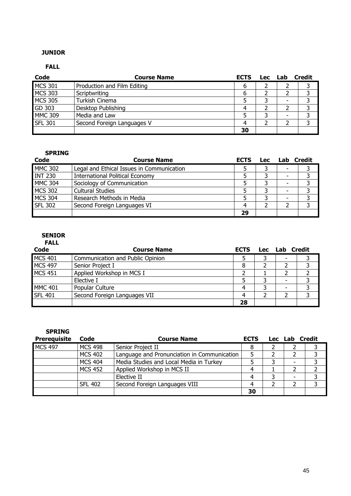### JUNIOR

### FALL

| Code           | <b>Course Name</b>          | <b>ECTS</b> | Lec Lab | Credit |
|----------------|-----------------------------|-------------|---------|--------|
| <b>MCS 301</b> | Production and Film Editing | 6           |         |        |
| <b>MCS 303</b> | Scriptwriting               | b           |         |        |
| <b>MCS 305</b> | Turkish Cinema              |             |         |        |
| GD 303         | Desktop Publishing          |             |         |        |
| <b>MMC 309</b> | Media and Law               |             |         |        |
| <b>SFL 301</b> | Second Foreign Languages V  |             |         |        |
|                |                             | 30          |         |        |

### SPRING

| <b>Code</b>    | <b>Course Name</b>                        | <b>ECTS</b> | <b>Lec</b> | Lab Credit |   |
|----------------|-------------------------------------------|-------------|------------|------------|---|
| <b>MMC 302</b> | Legal and Ethical Issues in Communication |             |            | ۰          |   |
| <b>INT 230</b> | <b>International Political Economy</b>    |             |            |            |   |
| <b>MMC 304</b> | Sociology of Communication                |             |            | -          |   |
| <b>MCS 302</b> | <b>Cultural Studies</b>                   |             |            |            |   |
| <b>MCS 304</b> | Research Methods in Media                 |             |            | ۰          |   |
| <b>SFL 302</b> | Second Foreign Languages VI               |             |            |            | っ |
|                |                                           | 29          |            |            |   |

## SENIOR

| ٦<br>۱ı<br>٠<br>U. |  |
|--------------------|--|
|                    |  |

| Code           | <b>Course Name</b>               | <b>ECTS</b> | Lec | Lab Credit |  |
|----------------|----------------------------------|-------------|-----|------------|--|
| <b>MCS 401</b> | Communication and Public Opinion |             |     |            |  |
| <b>MCS 497</b> | Senior Project I                 |             |     |            |  |
| <b>MCS 451</b> | Applied Workshop in MCS I        |             |     |            |  |
|                | Elective I                       |             |     |            |  |
| <b>MMC 401</b> | Popular Culture                  |             |     |            |  |
| <b>SFL 401</b> | Second Foreign Languages VII     |             |     |            |  |
|                |                                  | 28          |     |            |  |

| <b>SPRING</b>       |                |                                             |             |                |  |
|---------------------|----------------|---------------------------------------------|-------------|----------------|--|
| <b>Prerequisite</b> | Code           | <b>Course Name</b>                          | <b>ECTS</b> | Lec Lab Credit |  |
| <b>MCS 497</b>      | <b>MCS 498</b> | Senior Project II                           | 8           |                |  |
|                     | <b>MCS 402</b> | Language and Pronunciation in Communication |             |                |  |
|                     | <b>MCS 404</b> | Media Studies and Local Media in Turkey     |             |                |  |
|                     | <b>MCS 452</b> | Applied Workshop in MCS II                  | 4           |                |  |
|                     |                | Elective II                                 | 4           |                |  |
|                     | <b>SFL 402</b> | Second Foreign Languages VIII               | 4           |                |  |
|                     |                |                                             | 30          |                |  |

45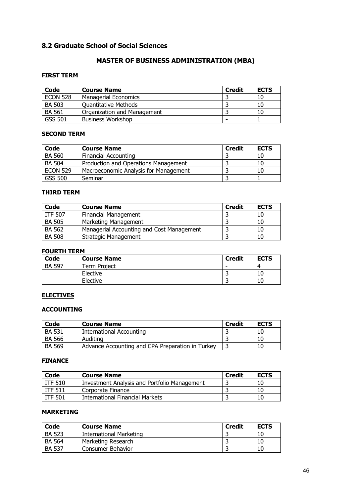## 8.2 Graduate School of Social Sciences

## MASTER OF BUSINESS ADMINISTRATION (MBA)

### FIRST TERM

| Code            | <b>Course Name</b>          | <b>Credit</b> | <b>ECTS</b> |
|-----------------|-----------------------------|---------------|-------------|
| <b>ECON 528</b> | <b>Managerial Economics</b> |               | 10          |
| <b>BA 503</b>   | <b>Ouantitative Methods</b> |               | 10          |
| <b>BA 561</b>   | Organization and Management |               | 10          |
| GSS 501         | <b>Business Workshop</b>    |               |             |

#### SECOND TERM

| <b>Code</b>     | <b>Course Name</b>                    | <b>Credit</b> | <b>ECTS</b> |
|-----------------|---------------------------------------|---------------|-------------|
| <b>BA 560</b>   | <b>Financial Accounting</b>           |               | 10          |
| <b>BA 504</b>   | Production and Operations Management  |               | 10          |
| <b>ECON 529</b> | Macroeconomic Analysis for Management |               | 10          |
| <b>GSS 500</b>  | Seminar                               |               |             |

#### THIRD TERM

| Code           | <b>Course Name</b>                        | <b>Credit</b> | <b>ECTS</b> |
|----------------|-------------------------------------------|---------------|-------------|
| <b>ITF 507</b> | <b>Financial Management</b>               |               | 10          |
| <b>BA 505</b>  | Marketing Management                      |               | 10          |
| <b>BA 562</b>  | Managerial Accounting and Cost Management |               | 10          |
| <b>BA 508</b>  | <b>Strategic Management</b>               |               | 10          |

#### FOURTH TERM

| <b>Code</b>   | <b>Course Name</b>  | <b>Credit</b> | <b>ECTS</b> |
|---------------|---------------------|---------------|-------------|
| <b>BA 597</b> | <b>Term Project</b> | -             | 4           |
|               | Elective            |               | 10          |
|               | Elective            |               | 10          |

### **ELECTIVES**

#### ACCOUNTING

| Code          | <b>Course Name</b>                               | <b>Credit</b> | <b>ECTS</b> |
|---------------|--------------------------------------------------|---------------|-------------|
| <b>BA 531</b> | International Accounting                         |               | 10          |
| <b>BA 566</b> | Auditing                                         |               | 10          |
| <b>BA 569</b> | Advance Accounting and CPA Preparation in Turkey |               | 10          |

#### FINANCE

| Code           | <b>Course Name</b>                                  | <b>Credit</b> | <b>ECTS</b> |
|----------------|-----------------------------------------------------|---------------|-------------|
| <b>ITF 510</b> | <b>Investment Analysis and Portfolio Management</b> |               | 10          |
| <b>ITF 511</b> | Corporate Finance                                   |               | 10          |
| ITF 501        | International Financial Markets                     |               | 10          |

### MARKETING

| Code          | <b>Course Name</b>       | <b>Credit</b> | <b>ECTS</b> |
|---------------|--------------------------|---------------|-------------|
| <b>BA 523</b> | International Marketing  |               | 10          |
| <b>BA 564</b> | Marketing Research       |               | 10          |
| <b>BA 537</b> | <b>Consumer Behavior</b> |               | 10          |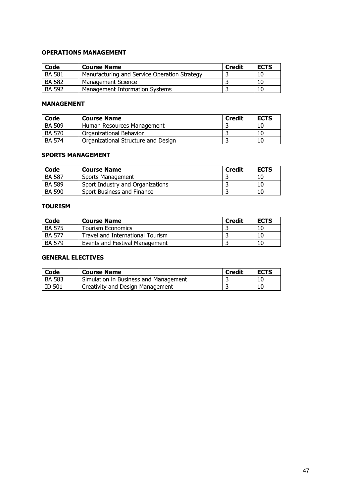### OPERATIONS MANAGEMENT

| Code          | <b>Course Name</b>                           | <b>Credit</b> | <b>ECTS</b> |
|---------------|----------------------------------------------|---------------|-------------|
| <b>BA 581</b> | Manufacturing and Service Operation Strategy |               | 10          |
| <b>BA 582</b> | <b>Management Science</b>                    |               | 10          |
| <b>BA 592</b> | Management Information Systems               |               | 10          |

#### MANAGEMENT

| Code          | <b>Course Name</b>                  | Credit | <b>ECTS</b> |
|---------------|-------------------------------------|--------|-------------|
| <b>BA 509</b> | Human Resources Management          |        | 10          |
| <b>BA 570</b> | Organizational Behavior             |        | 10          |
| <b>BA 574</b> | Organizational Structure and Design |        | 10          |

#### SPORTS MANAGEMENT

| Code          | <b>Course Name</b>               | <b>Credit</b> | <b>ECTS</b> |
|---------------|----------------------------------|---------------|-------------|
| <b>BA 587</b> | <b>Sports Management</b>         |               | 10          |
| <b>BA 589</b> | Sport Industry and Organizations |               | 10          |
| <b>BA 590</b> | Sport Business and Finance       |               | 10          |

#### TOURISM

| Code          | <b>Course Name</b>               | <b>Credit</b> | <b>ECTS</b> |
|---------------|----------------------------------|---------------|-------------|
| <b>BA 575</b> | <b>Tourism Economics</b>         |               | 10          |
| <b>BA 577</b> | Travel and International Tourism |               | 10          |
| <b>BA 579</b> | Events and Festival Management   |               | 10          |

### GENERAL ELECTIVES

| Code          | <b>Course Name</b>                    | <b>Credit</b> | <b>ECTS</b> |
|---------------|---------------------------------------|---------------|-------------|
| <b>BA 583</b> | Simulation in Business and Management |               | 10          |
| ID 501        | Creativity and Design Management      |               | 10          |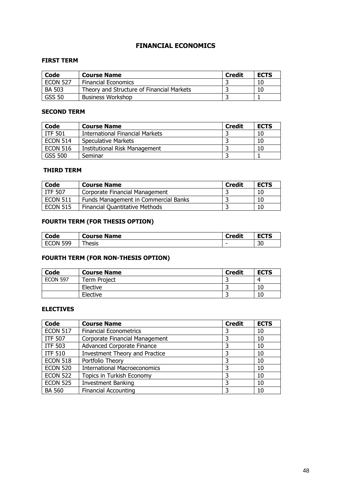## FINANCIAL ECONOMICS

#### FIRST TERM

| Code            | <b>Course Name</b>                        | <b>Credit</b> | <b>ECTS</b> |
|-----------------|-------------------------------------------|---------------|-------------|
| <b>ECON 527</b> | <b>Financial Economics</b>                |               |             |
| BA 503          | Theory and Structure of Financial Markets |               | 10          |
| <b>GSS 50</b>   | <b>Business Workshop</b>                  |               |             |

#### SECOND TERM

| Code            | <b>Course Name</b>                   | <b>Credit</b> | <b>ECTS</b> |
|-----------------|--------------------------------------|---------------|-------------|
| <b>ITF 501</b>  | International Financial Markets      |               | 10          |
| <b>ECON 514</b> | Speculative Markets                  |               | 10          |
| <b>ECON 516</b> | <b>Institutional Risk Management</b> |               | 10          |
| GSS 500         | Seminar                              |               |             |

#### THIRD TERM

| <b>Code</b>     | <b>Course Name</b>                    | <b>Credit</b> | <b>ECTS</b> |
|-----------------|---------------------------------------|---------------|-------------|
| l ITF 507       | Corporate Financial Management        |               | 10          |
| $\mid$ ECON 511 | Funds Management in Commercial Banks  |               | 10          |
| <b>ECON 515</b> | <b>Financial Quantitative Methods</b> |               | 10          |

## FOURTH TERM (FOR THESIS OPTION)

| Code          | <b>Course Name</b> | <b>Credit</b> | $-$<br>ECTS |
|---------------|--------------------|---------------|-------------|
| 599<br>i econ | --<br>hesis        |               | 30          |

## FOURTH TERM (FOR NON-THESIS OPTION)

| <b>Code</b>     | <b>Course Name</b> | <b>Credit</b> | <b>ECTS</b> |
|-----------------|--------------------|---------------|-------------|
| <b>ECON 597</b> | Term Project       |               | ⊿           |
|                 | Elective           |               | 10          |
|                 | Elective           |               | 10          |

| Code            | <b>Course Name</b>                    | <b>Credit</b> | <b>ECTS</b> |
|-----------------|---------------------------------------|---------------|-------------|
| <b>ECON 517</b> | <b>Financial Econometrics</b>         |               | 10          |
| <b>ITF 507</b>  | Corporate Financial Management        |               | 10          |
| <b>ITF 503</b>  | <b>Advanced Corporate Finance</b>     |               | 10          |
| <b>ITF 510</b>  | <b>Investment Theory and Practice</b> |               | 10          |
| <b>ECON 518</b> | Portfolio Theory                      |               | 10          |
| <b>ECON 520</b> | <b>International Macroeconomics</b>   |               | 10          |
| <b>ECON 522</b> | Topics in Turkish Economy             |               | 10          |
| <b>ECON 525</b> | <b>Investment Banking</b>             | 3             | 10          |
| <b>BA 560</b>   | <b>Financial Accounting</b>           |               | 10          |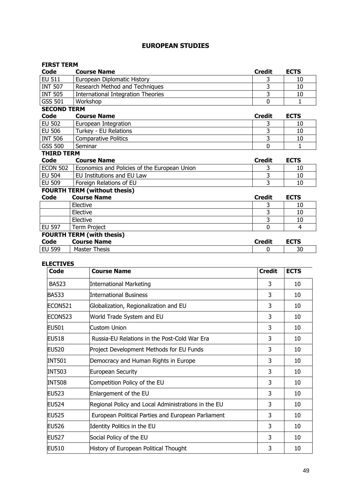## EUROPEAN STUDIES

### FIRST TERM<br>Code C **Code Course Name**<br>
EU 511 European Diplomatic History **Credit ECTS**<br>
EU 511 European Diplomatic History **Credit Credit ECTS** European Diplomatic History 1988 10 10 INT 507 Research Method and Techniques 3 10<br>
INT 505 International Integration Theories 3 10 International Integration Theories 3 10 GSS 501 Workshop 0 1 SECOND TERM Code Course Name Contract Credit ECTS EU 502 European Integration and the state of the state of the state of the state of the state of the state of the state of the state of the state of the state of the state of the state of the state of the state of the stat EU 506 Turkey - EU Relations<br>
INT 506 Comparative Politics 3 10 INT 506 Comparative Politics<br>
GSS 500 Seminar 0 1 GSS 500 Seminar  $\begin{array}{|c|c|c|c|c|}\n\hline\n & 0 & 1\n\end{array}$ THIRD TERM<br>Code Co **Course Name** Course Name Course Name Course Name Course Name Course Name Course Name Course Name Course Name Course Name Course Name Course Name Course Name Course Name Course Name Course Name Course Name On the Name On t

| <b>ECON 502</b>                     | Economics and Policies of the European Union |  |  |
|-------------------------------------|----------------------------------------------|--|--|
| EU 504                              | EU Institutions and EU Law                   |  |  |
| EU 509                              | Foreign Relations of EU                      |  |  |
| <b>FOURTH TERM</b> (without thesis) |                                              |  |  |

| I OOKTII TEKPI (WILHOUL LIICSIS) |                      |               |             |
|----------------------------------|----------------------|---------------|-------------|
| Code                             | <b>Course Name</b>   | <b>Credit</b> | <b>ECTS</b> |
|                                  | Elective             |               | 10          |
|                                  | Elective             |               | 10          |
|                                  | Elective             |               | 10          |
| <b>EU 597</b>                    | Term Project         |               |             |
| <b>FOURTH TERM (with thesis)</b> |                      |               |             |
| Code                             | <b>Course Name</b>   | <b>Credit</b> | <b>ECTS</b> |
| <b>EU 599</b>                    | <b>Master Thesis</b> |               | 30          |

| Code           | <b>Course Name</b>                                  | <b>Credit</b> | <b>ECTS</b> |
|----------------|-----------------------------------------------------|---------------|-------------|
| <b>BA523</b>   | International Marketing                             | 3             | 10          |
| BA533          | <b>International Business</b>                       | 3             | 10          |
| ECON521        | Globalization, Regionalization and EU               | 3             | 10          |
| <b>ECON523</b> | World Trade System and EU                           | 3             | 10          |
| EU501          | <b>Custom Union</b>                                 | 3             | 10          |
| <b>EU518</b>   | Russia-EU Relations in the Post-Cold War Era        | 3             | 10          |
| <b>EU520</b>   | Project Development Methods for EU Funds            | 3             | 10          |
| INT501         | Democracy and Human Rights in Europe                | 3             | 10          |
| <b>INT503</b>  | <b>European Security</b>                            | 3             | 10          |
| <b>INT508</b>  | Competition Policy of the EU                        | 3             | 10          |
| <b>EU523</b>   | Enlargement of the EU                               | 3             | 10          |
| <b>EU524</b>   | Regional Policy and Local Administrations in the EU | 3             | 10          |
| <b>EU525</b>   | European Political Parties and European Parliament  | 3             | 10          |
| <b>EU526</b>   | Identity Politics in the EU                         | 3             | 10          |
| <b>EU527</b>   | Social Policy of the EU                             | 3             | 10          |
| <b>EU510</b>   | History of European Political Thought               | 3             | 10          |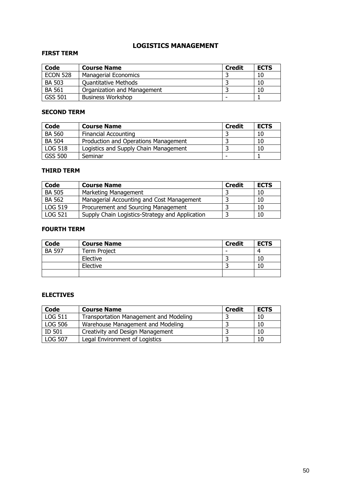## LOGISTICS MANAGEMENT

### FIRST TERM

| Code            | <b>Course Name</b>          | <b>Credit</b> | <b>ECTS</b> |
|-----------------|-----------------------------|---------------|-------------|
| <b>ECON 528</b> | <b>Managerial Economics</b> |               | 10          |
| <b>BA 503</b>   | <b>Quantitative Methods</b> |               | 10          |
| <b>BA 561</b>   | Organization and Management |               | 10          |
| <b>GSS 501</b>  | <b>Business Workshop</b>    |               |             |

#### SECOND TERM

| Code           | <b>Course Name</b>                    | <b>Credit</b> | <b>ECTS</b> |
|----------------|---------------------------------------|---------------|-------------|
| <b>BA 560</b>  | <b>Financial Accounting</b>           |               | 10          |
| <b>BA 504</b>  | Production and Operations Management  |               | 10          |
| <b>LOG 518</b> | Logistics and Supply Chain Management |               | 10          |
| GSS 500        | Seminar                               | -             |             |

### THIRD TERM

| Code           | <b>Course Name</b>                              | <b>Credit</b> | <b>ECTS</b> |
|----------------|-------------------------------------------------|---------------|-------------|
| <b>BA 505</b>  | Marketing Management                            |               | 10          |
| <b>BA 562</b>  | Managerial Accounting and Cost Management       |               | 10          |
| LOG 519        | Procurement and Sourcing Management             |               | 10          |
| <b>LOG 521</b> | Supply Chain Logistics-Strategy and Application |               | 10          |

### FOURTH TERM

| <b>Code</b>   | <b>Course Name</b> | <b>Credit</b> | <b>ECTS</b> |
|---------------|--------------------|---------------|-------------|
| <b>BA 597</b> | Term Project       |               |             |
|               | Elective           |               | 10          |
|               | Elective           |               |             |
|               |                    |               |             |

| Code           | <b>Course Name</b>                     | <b>Credit</b> | <b>ECTS</b> |
|----------------|----------------------------------------|---------------|-------------|
| LOG 511        | Transportation Management and Modeling |               | 10          |
| <b>LOG 506</b> | Warehouse Management and Modeling      |               | 10          |
| ID 501         | Creativity and Design Management       |               | 10          |
| <b>LOG 507</b> | Legal Environment of Logistics         |               | 10          |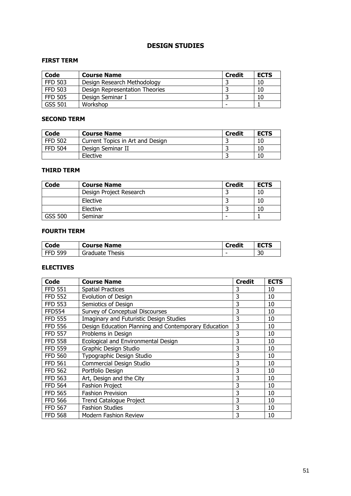### DESIGN STUDIES

#### FIRST TERM

| Code           | <b>Course Name</b>             | <b>Credit</b> | <b>ECTS</b> |
|----------------|--------------------------------|---------------|-------------|
| <b>FFD 503</b> | Design Research Methodology    |               | 10          |
| <b>FFD 503</b> | Design Representation Theories |               | 10          |
| <b>FFD 505</b> | Design Seminar I               |               | 10          |
| GSS 501        | Workshop                       | -             |             |

### SECOND TERM

| Code           | <b>Course Name</b>               | <b>Credit</b> | <b>ECTS</b> |
|----------------|----------------------------------|---------------|-------------|
| <b>FFD 502</b> | Current Topics in Art and Design |               | 10          |
| <b>FFD 504</b> | Design Seminar II                |               | 10          |
|                | Elective                         |               | 10          |

#### THIRD TERM

| Code           | <b>Course Name</b>      | <b>Credit</b> | <b>ECTS</b> |
|----------------|-------------------------|---------------|-------------|
|                | Design Project Research |               | 10          |
|                | Elective                |               | 10          |
|                | Elective                |               | 10          |
| <b>GSS 500</b> | Seminar                 | -             |             |

### FOURTH TERM

| Code           | <b>Course Name</b> | <b>Credit</b> | <b>ECTS</b> |
|----------------|--------------------|---------------|-------------|
| <b>FFD 599</b> | Graduate<br>Thesis | -             | 30          |

| Code           | <b>Course Name</b>                                   | <b>Credit</b> | <b>ECTS</b> |
|----------------|------------------------------------------------------|---------------|-------------|
| <b>FFD 551</b> | <b>Spatial Practices</b>                             | 3             | 10          |
| <b>FFD 552</b> | Evolution of Design                                  | 3             | 10          |
| <b>FFD 553</b> | Semiotics of Design                                  | 3             | 10          |
| <b>FFD554</b>  | Survey of Conceptual Discourses                      | 3             | 10          |
| <b>FFD 555</b> | Imaginary and Futuristic Design Studies              | 3             | 10          |
| <b>FFD 556</b> | Design Education Planning and Contemporary Education | 3             | 10          |
| <b>FFD 557</b> | Problems in Design                                   | 3             | 10          |
| <b>FFD 558</b> | Ecological and Environmental Design                  | 3             | 10          |
| <b>FFD 559</b> | Graphic Design Studio                                | 3             | 10          |
| <b>FFD 560</b> | Typographic Design Studio                            | 3             | 10          |
| <b>FFD 561</b> | Commercial Design Studio                             | 3             | 10          |
| <b>FFD 562</b> | Portfolio Design                                     | 3             | 10          |
| <b>FFD 563</b> | Art, Design and the City                             | 3             | 10          |
| <b>FFD 564</b> | <b>Fashion Project</b>                               | 3             | 10          |
| <b>FFD 565</b> | <b>Fashion Prevision</b>                             | 3             | 10          |
| <b>FFD 566</b> | <b>Trend Catalogue Project</b>                       | 3             | 10          |
| <b>FFD 567</b> | <b>Fashion Studies</b>                               | 3             | 10          |
| <b>FFD 568</b> | <b>Modern Fashion Review</b>                         | 3             | 10          |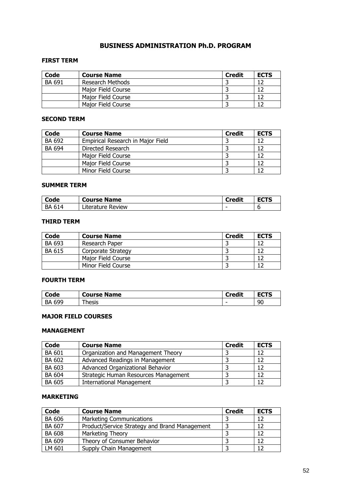## BUSINESS ADMINISTRATION Ph.D. PROGRAM

#### FIRST TERM

| Code          | <b>Course Name</b> | <b>Credit</b> | <b>ECTS</b> |
|---------------|--------------------|---------------|-------------|
| <b>BA 691</b> | Research Methods   |               |             |
|               | Major Field Course |               |             |
|               | Major Field Course |               |             |
|               | Major Field Course |               |             |

#### SECOND TERM

| Code          | <b>Course Name</b>                | <b>Credit</b> | <b>ECTS</b> |
|---------------|-----------------------------------|---------------|-------------|
| BA 692        | Empirical Research in Major Field |               |             |
| <b>BA 694</b> | Directed Research                 |               | 12          |
|               | Major Field Course                |               | 12          |
|               | Major Field Course                |               |             |
|               | Minor Field Course                |               |             |

### SUMMER TERM

| Code      | <b>Course Name</b> | `redit                   |   |
|-----------|--------------------|--------------------------|---|
| 614<br>BA | Literature Review  | $\overline{\phantom{0}}$ | v |

#### THIRD TERM

| Code          | <b>Course Name</b> | <b>Credit</b> | <b>ECTS</b> |
|---------------|--------------------|---------------|-------------|
| <b>BA 693</b> | Research Paper     |               |             |
| <b>BA 615</b> | Corporate Strategy |               |             |
|               | Major Field Course |               |             |
|               | Minor Field Course |               |             |

#### FOURTH TERM

| Code      | <b>Name</b>     | <b>Credit</b> | ----   |
|-----------|-----------------|---------------|--------|
|           | Course <b>F</b> | ∼             | 56 I J |
| 600<br>BA | $-$<br>hesis    | -             | 90     |

#### MAJOR FIELD COURSES

#### MANAGEMENT

| Code          | <b>Course Name</b>                   | <b>Credit</b> | <b>ECTS</b> |
|---------------|--------------------------------------|---------------|-------------|
| <b>BA 601</b> | Organization and Management Theory   |               | 12          |
| BA 602        | Advanced Readings in Management      |               | 12          |
| BA 603        | Advanced Organizational Behavior     |               | 12          |
| <b>BA 604</b> | Strategic Human Resources Management |               | 12          |
| <b>BA 605</b> | <b>International Management</b>      |               |             |

### MARKETING

| Code          | <b>Course Name</b>                            | <b>Credit</b> | <b>ECTS</b> |
|---------------|-----------------------------------------------|---------------|-------------|
| <b>BA 606</b> | Marketing Communications                      |               | 12          |
| BA 607        | Product/Service Strategy and Brand Management |               |             |
| <b>BA 608</b> | Marketing Theory                              |               |             |
| BA 609        | Theory of Consumer Behavior                   |               |             |
| LM 601        | Supply Chain Management                       |               | 12          |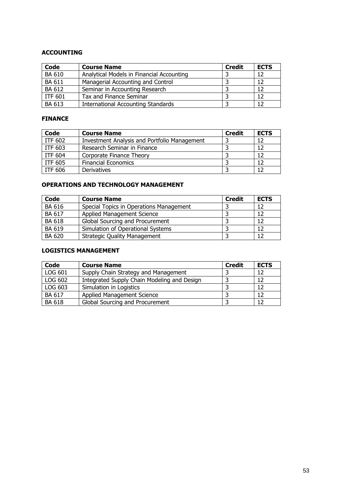### ACCOUNTING

| Code           | <b>Course Name</b>                        | <b>Credit</b> | <b>ECTS</b> |
|----------------|-------------------------------------------|---------------|-------------|
| <b>BA 610</b>  | Analytical Models in Financial Accounting |               | 12          |
| <b>BA 611</b>  | Managerial Accounting and Control         |               | 12          |
| BA 612         | Seminar in Accounting Research            |               | 12          |
| <b>ITF 601</b> | Tax and Finance Seminar                   |               | 12          |
| <b>BA 613</b>  | <b>International Accounting Standards</b> |               |             |

#### FINANCE

| Code           | <b>Course Name</b>                           | <b>Credit</b> | <b>ECTS</b> |
|----------------|----------------------------------------------|---------------|-------------|
| <b>ITF 602</b> | Investment Analysis and Portfolio Management |               | 12          |
| ITF 603        | Research Seminar in Finance                  |               | 12          |
| <b>ITF 604</b> | Corporate Finance Theory                     |               | 12          |
| <b>ITF 605</b> | <b>Financial Economics</b>                   |               | 12          |
| <b>ITF 606</b> | Derivatives                                  |               | 12          |

## OPERATIONS AND TECHNOLOGY MANAGEMENT

| Code          | <b>Course Name</b>                      | <b>Credit</b> | <b>ECTS</b> |
|---------------|-----------------------------------------|---------------|-------------|
| <b>BA 616</b> | Special Topics in Operations Management |               | 12          |
| <b>BA 617</b> | Applied Management Science              |               | 12          |
| <b>BA 618</b> | Global Sourcing and Procurement         |               | 12          |
| BA 619        | Simulation of Operational Systems       |               | 12          |
| <b>BA 620</b> | <b>Strategic Quality Management</b>     |               | 12          |

### LOGISTICS MANAGEMENT

| Code          | <b>Course Name</b>                          | <b>Credit</b> | <b>ECTS</b> |
|---------------|---------------------------------------------|---------------|-------------|
| LOG 601       | Supply Chain Strategy and Management        |               | 12          |
| LOG 602       | Integrated Supply Chain Modeling and Design |               | 12          |
| LOG 603       | Simulation in Logistics                     |               | 12          |
| <b>BA 617</b> | <b>Applied Management Science</b>           |               | 12          |
| <b>BA 618</b> | Global Sourcing and Procurement             |               | 12          |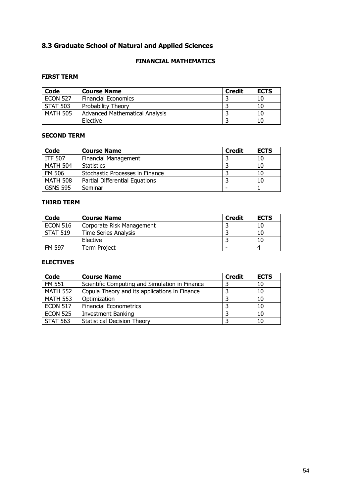## 8.3 Graduate School of Natural and Applied Sciences

## FINANCIAL MATHEMATICS

### FIRST TERM

| Code            | <b>Course Name</b>             | <b>Credit</b> | <b>ECTS</b> |
|-----------------|--------------------------------|---------------|-------------|
| <b>ECON 527</b> | <b>Financial Economics</b>     |               | 10          |
| <b>STAT 503</b> | Probability Theory             |               | 10          |
| <b>MATH 505</b> | Advanced Mathematical Analysis |               | 10          |
|                 | Elective                       |               | 10          |

### SECOND TERM

| Code            | <b>Course Name</b>              | <b>Credit</b> | <b>ECTS</b> |
|-----------------|---------------------------------|---------------|-------------|
| <b>ITF 507</b>  | <b>Financial Management</b>     |               | 10          |
| <b>MATH 504</b> | <b>Statistics</b>               |               | 10          |
| <b>FM 506</b>   | Stochastic Processes in Finance |               | 10          |
| <b>MATH 508</b> | Partial Differential Equations  |               | 10          |
| <b>GSNS 595</b> | Seminar                         |               |             |

#### THIRD TERM

| Code            | <b>Course Name</b>          | <b>Credit</b> | <b>ECTS</b> |
|-----------------|-----------------------------|---------------|-------------|
| <b>ECON 516</b> | Corporate Risk Management   |               | 10          |
| <b>STAT 519</b> | <b>Time Series Analysis</b> |               | 10          |
|                 | Elective                    |               | 10          |
| FM 597          | Term Project                |               |             |

| <b>Code</b>     | <b>Course Name</b>                             | <b>Credit</b> | <b>ECTS</b> |
|-----------------|------------------------------------------------|---------------|-------------|
| <b>FM 551</b>   | Scientific Computing and Simulation in Finance |               | 10          |
| <b>MATH 552</b> | Copula Theory and its applications in Finance  |               | 10          |
| <b>MATH 553</b> | Optimization                                   |               | 10          |
| <b>ECON 517</b> | <b>Financial Econometrics</b>                  |               | 10          |
| <b>ECON 525</b> | <b>Investment Banking</b>                      |               | 10          |
| <b>STAT 563</b> | <b>Statistical Decision Theory</b>             |               | 10          |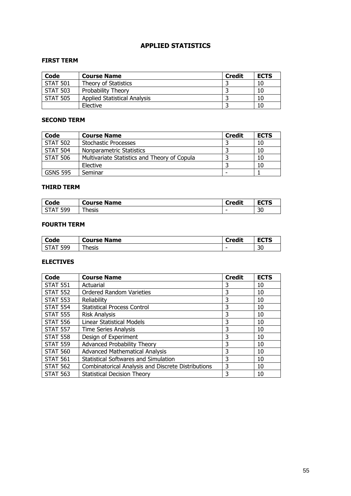## APPLIED STATISTICS

#### FIRST TERM

| Code            | <b>Course Name</b>                  | <b>Credit</b> | <b>ECTS</b> |
|-----------------|-------------------------------------|---------------|-------------|
| <b>STAT 501</b> | Theory of Statistics                |               | 10          |
| <b>STAT 503</b> | Probability Theory                  |               | 10          |
| <b>STAT 505</b> | <b>Applied Statistical Analysis</b> |               | 10          |
|                 | Elective                            |               | 10          |

### SECOND TERM

| Code            | <b>Course Name</b>                           | <b>Credit</b> | <b>ECTS</b> |
|-----------------|----------------------------------------------|---------------|-------------|
| <b>STAT 502</b> | <b>Stochastic Processes</b>                  |               | 10          |
| <b>STAT 504</b> | Nonparametric Statistics                     |               | 10          |
| <b>STAT 506</b> | Multivariate Statistics and Theory of Copula |               | 10          |
|                 | Elective                                     |               | 10          |
| <b>GSNS 595</b> | Seminar                                      |               |             |

#### THIRD TERM

| Code                           | <b>Name</b><br>Course | <b>Credit</b> | ----<br>---         |
|--------------------------------|-----------------------|---------------|---------------------|
| 500<br>$\sqrt{ }$<br><b>JJ</b> | hacic<br>כוכסו ,      | -             | $\mathcal{D}$<br>3U |

#### FOURTH TERM

| Code       | <b>Course Name</b> | <b>Credit</b> | - ^-^<br> |
|------------|--------------------|---------------|-----------|
| 599<br>- 4 | hesis              | -             | הר<br>υc  |

| Code            | <b>Course Name</b>                                 | <b>Credit</b> | <b>ECTS</b> |
|-----------------|----------------------------------------------------|---------------|-------------|
| <b>STAT 551</b> | Actuarial                                          | 3             | 10          |
| <b>STAT 552</b> | <b>Ordered Random Varieties</b>                    | 3             | 10          |
| <b>STAT 553</b> | Reliability                                        | 3             | 10          |
| <b>STAT 554</b> | <b>Statistical Process Control</b>                 | 3             | 10          |
| <b>STAT 555</b> | <b>Risk Analysis</b>                               | 3             | 10          |
| <b>STAT 556</b> | Linear Statistical Models                          | 3             | 10          |
| <b>STAT 557</b> | <b>Time Series Analysis</b>                        | 3             | 10          |
| <b>STAT 558</b> | Design of Experiment                               | 3             | 10          |
| <b>STAT 559</b> | Advanced Probability Theory                        | 3             | 10          |
| <b>STAT 560</b> | <b>Advanced Mathematical Analysis</b>              | 3             | 10          |
| <b>STAT 561</b> | <b>Statistical Softwares and Simulation</b>        | 3             | 10          |
| <b>STAT 562</b> | Combinatorical Analysis and Discrete Distributions | 3             | 10          |
| <b>STAT 563</b> | <b>Statistical Decision Theory</b>                 | 3             | 10          |